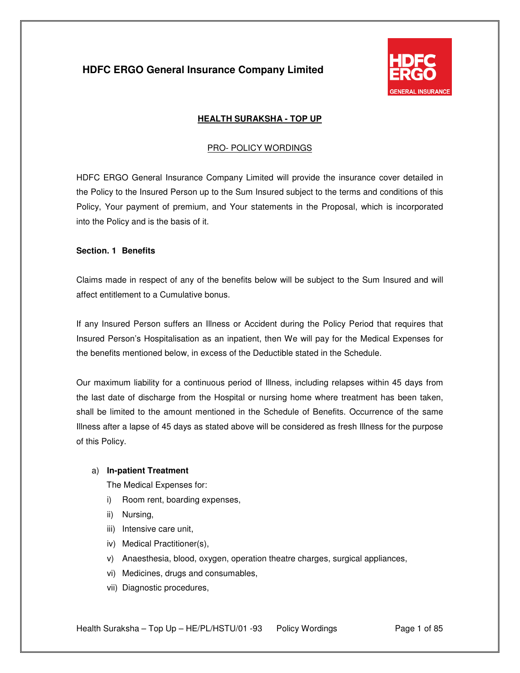

### **HEALTH SURAKSHA - TOP UP**

### PRO- POLICY WORDINGS

HDFC ERGO General Insurance Company Limited will provide the insurance cover detailed in the Policy to the Insured Person up to the Sum Insured subject to the terms and conditions of this Policy, Your payment of premium, and Your statements in the Proposal, which is incorporated into the Policy and is the basis of it.

#### **Section. 1 Benefits**

Claims made in respect of any of the benefits below will be subject to the Sum Insured and will affect entitlement to a Cumulative bonus.

If any Insured Person suffers an Illness or Accident during the Policy Period that requires that Insured Person's Hospitalisation as an inpatient, then We will pay for the Medical Expenses for the benefits mentioned below, in excess of the Deductible stated in the Schedule.

Our maximum liability for a continuous period of Illness, including relapses within 45 days from the last date of discharge from the Hospital or nursing home where treatment has been taken, shall be limited to the amount mentioned in the Schedule of Benefits. Occurrence of the same Illness after a lapse of 45 days as stated above will be considered as fresh Illness for the purpose of this Policy.

#### a) **In-patient Treatment**

The Medical Expenses for:

- i) Room rent, boarding expenses,
- ii) Nursing,
- iii) Intensive care unit,
- iv) Medical Practitioner(s),
- v) Anaesthesia, blood, oxygen, operation theatre charges, surgical appliances,
- vi) Medicines, drugs and consumables,
- vii) Diagnostic procedures,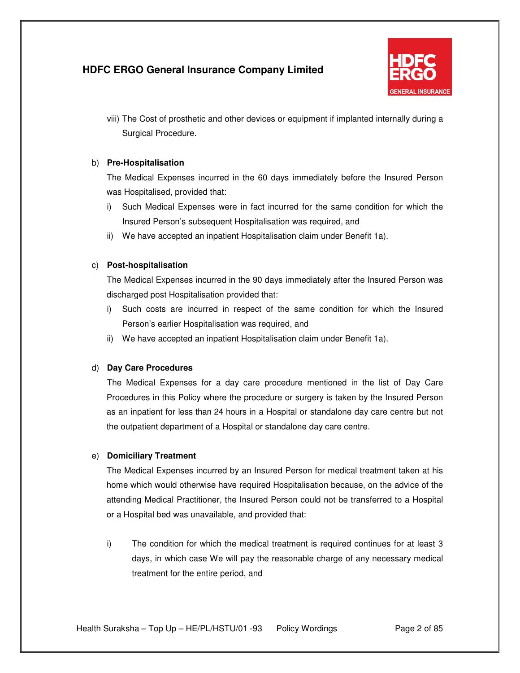

viii) The Cost of prosthetic and other devices or equipment if implanted internally during a Surgical Procedure.

### b) **Pre-Hospitalisation**

The Medical Expenses incurred in the 60 days immediately before the Insured Person was Hospitalised, provided that:

- i) Such Medical Expenses were in fact incurred for the same condition for which the Insured Person's subsequent Hospitalisation was required, and
- ii) We have accepted an inpatient Hospitalisation claim under Benefit 1a).

### c) **Post-hospitalisation**

The Medical Expenses incurred in the 90 days immediately after the Insured Person was discharged post Hospitalisation provided that:

- i) Such costs are incurred in respect of the same condition for which the Insured Person's earlier Hospitalisation was required, and
- ii) We have accepted an inpatient Hospitalisation claim under Benefit 1a).

### d) **Day Care Procedures**

The Medical Expenses for a day care procedure mentioned in the list of Day Care Procedures in this Policy where the procedure or surgery is taken by the Insured Person as an inpatient for less than 24 hours in a Hospital or standalone day care centre but not the outpatient department of a Hospital or standalone day care centre.

### e) **Domiciliary Treatment**

The Medical Expenses incurred by an Insured Person for medical treatment taken at his home which would otherwise have required Hospitalisation because, on the advice of the attending Medical Practitioner, the Insured Person could not be transferred to a Hospital or a Hospital bed was unavailable, and provided that:

i) The condition for which the medical treatment is required continues for at least 3 days, in which case We will pay the reasonable charge of any necessary medical treatment for the entire period, and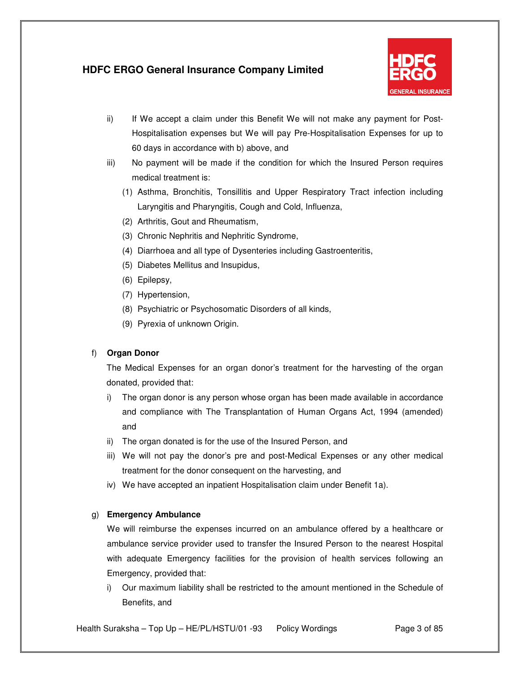

- ii) If We accept a claim under this Benefit We will not make any payment for Post-Hospitalisation expenses but We will pay Pre-Hospitalisation Expenses for up to 60 days in accordance with b) above, and
- iii) No payment will be made if the condition for which the Insured Person requires medical treatment is:
	- (1) Asthma, Bronchitis, Tonsillitis and Upper Respiratory Tract infection including Laryngitis and Pharyngitis, Cough and Cold, Influenza,
	- (2) Arthritis, Gout and Rheumatism,
	- (3) Chronic Nephritis and Nephritic Syndrome,
	- (4) Diarrhoea and all type of Dysenteries including Gastroenteritis,
	- (5) Diabetes Mellitus and Insupidus,
	- (6) Epilepsy,
	- (7) Hypertension,
	- (8) Psychiatric or Psychosomatic Disorders of all kinds,
	- (9) Pyrexia of unknown Origin.

### f) **Organ Donor**

The Medical Expenses for an organ donor's treatment for the harvesting of the organ donated, provided that:

- i) The organ donor is any person whose organ has been made available in accordance and compliance with The Transplantation of Human Organs Act, 1994 (amended) and
- ii) The organ donated is for the use of the Insured Person, and
- iii) We will not pay the donor's pre and post-Medical Expenses or any other medical treatment for the donor consequent on the harvesting, and
- iv) We have accepted an inpatient Hospitalisation claim under Benefit 1a).

### g) **Emergency Ambulance**

We will reimburse the expenses incurred on an ambulance offered by a healthcare or ambulance service provider used to transfer the Insured Person to the nearest Hospital with adequate Emergency facilities for the provision of health services following an Emergency, provided that:

i) Our maximum liability shall be restricted to the amount mentioned in the Schedule of Benefits, and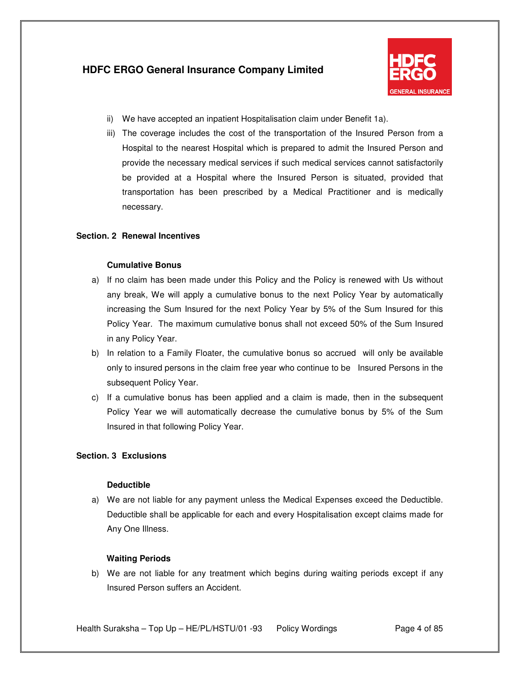

- ii) We have accepted an inpatient Hospitalisation claim under Benefit 1a).
- iii) The coverage includes the cost of the transportation of the Insured Person from a Hospital to the nearest Hospital which is prepared to admit the Insured Person and provide the necessary medical services if such medical services cannot satisfactorily be provided at a Hospital where the Insured Person is situated, provided that transportation has been prescribed by a Medical Practitioner and is medically necessary.

### **Section. 2 Renewal Incentives**

### **Cumulative Bonus**

- a) If no claim has been made under this Policy and the Policy is renewed with Us without any break, We will apply a cumulative bonus to the next Policy Year by automatically increasing the Sum Insured for the next Policy Year by 5% of the Sum Insured for this Policy Year. The maximum cumulative bonus shall not exceed 50% of the Sum Insured in any Policy Year.
- b) In relation to a Family Floater, the cumulative bonus so accrued will only be available only to insured persons in the claim free year who continue to be Insured Persons in the subsequent Policy Year.
- c) If a cumulative bonus has been applied and a claim is made, then in the subsequent Policy Year we will automatically decrease the cumulative bonus by 5% of the Sum Insured in that following Policy Year.

### **Section. 3 Exclusions**

#### **Deductible**

a) We are not liable for any payment unless the Medical Expenses exceed the Deductible. Deductible shall be applicable for each and every Hospitalisation except claims made for Any One Illness.

#### **Waiting Periods**

b) We are not liable for any treatment which begins during waiting periods except if any Insured Person suffers an Accident.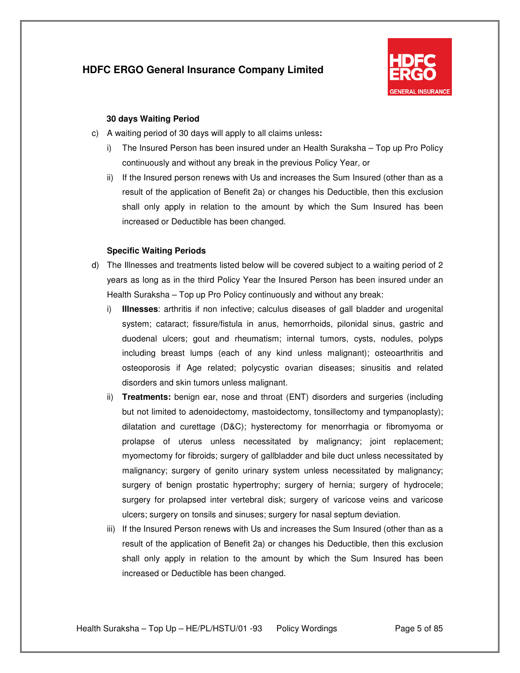

### **30 days Waiting Period**

- c) A waiting period of 30 days will apply to all claims unless**:**
	- i) The Insured Person has been insured under an Health Suraksha Top up Pro Policy continuously and without any break in the previous Policy Year, or
	- ii) If the Insured person renews with Us and increases the Sum Insured (other than as a result of the application of Benefit 2a) or changes his Deductible, then this exclusion shall only apply in relation to the amount by which the Sum Insured has been increased or Deductible has been changed.

#### **Specific Waiting Periods**

- d) The Illnesses and treatments listed below will be covered subject to a waiting period of 2 years as long as in the third Policy Year the Insured Person has been insured under an Health Suraksha – Top up Pro Policy continuously and without any break:
	- i) **Illnesses**: arthritis if non infective; calculus diseases of gall bladder and urogenital system; cataract; fissure/fistula in anus, hemorrhoids, pilonidal sinus, gastric and duodenal ulcers; gout and rheumatism; internal tumors, cysts, nodules, polyps including breast lumps (each of any kind unless malignant); osteoarthritis and osteoporosis if Age related; polycystic ovarian diseases; sinusitis and related disorders and skin tumors unless malignant.
	- ii) **Treatments:** benign ear, nose and throat (ENT) disorders and surgeries (including but not limited to adenoidectomy, mastoidectomy, tonsillectomy and tympanoplasty); dilatation and curettage (D&C); hysterectomy for menorrhagia or fibromyoma or prolapse of uterus unless necessitated by malignancy; joint replacement; myomectomy for fibroids; surgery of gallbladder and bile duct unless necessitated by malignancy; surgery of genito urinary system unless necessitated by malignancy; surgery of benign prostatic hypertrophy; surgery of hernia; surgery of hydrocele; surgery for prolapsed inter vertebral disk; surgery of varicose veins and varicose ulcers; surgery on tonsils and sinuses; surgery for nasal septum deviation.
	- iii) If the Insured Person renews with Us and increases the Sum Insured (other than as a result of the application of Benefit 2a) or changes his Deductible, then this exclusion shall only apply in relation to the amount by which the Sum Insured has been increased or Deductible has been changed.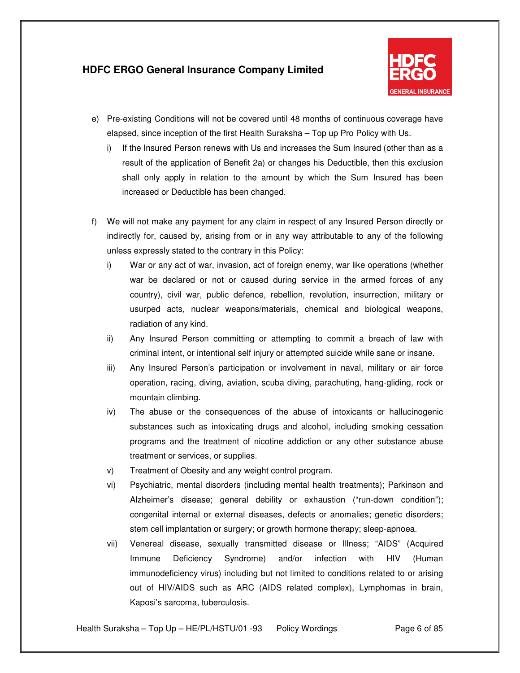

- e) Pre-existing Conditions will not be covered until 48 months of continuous coverage have elapsed, since inception of the first Health Suraksha – Top up Pro Policy with Us.
	- i) If the Insured Person renews with Us and increases the Sum Insured (other than as a result of the application of Benefit 2a) or changes his Deductible, then this exclusion shall only apply in relation to the amount by which the Sum Insured has been increased or Deductible has been changed.
- f) We will not make any payment for any claim in respect of any Insured Person directly or indirectly for, caused by, arising from or in any way attributable to any of the following unless expressly stated to the contrary in this Policy:
	- i) War or any act of war, invasion, act of foreign enemy, war like operations (whether war be declared or not or caused during service in the armed forces of any country), civil war, public defence, rebellion, revolution, insurrection, military or usurped acts, nuclear weapons/materials, chemical and biological weapons, radiation of any kind.
	- ii) Any Insured Person committing or attempting to commit a breach of law with criminal intent, or intentional self injury or attempted suicide while sane or insane.
	- iii) Any Insured Person's participation or involvement in naval, military or air force operation, racing, diving, aviation, scuba diving, parachuting, hang-gliding, rock or mountain climbing.
	- iv) The abuse or the consequences of the abuse of intoxicants or hallucinogenic substances such as intoxicating drugs and alcohol, including smoking cessation programs and the treatment of nicotine addiction or any other substance abuse treatment or services, or supplies.
	- v) Treatment of Obesity and any weight control program.
	- vi) Psychiatric, mental disorders (including mental health treatments); Parkinson and Alzheimer's disease; general debility or exhaustion ("run-down condition"); congenital internal or external diseases, defects or anomalies; genetic disorders; stem cell implantation or surgery; or growth hormone therapy; sleep-apnoea.
	- vii) Venereal disease, sexually transmitted disease or Illness; "AIDS" (Acquired Immune Deficiency Syndrome) and/or infection with HIV (Human immunodeficiency virus) including but not limited to conditions related to or arising out of HIV/AIDS such as ARC (AIDS related complex), Lymphomas in brain, Kaposi's sarcoma, tuberculosis.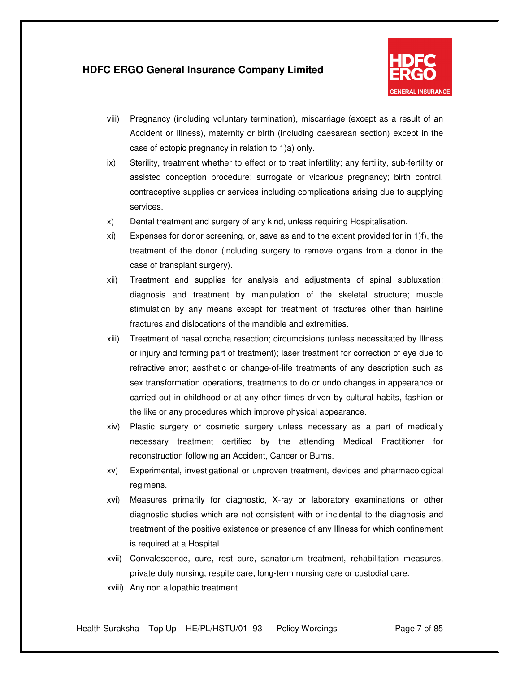

- viii) Pregnancy (including voluntary termination), miscarriage (except as a result of an Accident or Illness), maternity or birth (including caesarean section) except in the case of ectopic pregnancy in relation to 1)a) only.
- ix) Sterility, treatment whether to effect or to treat infertility; any fertility, sub-fertility or assisted conception procedure; surrogate or vicarious pregnancy; birth control, contraceptive supplies or services including complications arising due to supplying services.
- x) Dental treatment and surgery of any kind, unless requiring Hospitalisation.
- xi) Expenses for donor screening, or, save as and to the extent provided for in 1)f), the treatment of the donor (including surgery to remove organs from a donor in the case of transplant surgery).
- xii) Treatment and supplies for analysis and adjustments of spinal subluxation; diagnosis and treatment by manipulation of the skeletal structure; muscle stimulation by any means except for treatment of fractures other than hairline fractures and dislocations of the mandible and extremities.
- xiii) Treatment of nasal concha resection; circumcisions (unless necessitated by Illness or injury and forming part of treatment); laser treatment for correction of eye due to refractive error; aesthetic or change-of-life treatments of any description such as sex transformation operations, treatments to do or undo changes in appearance or carried out in childhood or at any other times driven by cultural habits, fashion or the like or any procedures which improve physical appearance.
- xiv) Plastic surgery or cosmetic surgery unless necessary as a part of medically necessary treatment certified by the attending Medical Practitioner for reconstruction following an Accident, Cancer or Burns.
- xv) Experimental, investigational or unproven treatment, devices and pharmacological regimens.
- xvi) Measures primarily for diagnostic, X-ray or laboratory examinations or other diagnostic studies which are not consistent with or incidental to the diagnosis and treatment of the positive existence or presence of any Illness for which confinement is required at a Hospital.
- xvii) Convalescence, cure, rest cure, sanatorium treatment, rehabilitation measures, private duty nursing, respite care, long-term nursing care or custodial care.
- xviii) Any non allopathic treatment.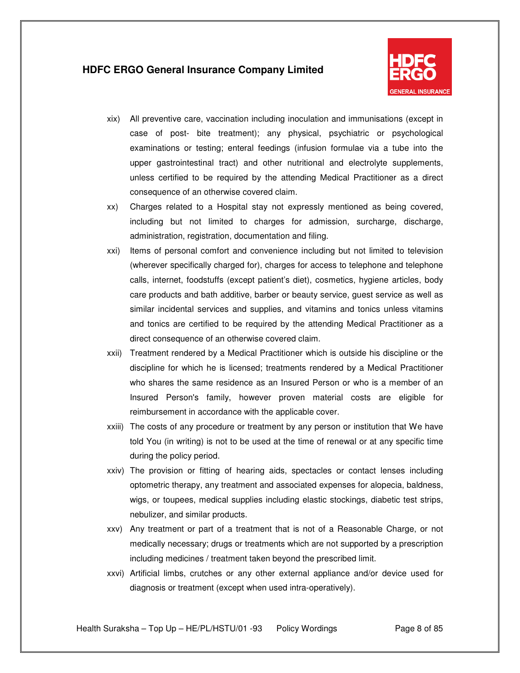

- xix) All preventive care, vaccination including inoculation and immunisations (except in case of post- bite treatment); any physical, psychiatric or psychological examinations or testing; enteral feedings (infusion formulae via a tube into the upper gastrointestinal tract) and other nutritional and electrolyte supplements, unless certified to be required by the attending Medical Practitioner as a direct consequence of an otherwise covered claim.
- xx) Charges related to a Hospital stay not expressly mentioned as being covered, including but not limited to charges for admission, surcharge, discharge, administration, registration, documentation and filing.
- xxi) Items of personal comfort and convenience including but not limited to television (wherever specifically charged for), charges for access to telephone and telephone calls, internet, foodstuffs (except patient's diet), cosmetics, hygiene articles, body care products and bath additive, barber or beauty service, guest service as well as similar incidental services and supplies, and vitamins and tonics unless vitamins and tonics are certified to be required by the attending Medical Practitioner as a direct consequence of an otherwise covered claim.
- xxii) Treatment rendered by a Medical Practitioner which is outside his discipline or the discipline for which he is licensed; treatments rendered by a Medical Practitioner who shares the same residence as an Insured Person or who is a member of an Insured Person's family, however proven material costs are eligible for reimbursement in accordance with the applicable cover.
- xxiii) The costs of any procedure or treatment by any person or institution that We have told You (in writing) is not to be used at the time of renewal or at any specific time during the policy period.
- xxiv) The provision or fitting of hearing aids, spectacles or contact lenses including optometric therapy, any treatment and associated expenses for alopecia, baldness, wigs, or toupees, medical supplies including elastic stockings, diabetic test strips, nebulizer, and similar products.
- xxv) Any treatment or part of a treatment that is not of a Reasonable Charge, or not medically necessary; drugs or treatments which are not supported by a prescription including medicines / treatment taken beyond the prescribed limit.
- xxvi) Artificial limbs, crutches or any other external appliance and/or device used for diagnosis or treatment (except when used intra-operatively).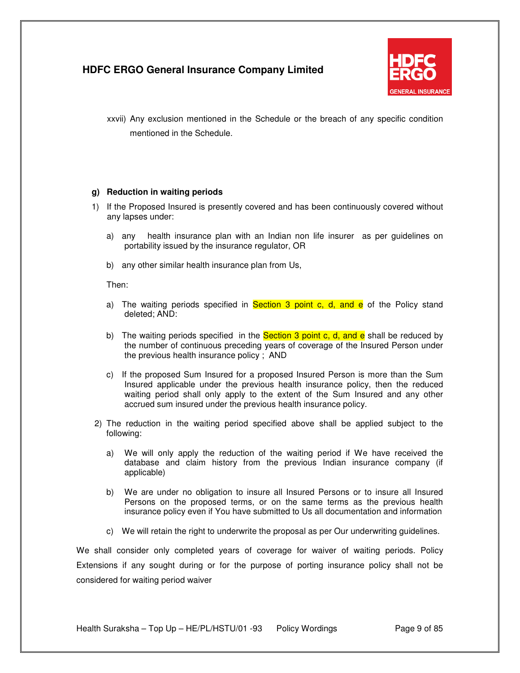

xxvii) Any exclusion mentioned in the Schedule or the breach of any specific condition mentioned in the Schedule.

#### **g) Reduction in waiting periods**

- 1) If the Proposed Insured is presently covered and has been continuously covered without any lapses under:
	- a) any health insurance plan with an Indian non life insurer as per guidelines on portability issued by the insurance regulator, OR
	- b) any other similar health insurance plan from Us,

Then:

- a) The waiting periods specified in **Section 3 point c, d, and e** of the Policy stand deleted; AND:
- b) The waiting periods specified in the **Section 3 point c, d, and e** shall be reduced by the number of continuous preceding years of coverage of the Insured Person under the previous health insurance policy ; AND
- c) If the proposed Sum Insured for a proposed Insured Person is more than the Sum Insured applicable under the previous health insurance policy, then the reduced waiting period shall only apply to the extent of the Sum Insured and any other accrued sum insured under the previous health insurance policy.
- 2) The reduction in the waiting period specified above shall be applied subject to the following:
	- a) We will only apply the reduction of the waiting period if We have received the database and claim history from the previous Indian insurance company (if applicable)
	- b) We are under no obligation to insure all Insured Persons or to insure all Insured Persons on the proposed terms, or on the same terms as the previous health insurance policy even if You have submitted to Us all documentation and information
	- c) We will retain the right to underwrite the proposal as per Our underwriting guidelines.

We shall consider only completed years of coverage for waiver of waiting periods. Policy Extensions if any sought during or for the purpose of porting insurance policy shall not be considered for waiting period waiver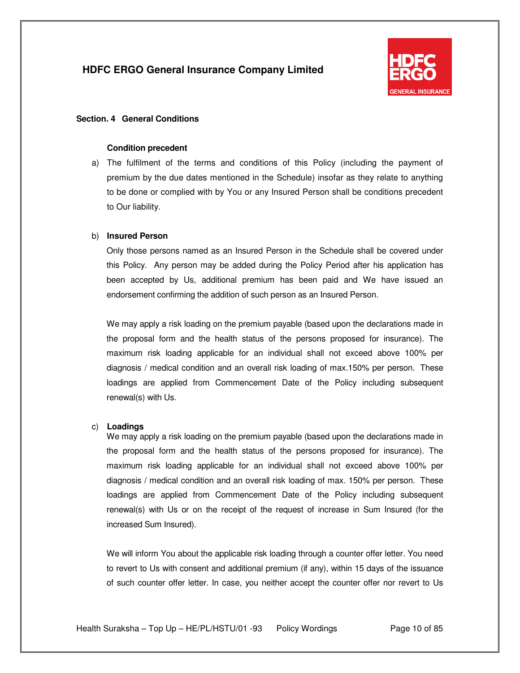

### **Section. 4 General Conditions**

#### **Condition precedent**

a) The fulfilment of the terms and conditions of this Policy (including the payment of premium by the due dates mentioned in the Schedule) insofar as they relate to anything to be done or complied with by You or any Insured Person shall be conditions precedent to Our liability.

#### b) **Insured Person**

Only those persons named as an Insured Person in the Schedule shall be covered under this Policy. Any person may be added during the Policy Period after his application has been accepted by Us, additional premium has been paid and We have issued an endorsement confirming the addition of such person as an Insured Person.

We may apply a risk loading on the premium payable (based upon the declarations made in the proposal form and the health status of the persons proposed for insurance). The maximum risk loading applicable for an individual shall not exceed above 100% per diagnosis / medical condition and an overall risk loading of max.150% per person. These loadings are applied from Commencement Date of the Policy including subsequent renewal(s) with Us.

#### c) **Loadings**

We may apply a risk loading on the premium payable (based upon the declarations made in the proposal form and the health status of the persons proposed for insurance). The maximum risk loading applicable for an individual shall not exceed above 100% per diagnosis / medical condition and an overall risk loading of max. 150% per person. These loadings are applied from Commencement Date of the Policy including subsequent renewal(s) with Us or on the receipt of the request of increase in Sum Insured (for the increased Sum Insured).

We will inform You about the applicable risk loading through a counter offer letter. You need to revert to Us with consent and additional premium (if any), within 15 days of the issuance of such counter offer letter. In case, you neither accept the counter offer nor revert to Us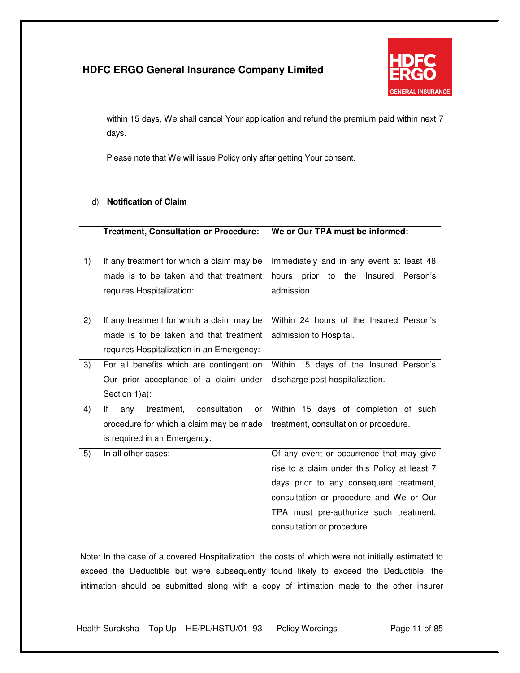

within 15 days, We shall cancel Your application and refund the premium paid within next 7 days.

Please note that We will issue Policy only after getting Your consent.

### d) **Notification of Claim**

|    | <b>Treatment, Consultation or Procedure:</b>  | We or Our TPA must be informed:                    |
|----|-----------------------------------------------|----------------------------------------------------|
|    |                                               |                                                    |
| 1) | If any treatment for which a claim may be     | Immediately and in any event at least 48           |
|    | made is to be taken and that treatment        | Insured<br>prior<br>the<br>Person's<br>hours<br>to |
|    | requires Hospitalization:                     | admission.                                         |
|    |                                               |                                                    |
| 2) | If any treatment for which a claim may be     | Within 24 hours of the Insured Person's            |
|    | made is to be taken and that treatment        | admission to Hospital.                             |
|    | requires Hospitalization in an Emergency:     |                                                    |
| 3) | For all benefits which are contingent on      | Within 15 days of the Insured Person's             |
|    | Our prior acceptance of a claim under         | discharge post hospitalization.                    |
|    | Section 1)a):                                 |                                                    |
| 4) | consultation<br>lf<br>treatment,<br>any<br>or | Within 15 days of completion of such               |
|    | procedure for which a claim may be made       | treatment, consultation or procedure.              |
|    | is required in an Emergency:                  |                                                    |
| 5) | In all other cases:                           | Of any event or occurrence that may give           |
|    |                                               | rise to a claim under this Policy at least 7       |
|    |                                               | days prior to any consequent treatment,            |
|    |                                               | consultation or procedure and We or Our            |
|    |                                               | TPA must pre-authorize such treatment,             |
|    |                                               | consultation or procedure.                         |

Note: In the case of a covered Hospitalization, the costs of which were not initially estimated to exceed the Deductible but were subsequently found likely to exceed the Deductible, the intimation should be submitted along with a copy of intimation made to the other insurer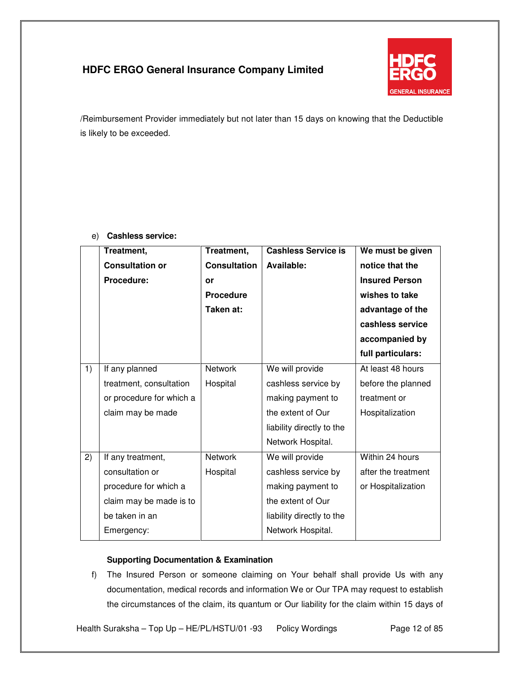

/Reimbursement Provider immediately but not later than 15 days on knowing that the Deductible is likely to be exceeded.

|                 | Treatment,               | Treatment,          | <b>Cashless Service is</b> | We must be given      |
|-----------------|--------------------------|---------------------|----------------------------|-----------------------|
|                 | <b>Consultation or</b>   | <b>Consultation</b> | Available:                 | notice that the       |
|                 | Procedure:               | or                  |                            | <b>Insured Person</b> |
|                 |                          | <b>Procedure</b>    |                            | wishes to take        |
|                 |                          | Taken at:           |                            | advantage of the      |
|                 |                          |                     |                            | cashless service      |
|                 |                          |                     |                            | accompanied by        |
|                 |                          |                     |                            | full particulars:     |
| $\overline{1}$  | If any planned           | <b>Network</b>      | We will provide            | At least 48 hours     |
|                 | treatment, consultation  | Hospital            | cashless service by        | before the planned    |
|                 | or procedure for which a |                     | making payment to          | treatment or          |
|                 | claim may be made        |                     | the extent of Our          | Hospitalization       |
|                 |                          |                     | liability directly to the  |                       |
|                 |                          |                     | Network Hospital.          |                       |
| $\overline{2)}$ | If any treatment,        | <b>Network</b>      | We will provide            | Within 24 hours       |
|                 | consultation or          | Hospital            | cashless service by        | after the treatment   |
|                 | procedure for which a    |                     | making payment to          | or Hospitalization    |
|                 | claim may be made is to  |                     | the extent of Our          |                       |
|                 | be taken in an           |                     | liability directly to the  |                       |
|                 | Emergency:               |                     | Network Hospital.          |                       |
|                 |                          |                     |                            |                       |

### e) **Cashless service:**

### **Supporting Documentation & Examination**

f) The Insured Person or someone claiming on Your behalf shall provide Us with any documentation, medical records and information We or Our TPA may request to establish the circumstances of the claim, its quantum or Our liability for the claim within 15 days of

Health Suraksha - Top Up - HE/PL/HSTU/01 -93 Policy Wordings Page 12 of 85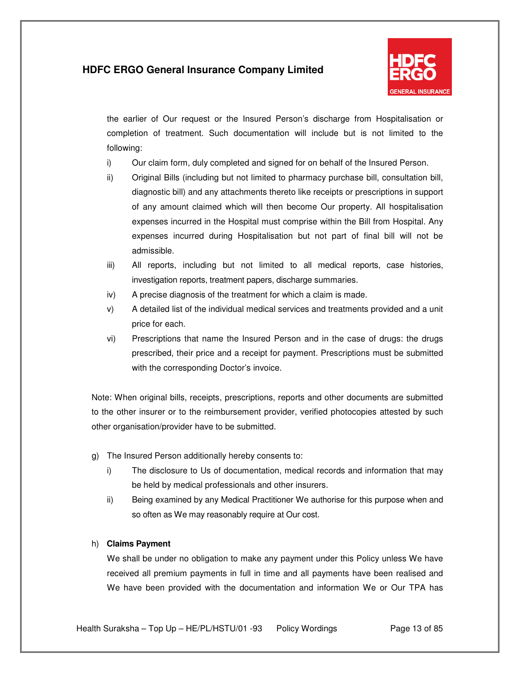

the earlier of Our request or the Insured Person's discharge from Hospitalisation or completion of treatment. Such documentation will include but is not limited to the following:

- i) Our claim form, duly completed and signed for on behalf of the Insured Person.
- ii) Original Bills (including but not limited to pharmacy purchase bill, consultation bill, diagnostic bill) and any attachments thereto like receipts or prescriptions in support of any amount claimed which will then become Our property. All hospitalisation expenses incurred in the Hospital must comprise within the Bill from Hospital. Any expenses incurred during Hospitalisation but not part of final bill will not be admissible.
- iii) All reports, including but not limited to all medical reports, case histories, investigation reports, treatment papers, discharge summaries.
- iv) A precise diagnosis of the treatment for which a claim is made.
- v) A detailed list of the individual medical services and treatments provided and a unit price for each.
- vi) Prescriptions that name the Insured Person and in the case of drugs: the drugs prescribed, their price and a receipt for payment. Prescriptions must be submitted with the corresponding Doctor's invoice.

Note: When original bills, receipts, prescriptions, reports and other documents are submitted to the other insurer or to the reimbursement provider, verified photocopies attested by such other organisation/provider have to be submitted.

- g) The Insured Person additionally hereby consents to:
	- i) The disclosure to Us of documentation, medical records and information that may be held by medical professionals and other insurers.
	- ii) Being examined by any Medical Practitioner We authorise for this purpose when and so often as We may reasonably require at Our cost.

### h) **Claims Payment**

We shall be under no obligation to make any payment under this Policy unless We have received all premium payments in full in time and all payments have been realised and We have been provided with the documentation and information We or Our TPA has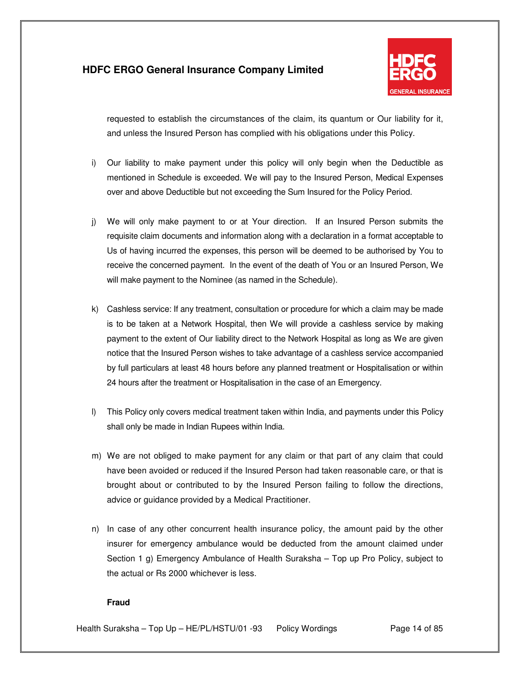

requested to establish the circumstances of the claim, its quantum or Our liability for it, and unless the Insured Person has complied with his obligations under this Policy.

- i) Our liability to make payment under this policy will only begin when the Deductible as mentioned in Schedule is exceeded. We will pay to the Insured Person, Medical Expenses over and above Deductible but not exceeding the Sum Insured for the Policy Period.
- j) We will only make payment to or at Your direction. If an Insured Person submits the requisite claim documents and information along with a declaration in a format acceptable to Us of having incurred the expenses, this person will be deemed to be authorised by You to receive the concerned payment. In the event of the death of You or an Insured Person, We will make payment to the Nominee (as named in the Schedule).
- k) Cashless service: If any treatment, consultation or procedure for which a claim may be made is to be taken at a Network Hospital, then We will provide a cashless service by making payment to the extent of Our liability direct to the Network Hospital as long as We are given notice that the Insured Person wishes to take advantage of a cashless service accompanied by full particulars at least 48 hours before any planned treatment or Hospitalisation or within 24 hours after the treatment or Hospitalisation in the case of an Emergency.
- l) This Policy only covers medical treatment taken within India, and payments under this Policy shall only be made in Indian Rupees within India.
- m) We are not obliged to make payment for any claim or that part of any claim that could have been avoided or reduced if the Insured Person had taken reasonable care, or that is brought about or contributed to by the Insured Person failing to follow the directions, advice or guidance provided by a Medical Practitioner.
- n) In case of any other concurrent health insurance policy, the amount paid by the other insurer for emergency ambulance would be deducted from the amount claimed under Section 1 g) Emergency Ambulance of Health Suraksha – Top up Pro Policy, subject to the actual or Rs 2000 whichever is less.

### **Fraud**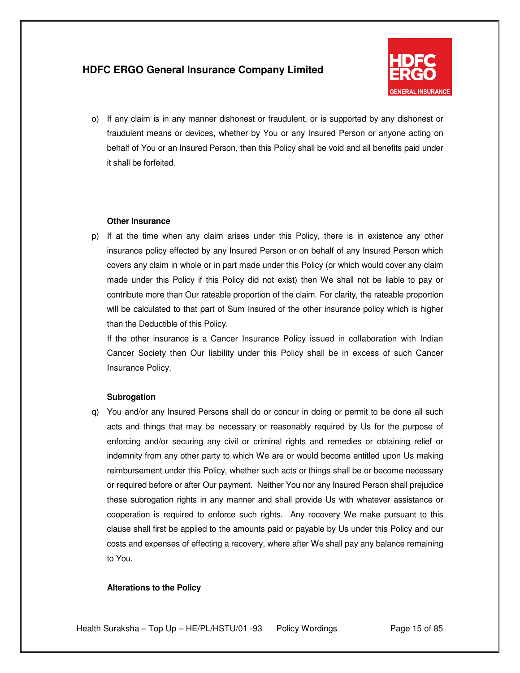

o) If any claim is in any manner dishonest or fraudulent, or is supported by any dishonest or fraudulent means or devices, whether by You or any Insured Person or anyone acting on behalf of You or an Insured Person, then this Policy shall be void and all benefits paid under it shall be forfeited.

#### **Other Insurance**

p) If at the time when any claim arises under this Policy, there is in existence any other insurance policy effected by any Insured Person or on behalf of any Insured Person which covers any claim in whole or in part made under this Policy (or which would cover any claim made under this Policy if this Policy did not exist) then We shall not be liable to pay or contribute more than Our rateable proportion of the claim. For clarity, the rateable proportion will be calculated to that part of Sum Insured of the other insurance policy which is higher than the Deductible of this Policy.

If the other insurance is a Cancer Insurance Policy issued in collaboration with Indian Cancer Society then Our liability under this Policy shall be in excess of such Cancer Insurance Policy.

#### **Subrogation**

q) You and/or any Insured Persons shall do or concur in doing or permit to be done all such acts and things that may be necessary or reasonably required by Us for the purpose of enforcing and/or securing any civil or criminal rights and remedies or obtaining relief or indemnity from any other party to which We are or would become entitled upon Us making reimbursement under this Policy, whether such acts or things shall be or become necessary or required before or after Our payment. Neither You nor any Insured Person shall prejudice these subrogation rights in any manner and shall provide Us with whatever assistance or cooperation is required to enforce such rights. Any recovery We make pursuant to this clause shall first be applied to the amounts paid or payable by Us under this Policy and our costs and expenses of effecting a recovery, where after We shall pay any balance remaining to You.

#### **Alterations to the Policy**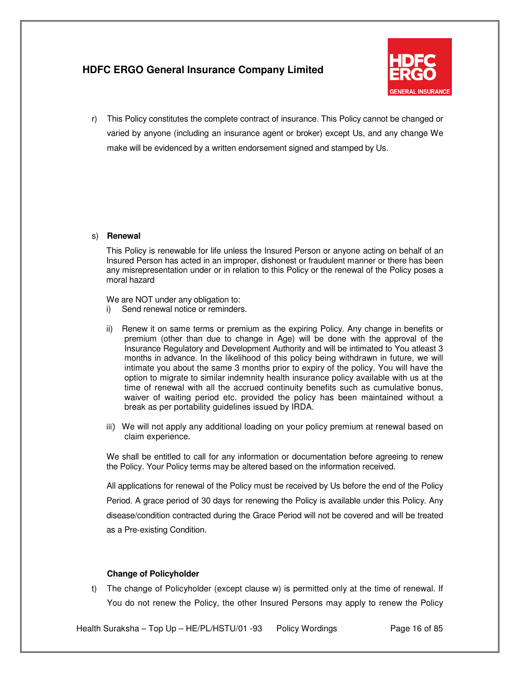

r) This Policy constitutes the complete contract of insurance. This Policy cannot be changed or varied by anyone (including an insurance agent or broker) except Us, and any change We make will be evidenced by a written endorsement signed and stamped by Us.

#### s) **Renewal**

This Policy is renewable for life unless the Insured Person or anyone acting on behalf of an Insured Person has acted in an improper, dishonest or fraudulent manner or there has been any misrepresentation under or in relation to this Policy or the renewal of the Policy poses a moral hazard

We are NOT under any obligation to:

- i) Send renewal notice or reminders.
- ii) Renew it on same terms or premium as the expiring Policy. Any change in benefits or premium (other than due to change in Age) will be done with the approval of the Insurance Regulatory and Development Authority and will be intimated to You atleast 3 months in advance. In the likelihood of this policy being withdrawn in future, we will intimate you about the same 3 months prior to expiry of the policy. You will have the option to migrate to similar indemnity health insurance policy available with us at the time of renewal with all the accrued continuity benefits such as cumulative bonus, waiver of waiting period etc. provided the policy has been maintained without a break as per portability guidelines issued by IRDA.
- iii) We will not apply any additional loading on your policy premium at renewal based on claim experience.

We shall be entitled to call for any information or documentation before agreeing to renew the Policy. Your Policy terms may be altered based on the information received.

All applications for renewal of the Policy must be received by Us before the end of the Policy Period. A grace period of 30 days for renewing the Policy is available under this Policy. Any disease/condition contracted during the Grace Period will not be covered and will be treated as a Pre-existing Condition.

#### **Change of Policyholder**

t) The change of Policyholder (except clause w) is permitted only at the time of renewal. If You do not renew the Policy, the other Insured Persons may apply to renew the Policy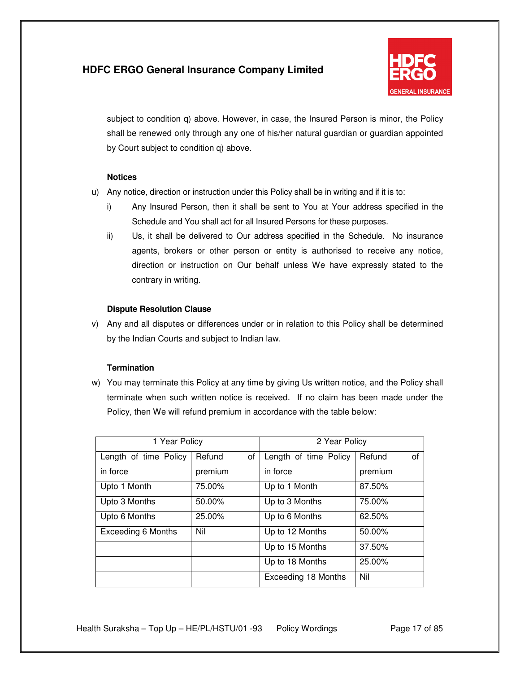

subject to condition q) above. However, in case, the Insured Person is minor, the Policy shall be renewed only through any one of his/her natural guardian or guardian appointed by Court subject to condition q) above.

### **Notices**

- u) Any notice, direction or instruction under this Policy shall be in writing and if it is to:
	- i) Any Insured Person, then it shall be sent to You at Your address specified in the Schedule and You shall act for all Insured Persons for these purposes.
	- ii) Us, it shall be delivered to Our address specified in the Schedule. No insurance agents, brokers or other person or entity is authorised to receive any notice, direction or instruction on Our behalf unless We have expressly stated to the contrary in writing.

### **Dispute Resolution Clause**

v) Any and all disputes or differences under or in relation to this Policy shall be determined by the Indian Courts and subject to Indian law.

### **Termination**

w) You may terminate this Policy at any time by giving Us written notice, and the Policy shall terminate when such written notice is received. If no claim has been made under the Policy, then We will refund premium in accordance with the table below:

| 1 Year Policy             |         | 2 Year Policy |                       |              |
|---------------------------|---------|---------------|-----------------------|--------------|
| Length of time Policy     | Refund  | οf            | Length of time Policy | Refund<br>οf |
| in force                  | premium |               | in force              | premium      |
| Upto 1 Month              | 75.00%  |               | Up to 1 Month         | 87.50%       |
| Upto 3 Months             | 50.00%  |               | Up to 3 Months        | 75.00%       |
| Upto 6 Months             | 25.00%  |               | Up to 6 Months        | 62.50%       |
| <b>Exceeding 6 Months</b> | Nil     |               | Up to 12 Months       | 50.00%       |
|                           |         |               | Up to 15 Months       | 37.50%       |
|                           |         |               | Up to 18 Months       | 25.00%       |
|                           |         |               | Exceeding 18 Months   | Nil          |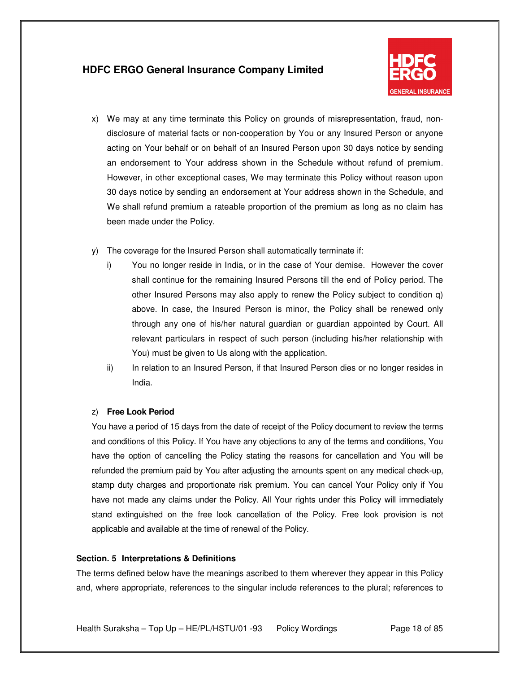

- x) We may at any time terminate this Policy on grounds of misrepresentation, fraud, nondisclosure of material facts or non-cooperation by You or any Insured Person or anyone acting on Your behalf or on behalf of an Insured Person upon 30 days notice by sending an endorsement to Your address shown in the Schedule without refund of premium. However, in other exceptional cases, We may terminate this Policy without reason upon 30 days notice by sending an endorsement at Your address shown in the Schedule, and We shall refund premium a rateable proportion of the premium as long as no claim has been made under the Policy.
- y) The coverage for the Insured Person shall automatically terminate if:
	- i) You no longer reside in India, or in the case of Your demise. However the cover shall continue for the remaining Insured Persons till the end of Policy period. The other Insured Persons may also apply to renew the Policy subject to condition q) above. In case, the Insured Person is minor, the Policy shall be renewed only through any one of his/her natural guardian or guardian appointed by Court. All relevant particulars in respect of such person (including his/her relationship with You) must be given to Us along with the application.
	- ii) In relation to an Insured Person, if that Insured Person dies or no longer resides in India.

#### z) **Free Look Period**

You have a period of 15 days from the date of receipt of the Policy document to review the terms and conditions of this Policy. If You have any objections to any of the terms and conditions, You have the option of cancelling the Policy stating the reasons for cancellation and You will be refunded the premium paid by You after adjusting the amounts spent on any medical check-up, stamp duty charges and proportionate risk premium. You can cancel Your Policy only if You have not made any claims under the Policy. All Your rights under this Policy will immediately stand extinguished on the free look cancellation of the Policy. Free look provision is not applicable and available at the time of renewal of the Policy.

#### **Section. 5 Interpretations & Definitions**

The terms defined below have the meanings ascribed to them wherever they appear in this Policy and, where appropriate, references to the singular include references to the plural; references to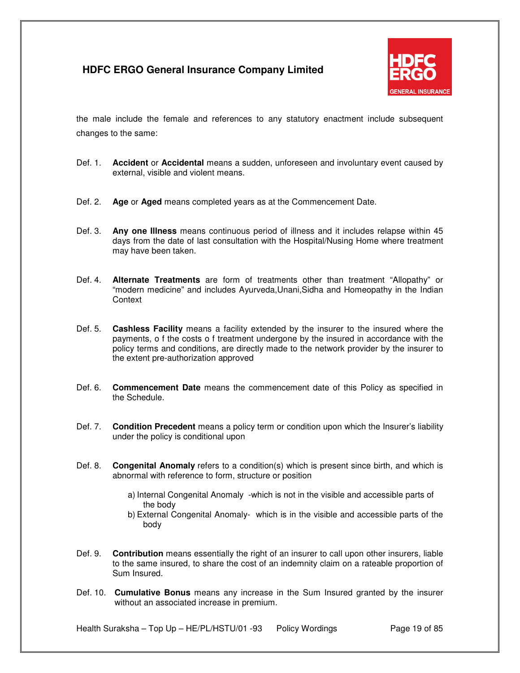

the male include the female and references to any statutory enactment include subsequent changes to the same:

- Def. 1. **Accident** or **Accidental** means a sudden, unforeseen and involuntary event caused by external, visible and violent means.
- Def. 2. **Age** or **Aged** means completed years as at the Commencement Date.
- Def. 3. **Any one Illness** means continuous period of illness and it includes relapse within 45 days from the date of last consultation with the Hospital/Nusing Home where treatment may have been taken.
- Def. 4. **Alternate Treatments** are form of treatments other than treatment "Allopathy" or "modern medicine" and includes Ayurveda,Unani,Sidha and Homeopathy in the Indian **Context**
- Def. 5. **Cashless Facility** means a facility extended by the insurer to the insured where the payments, o f the costs o f treatment undergone by the insured in accordance with the policy terms and conditions, are directly made to the network provider by the insurer to the extent pre-authorization approved
- Def. 6. **Commencement Date** means the commencement date of this Policy as specified in the Schedule.
- Def. 7. **Condition Precedent** means a policy term or condition upon which the Insurer's liability under the policy is conditional upon
- Def. 8. **Congenital Anomaly** refers to a condition(s) which is present since birth, and which is abnormal with reference to form, structure or position
	- a) Internal Congenital Anomaly -which is not in the visible and accessible parts of the body
	- b) External Congenital Anomaly- which is in the visible and accessible parts of the body
- Def. 9. **Contribution** means essentially the right of an insurer to call upon other insurers, liable to the same insured, to share the cost of an indemnity claim on a rateable proportion of Sum Insured.
- Def. 10. **Cumulative Bonus** means any increase in the Sum Insured granted by the insurer without an associated increase in premium.

Health Suraksha – Top Up – HE/PL/HSTU/01 -93 Policy Wordings Page 19 of 85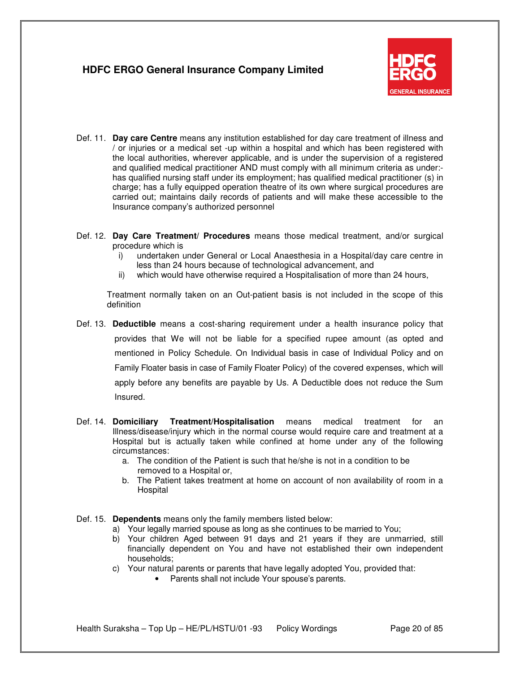

- Def. 11. **Day care Centre** means any institution established for day care treatment of illness and / or injuries or a medical set -up within a hospital and which has been registered with the local authorities, wherever applicable, and is under the supervision of a registered and qualified medical practitioner AND must comply with all minimum criteria as under: has qualified nursing staff under its employment; has qualified medical practitioner (s) in charge; has a fully equipped operation theatre of its own where surgical procedures are carried out; maintains daily records of patients and will make these accessible to the Insurance company's authorized personnel
- Def. 12. **Day Care Treatment/ Procedures** means those medical treatment, and/or surgical procedure which is
	- i) undertaken under General or Local Anaesthesia in a Hospital/day care centre in less than 24 hours because of technological advancement, and
	- ii) which would have otherwise required a Hospitalisation of more than 24 hours,

Treatment normally taken on an Out-patient basis is not included in the scope of this definition

- Def. 13. **Deductible** means a cost-sharing requirement under a health insurance policy that provides that We will not be liable for a specified rupee amount (as opted and mentioned in Policy Schedule. On Individual basis in case of Individual Policy and on Family Floater basis in case of Family Floater Policy) of the covered expenses, which will apply before any benefits are payable by Us. A Deductible does not reduce the Sum Insured.
- Def. 14. **Domiciliary Treatment/Hospitalisation** means medical treatment for an Illness/disease/injury which in the normal course would require care and treatment at a Hospital but is actually taken while confined at home under any of the following circumstances:
	- a. The condition of the Patient is such that he/she is not in a condition to be removed to a Hospital or,
	- b. The Patient takes treatment at home on account of non availability of room in a Hospital
- Def. 15. **Dependents** means only the family members listed below:
	- a) Your legally married spouse as long as she continues to be married to You;
	- b) Your children Aged between 91 days and 21 years if they are unmarried, still financially dependent on You and have not established their own independent households;
	- c) Your natural parents or parents that have legally adopted You, provided that:
		- Parents shall not include Your spouse's parents.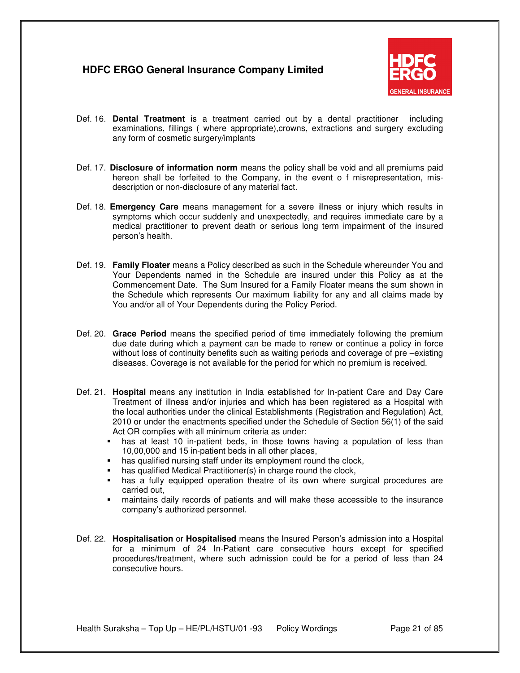

- Def. 16. **Dental Treatment** is a treatment carried out by a dental practitioner including examinations, fillings ( where appropriate),crowns, extractions and surgery excluding any form of cosmetic surgery/implants
- Def. 17. **Disclosure of information norm** means the policy shall be void and all premiums paid hereon shall be forfeited to the Company, in the event o f misrepresentation, misdescription or non-disclosure of any material fact.
- Def. 18. **Emergency Care** means management for a severe illness or injury which results in symptoms which occur suddenly and unexpectedly, and requires immediate care by a medical practitioner to prevent death or serious long term impairment of the insured person's health.
- Def. 19. **Family Floater** means a Policy described as such in the Schedule whereunder You and Your Dependents named in the Schedule are insured under this Policy as at the Commencement Date. The Sum Insured for a Family Floater means the sum shown in the Schedule which represents Our maximum liability for any and all claims made by You and/or all of Your Dependents during the Policy Period.
- Def. 20. **Grace Period** means the specified period of time immediately following the premium due date during which a payment can be made to renew or continue a policy in force without loss of continuity benefits such as waiting periods and coverage of pre –existing diseases. Coverage is not available for the period for which no premium is received.
- Def. 21. **Hospital** means any institution in India established for In-patient Care and Day Care Treatment of illness and/or injuries and which has been registered as a Hospital with the local authorities under the clinical Establishments (Registration and Regulation) Act, 2010 or under the enactments specified under the Schedule of Section 56(1) of the said Act OR complies with all minimum criteria as under:
	- has at least 10 in-patient beds, in those towns having a population of less than 10,00,000 and 15 in-patient beds in all other places,
	- **has qualified nursing staff under its employment round the clock,**
	- has qualified Medical Practitioner(s) in charge round the clock,
	- has a fully equipped operation theatre of its own where surgical procedures are carried out,
	- maintains daily records of patients and will make these accessible to the insurance company's authorized personnel.
- Def. 22. **Hospitalisation** or **Hospitalised** means the Insured Person's admission into a Hospital for a minimum of 24 In-Patient care consecutive hours except for specified procedures/treatment, where such admission could be for a period of less than 24 consecutive hours.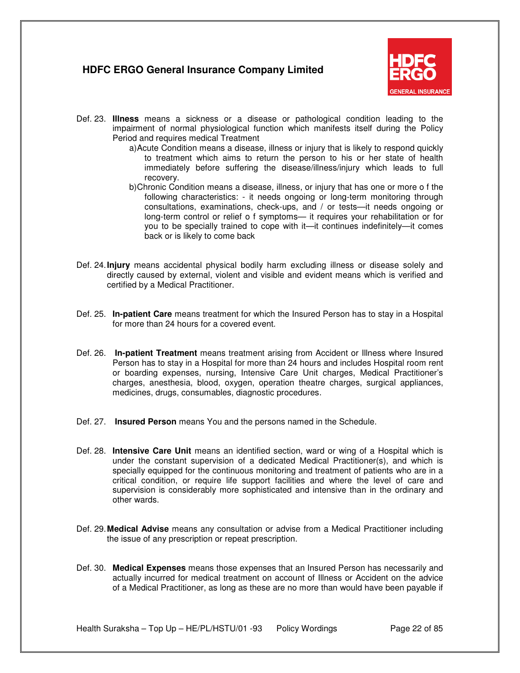

- Def. 23. **Illness** means a sickness or a disease or pathological condition leading to the impairment of normal physiological function which manifests itself during the Policy Period and requires medical Treatment
	- a) Acute Condition means a disease, illness or injury that is likely to respond quickly to treatment which aims to return the person to his or her state of health immediately before suffering the disease/illness/injury which leads to full recovery.
	- b) Chronic Condition means a disease, illness, or injury that has one or more o f the following characteristics: - it needs ongoing or long-term monitoring through consultations, examinations, check-ups, and / or tests—it needs ongoing or long-term control or relief o f symptoms— it requires your rehabilitation or for you to be specially trained to cope with it—it continues indefinitely—it comes back or is likely to come back
- Def. 24. **Injury** means accidental physical bodily harm excluding illness or disease solely and directly caused by external, violent and visible and evident means which is verified and certified by a Medical Practitioner.
- Def. 25. **In-patient Care** means treatment for which the Insured Person has to stay in a Hospital for more than 24 hours for a covered event.
- Def. 26. **In-patient Treatment** means treatment arising from Accident or Illness where Insured Person has to stay in a Hospital for more than 24 hours and includes Hospital room rent or boarding expenses, nursing, Intensive Care Unit charges, Medical Practitioner's charges, anesthesia, blood, oxygen, operation theatre charges, surgical appliances, medicines, drugs, consumables, diagnostic procedures.
- Def. 27. **Insured Person** means You and the persons named in the Schedule.
- Def. 28. **Intensive Care Unit** means an identified section, ward or wing of a Hospital which is under the constant supervision of a dedicated Medical Practitioner(s), and which is specially equipped for the continuous monitoring and treatment of patients who are in a critical condition, or require life support facilities and where the level of care and supervision is considerably more sophisticated and intensive than in the ordinary and other wards.
- Def. 29. **Medical Advise** means any consultation or advise from a Medical Practitioner including the issue of any prescription or repeat prescription.
- Def. 30. **Medical Expenses** means those expenses that an Insured Person has necessarily and actually incurred for medical treatment on account of Illness or Accident on the advice of a Medical Practitioner, as long as these are no more than would have been payable if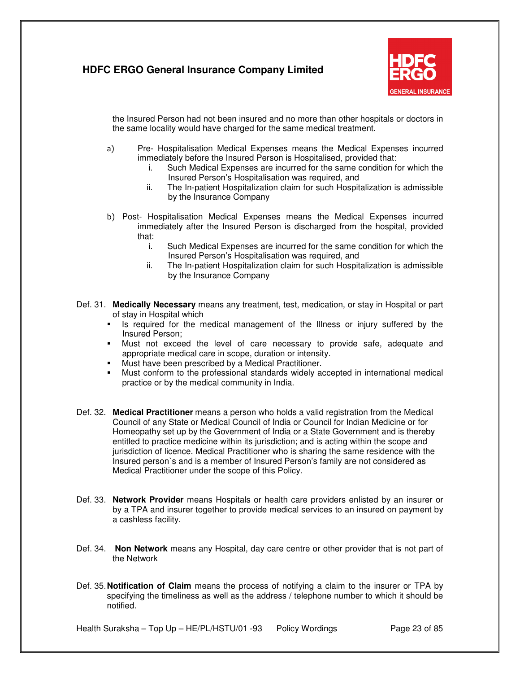

the Insured Person had not been insured and no more than other hospitals or doctors in the same locality would have charged for the same medical treatment.

- a) Pre- Hospitalisation Medical Expenses means the Medical Expenses incurred immediately before the Insured Person is Hospitalised, provided that:
	- i. Such Medical Expenses are incurred for the same condition for which the Insured Person's Hospitalisation was required, and
	- ii. The In-patient Hospitalization claim for such Hospitalization is admissible by the Insurance Company
- b) Post- Hospitalisation Medical Expenses means the Medical Expenses incurred immediately after the Insured Person is discharged from the hospital, provided that:
	- i. Such Medical Expenses are incurred for the same condition for which the Insured Person's Hospitalisation was required, and
	- ii. The In-patient Hospitalization claim for such Hospitalization is admissible by the Insurance Company
- Def. 31. **Medically Necessary** means any treatment, test, medication, or stay in Hospital or part of stay in Hospital which
	- If is required for the medical management of the Illness or injury suffered by the Insured Person;
	- Must not exceed the level of care necessary to provide safe, adequate and appropriate medical care in scope, duration or intensity.
	- Must have been prescribed by a Medical Practitioner.
	- Must conform to the professional standards widely accepted in international medical practice or by the medical community in India.
- Def. 32. **Medical Practitioner** means a person who holds a valid registration from the Medical Council of any State or Medical Council of India or Council for Indian Medicine or for Homeopathy set up by the Government of India or a State Government and is thereby entitled to practice medicine within its jurisdiction; and is acting within the scope and jurisdiction of licence. Medical Practitioner who is sharing the same residence with the Insured person`s and is a member of Insured Person's family are not considered as Medical Practitioner under the scope of this Policy.
- Def. 33. **Network Provider** means Hospitals or health care providers enlisted by an insurer or by a TPA and insurer together to provide medical services to an insured on payment by a cashless facility.
- Def. 34. **Non Network** means any Hospital, day care centre or other provider that is not part of the Network
- Def. 35. **Notification of Claim** means the process of notifying a claim to the insurer or TPA by specifying the timeliness as well as the address / telephone number to which it should be notified.

Health Suraksha – Top Up – HE/PL/HSTU/01 -93 Policy Wordings Page 23 of 85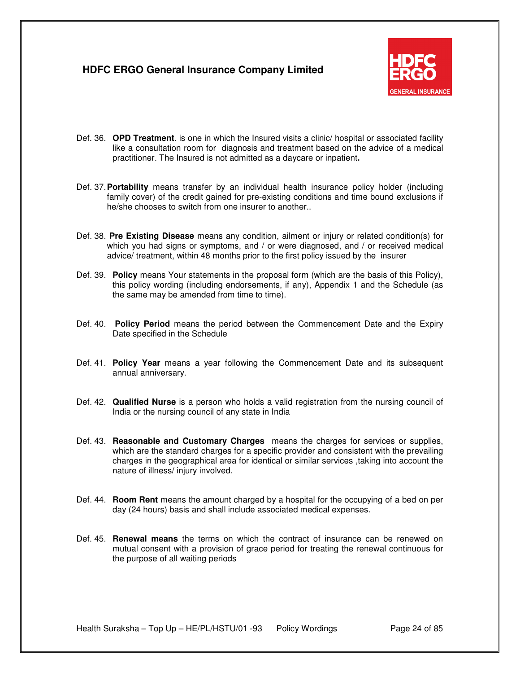

- Def. 36. **OPD Treatment**. is one in which the Insured visits a clinic/ hospital or associated facility like a consultation room for diagnosis and treatment based on the advice of a medical practitioner. The Insured is not admitted as a daycare or inpatient**.**
- Def. 37. **Portability** means transfer by an individual health insurance policy holder (including family cover) of the credit gained for pre-existing conditions and time bound exclusions if he/she chooses to switch from one insurer to another..
- Def. 38. **Pre Existing Disease** means any condition, ailment or injury or related condition(s) for which you had signs or symptoms, and / or were diagnosed, and / or received medical advice/ treatment, within 48 months prior to the first policy issued by the insurer
- Def. 39. **Policy** means Your statements in the proposal form (which are the basis of this Policy), this policy wording (including endorsements, if any), Appendix 1 and the Schedule (as the same may be amended from time to time).
- Def. 40. **Policy Period** means the period between the Commencement Date and the Expiry Date specified in the Schedule
- Def. 41. **Policy Year** means a year following the Commencement Date and its subsequent annual anniversary.
- Def. 42. **Qualified Nurse** is a person who holds a valid registration from the nursing council of India or the nursing council of any state in India
- Def. 43. **Reasonable and Customary Charges** means the charges for services or supplies, which are the standard charges for a specific provider and consistent with the prevailing charges in the geographical area for identical or similar services ,taking into account the nature of illness/ injury involved.
- Def. 44. **Room Rent** means the amount charged by a hospital for the occupying of a bed on per day (24 hours) basis and shall include associated medical expenses.
- Def. 45. **Renewal means** the terms on which the contract of insurance can be renewed on mutual consent with a provision of grace period for treating the renewal continuous for the purpose of all waiting periods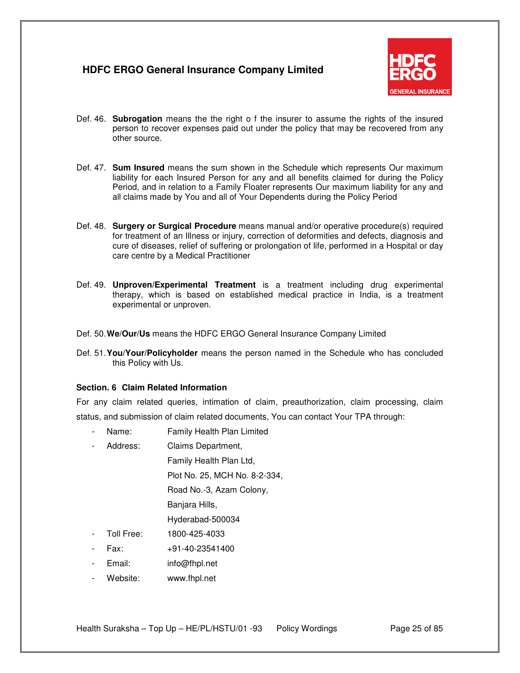

- Def. 46. **Subrogation** means the the right o f the insurer to assume the rights of the insured person to recover expenses paid out under the policy that may be recovered from any other source.
- Def. 47. **Sum Insured** means the sum shown in the Schedule which represents Our maximum liability for each Insured Person for any and all benefits claimed for during the Policy Period, and in relation to a Family Floater represents Our maximum liability for any and all claims made by You and all of Your Dependents during the Policy Period
- Def. 48. **Surgery or Surgical Procedure** means manual and/or operative procedure(s) required for treatment of an Illness or injury, correction of deformities and defects, diagnosis and cure of diseases, relief of suffering or prolongation of life, performed in a Hospital or day care centre by a Medical Practitioner
- Def. 49. **Unproven/Experimental Treatment** is a treatment including drug experimental therapy, which is based on established medical practice in India, is a treatment experimental or unproven.
- Def. 50. **We/Our/Us** means the HDFC ERGO General Insurance Company Limited
- Def. 51. **You/Your/Policyholder** means the person named in the Schedule who has concluded this Policy with Us.

#### **Section. 6 Claim Related Information**

For any claim related queries, intimation of claim, preauthorization, claim processing, claim status, and submission of claim related documents, You can contact Your TPA through:

- Name: Family Health Plan Limited
- Address: Claims Department,

Family Health Plan Ltd,

Plot No. 25, MCH No. 8-2-334,

Road No.-3, Azam Colony,

Banjara Hills,

Hyderabad-500034

- Toll Free: 1800-425-4033
- Fax: +91-40-23541400
- Email: info@fhpl.net
- Website: www.fhpl.net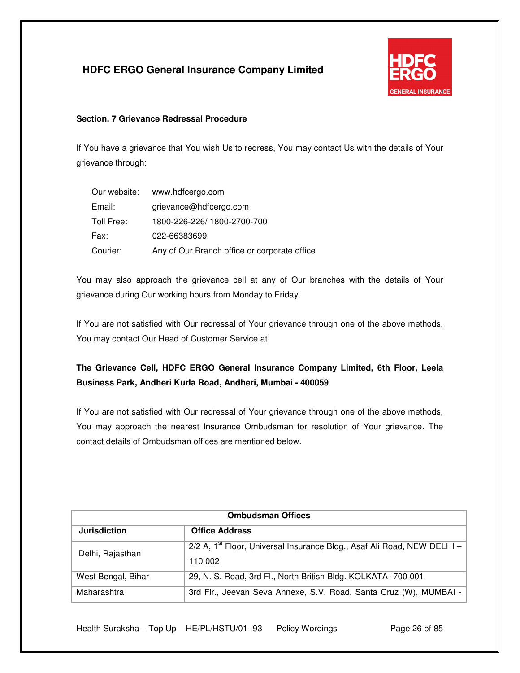

### **Section. 7 Grievance Redressal Procedure**

If You have a grievance that You wish Us to redress, You may contact Us with the details of Your grievance through:

| Our website: | www.hdfcergo.com                             |
|--------------|----------------------------------------------|
| Email:       | grievance@hdfcergo.com                       |
| Toll Free:   | 1800-226-226/1800-2700-700                   |
| Fax:         | 022-66383699                                 |
| Courier:     | Any of Our Branch office or corporate office |

You may also approach the grievance cell at any of Our branches with the details of Your grievance during Our working hours from Monday to Friday.

If You are not satisfied with Our redressal of Your grievance through one of the above methods, You may contact Our Head of Customer Service at

# **The Grievance Cell, HDFC ERGO General Insurance Company Limited, 6th Floor, Leela Business Park, Andheri Kurla Road, Andheri, Mumbai - 400059**

If You are not satisfied with Our redressal of Your grievance through one of the above methods, You may approach the nearest Insurance Ombudsman for resolution of Your grievance. The contact details of Ombudsman offices are mentioned below.

| <b>Ombudsman Offices</b> |                                                                                       |  |
|--------------------------|---------------------------------------------------------------------------------------|--|
| <b>Jurisdiction</b>      | <b>Office Address</b>                                                                 |  |
| Delhi, Rajasthan         | $2/2$ A, 1 <sup>st</sup> Floor, Universal Insurance Bldg., Asaf Ali Road, NEW DELHI - |  |
|                          | 110 002                                                                               |  |
| West Bengal, Bihar       | 29, N. S. Road, 3rd Fl., North British Bldg. KOLKATA -700 001.                        |  |
| Maharashtra              | 3rd Flr., Jeevan Seva Annexe, S.V. Road, Santa Cruz (W), MUMBAI -                     |  |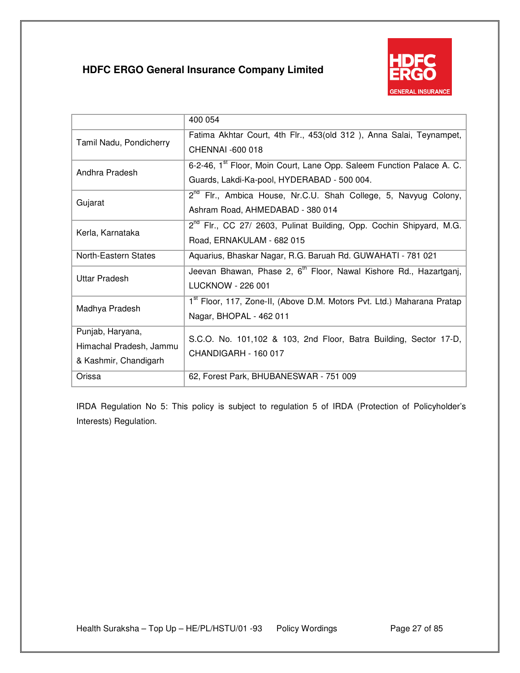

|                         | 400 054                                                                            |
|-------------------------|------------------------------------------------------------------------------------|
| Tamil Nadu, Pondicherry | Fatima Akhtar Court, 4th Flr., 453(old 312), Anna Salai, Teynampet,                |
|                         | CHENNAI -600 018                                                                   |
| Andhra Pradesh          | 6-2-46, 1 <sup>st</sup> Floor, Moin Court, Lane Opp. Saleem Function Palace A. C.  |
|                         | Guards, Lakdi-Ka-pool, HYDERABAD - 500 004.                                        |
| Gujarat                 | 2 <sup>nd</sup> Flr., Ambica House, Nr.C.U. Shah College, 5, Navyug Colony,        |
|                         | Ashram Road, AHMEDABAD - 380 014                                                   |
| Kerla, Karnataka        | 2 <sup>nd</sup> Flr., CC 27/ 2603, Pulinat Building, Opp. Cochin Shipyard, M.G.    |
|                         | Road, ERNAKULAM - 682 015                                                          |
| North-Eastern States    | Aquarius, Bhaskar Nagar, R.G. Baruah Rd. GUWAHATI - 781 021                        |
| Uttar Pradesh           | Jeevan Bhawan, Phase 2, 6 <sup>th</sup> Floor, Nawal Kishore Rd., Hazartganj,      |
|                         | LUCKNOW - 226 001                                                                  |
| Madhya Pradesh          | 1 <sup>st</sup> Floor, 117, Zone-II, (Above D.M. Motors Pvt. Ltd.) Maharana Pratap |
|                         | Nagar, BHOPAL - 462 011                                                            |
| Punjab, Haryana,        | S.C.O. No. 101,102 & 103, 2nd Floor, Batra Building, Sector 17-D,                  |
| Himachal Pradesh, Jammu | CHANDIGARH - 160 017                                                               |
| & Kashmir, Chandigarh   |                                                                                    |
| Orissa                  | 62, Forest Park, BHUBANESWAR - 751 009                                             |

IRDA Regulation No 5: This policy is subject to regulation 5 of IRDA (Protection of Policyholder's Interests) Regulation.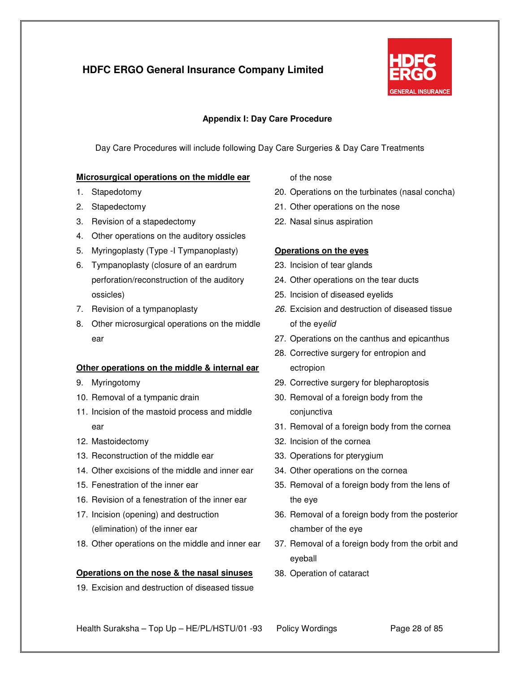

### **Appendix I: Day Care Procedure**

Day Care Procedures will include following Day Care Surgeries & Day Care Treatments

#### **Microsurgical operations on the middle ear**

- 1. Stapedotomy
- 2. Stapedectomy
- 3. Revision of a stapedectomy
- 4. Other operations on the auditory ossicles
- 5. Myringoplasty (Type -I Tympanoplasty)
- 6. Tympanoplasty (closure of an eardrum perforation/reconstruction of the auditory ossicles)
- 7. Revision of a tympanoplasty
- 8. Other microsurgical operations on the middle ear

### **Other operations on the middle & internal ear**

- 9. Myringotomy
- 10. Removal of a tympanic drain
- 11. Incision of the mastoid process and middle ear
- 12. Mastoidectomy
- 13. Reconstruction of the middle ear
- 14. Other excisions of the middle and inner ear
- 15. Fenestration of the inner ear
- 16. Revision of a fenestration of the inner ear
- 17. Incision (opening) and destruction (elimination) of the inner ear
- 18. Other operations on the middle and inner ear

#### **Operations on the nose & the nasal sinuses**

19. Excision and destruction of diseased tissue

of the nose

- 20. Operations on the turbinates (nasal concha)
- 21. Other operations on the nose
- 22. Nasal sinus aspiration

#### **Operations on the eyes**

- 23. Incision of tear glands
- 24. Other operations on the tear ducts
- 25. Incision of diseased eyelids
- 26. Excision and destruction of diseased tissue of the eyelid
- 27. Operations on the canthus and epicanthus
- 28. Corrective surgery for entropion and ectropion
- 29. Corrective surgery for blepharoptosis
- 30. Removal of a foreign body from the conjunctiva
- 31. Removal of a foreign body from the cornea
- 32. Incision of the cornea
- 33. Operations for pterygium
- 34. Other operations on the cornea
- 35. Removal of a foreign body from the lens of the eye
- 36. Removal of a foreign body from the posterior chamber of the eye
- 37. Removal of a foreign body from the orbit and eyeball
- 38. Operation of cataract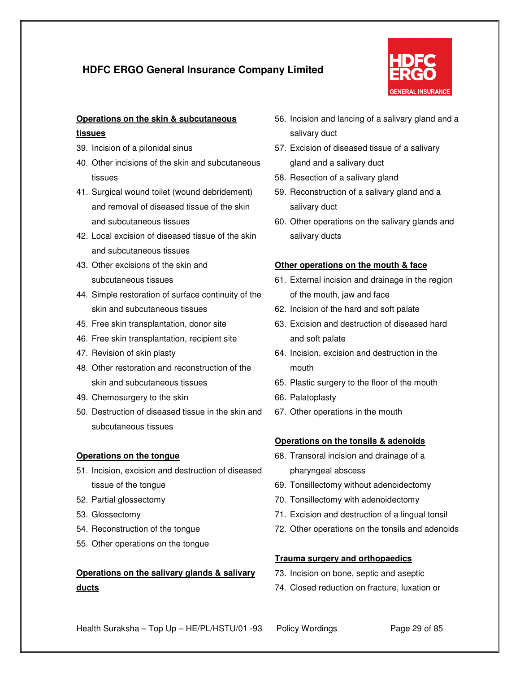

# **Operations on the skin & subcutaneous**

### **tissues**

- 39. Incision of a pilonidal sinus
- 40. Other incisions of the skin and subcutaneous tissues
- 41. Surgical wound toilet (wound debridement) and removal of diseased tissue of the skin and subcutaneous tissues
- 42. Local excision of diseased tissue of the skin and subcutaneous tissues
- 43. Other excisions of the skin and subcutaneous tissues
- 44. Simple restoration of surface continuity of the skin and subcutaneous tissues
- 45. Free skin transplantation, donor site
- 46. Free skin transplantation, recipient site
- 47. Revision of skin plasty
- 48. Other restoration and reconstruction of the skin and subcutaneous tissues
- 49. Chemosurgery to the skin
- 50. Destruction of diseased tissue in the skin and subcutaneous tissues

### **Operations on the tongue**

- 51. Incision, excision and destruction of diseased tissue of the tongue
- 52. Partial glossectomy
- 53. Glossectomy
- 54. Reconstruction of the tongue
- 55. Other operations on the tongue

# **Operations on the salivary glands & salivary ducts**

- 56. Incision and lancing of a salivary gland and a salivary duct
- 57. Excision of diseased tissue of a salivary gland and a salivary duct
- 58. Resection of a salivary gland
- 59. Reconstruction of a salivary gland and a salivary duct
- 60. Other operations on the salivary glands and salivary ducts

### **Other operations on the mouth & face**

- 61. External incision and drainage in the region of the mouth, jaw and face
- 62. Incision of the hard and soft palate
- 63. Excision and destruction of diseased hard and soft palate
- 64. Incision, excision and destruction in the mouth
- 65. Plastic surgery to the floor of the mouth
- 66. Palatoplasty
- 67. Other operations in the mouth

### **Operations on the tonsils & adenoids**

- 68. Transoral incision and drainage of a pharyngeal abscess
- 69. Tonsillectomy without adenoidectomy
- 70. Tonsillectomy with adenoidectomy
- 71. Excision and destruction of a lingual tonsil
- 72. Other operations on the tonsils and adenoids

### **Trauma surgery and orthopaedics**

- 73. Incision on bone, septic and aseptic
- 74. Closed reduction on fracture, luxation or

Health Suraksha – Top Up – HE/PL/HSTU/01 -93 Policy Wordings Page 29 of 85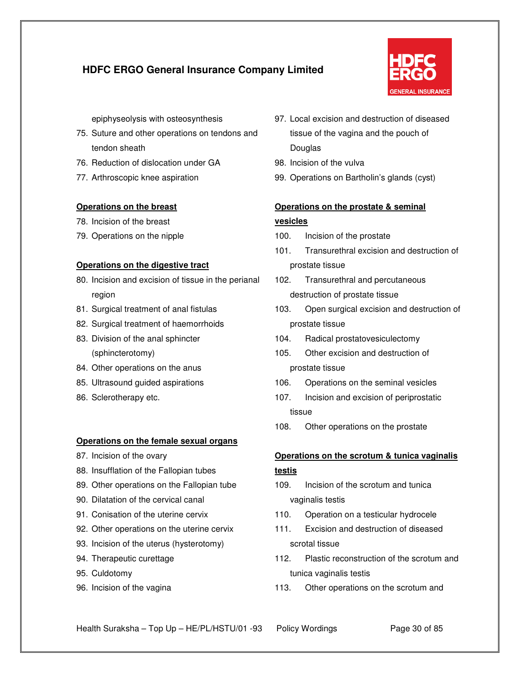

epiphyseolysis with osteosynthesis

- 75. Suture and other operations on tendons and tendon sheath
- 76. Reduction of dislocation under GA
- 77. Arthroscopic knee aspiration

#### **Operations on the breast**

- 78. Incision of the breast
- 79. Operations on the nipple

#### **Operations on the digestive tract**

- 80. Incision and excision of tissue in the perianal region
- 81. Surgical treatment of anal fistulas
- 82. Surgical treatment of haemorrhoids
- 83. Division of the anal sphincter (sphincterotomy)
- 84. Other operations on the anus
- 85. Ultrasound guided aspirations
- 86. Sclerotherapy etc.

#### **Operations on the female sexual organs**

- 87. Incision of the ovary
- 88. Insufflation of the Fallopian tubes
- 89. Other operations on the Fallopian tube
- 90. Dilatation of the cervical canal
- 91. Conisation of the uterine cervix
- 92. Other operations on the uterine cervix
- 93. Incision of the uterus (hysterotomy)
- 94. Therapeutic curettage
- 95. Culdotomy
- 96. Incision of the vagina
- 97. Local excision and destruction of diseased tissue of the vagina and the pouch of Douglas
- 98. Incision of the vulva
- 99. Operations on Bartholin's glands (cyst)

## **Operations on the prostate & seminal vesicles**

- 100. Incision of the prostate
- 101. Transurethral excision and destruction of prostate tissue
- 102. Transurethral and percutaneous destruction of prostate tissue
- 103. Open surgical excision and destruction of prostate tissue
- 104. Radical prostatovesiculectomy
- 105. Other excision and destruction of prostate tissue
- 106. Operations on the seminal vesicles
- 107. Incision and excision of periprostatic tissue
- 108. Other operations on the prostate

### **Operations on the scrotum & tunica vaginalis**

### **testis**

- 109. Incision of the scrotum and tunica vaginalis testis
- 110. Operation on a testicular hydrocele
- 111. Excision and destruction of diseased scrotal tissue
- 112. Plastic reconstruction of the scrotum and tunica vaginalis testis
- 113. Other operations on the scrotum and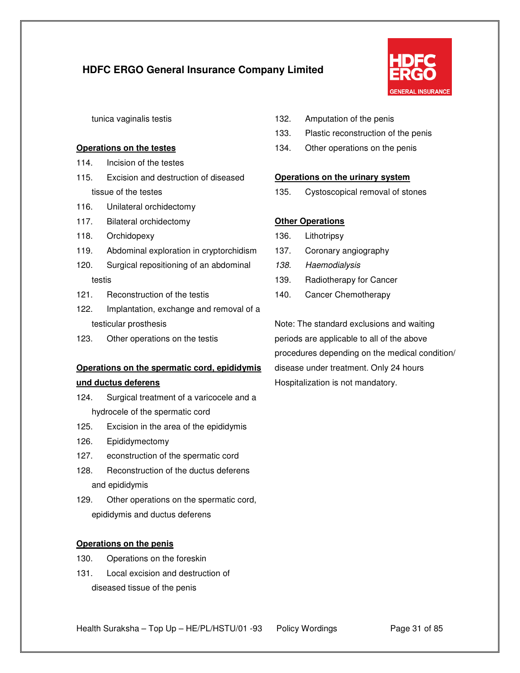

tunica vaginalis testis

#### **Operations on the testes**

- 114. Incision of the testes
- 115. Excision and destruction of diseased tissue of the testes
- 116. Unilateral orchidectomy
- 117. Bilateral orchidectomy
- 118. Orchidopexy
- 119. Abdominal exploration in cryptorchidism
- 120. Surgical repositioning of an abdominal testis
- 121. Reconstruction of the testis
- 122. Implantation, exchange and removal of a testicular prosthesis
- 123. Other operations on the testis

# **Operations on the spermatic cord, epididymis und ductus deferens**

- 124. Surgical treatment of a varicocele and a hydrocele of the spermatic cord
- 125. Excision in the area of the epididymis
- 126. Epididymectomy
- 127. econstruction of the spermatic cord
- 128. Reconstruction of the ductus deferens and epididymis
- 129. Other operations on the spermatic cord, epididymis and ductus deferens

### **Operations on the penis**

- 130. Operations on the foreskin
- 131. Local excision and destruction of diseased tissue of the penis
- 132. Amputation of the penis
- 133. Plastic reconstruction of the penis
- 134. Other operations on the penis

### **Operations on the urinary system**

135. Cystoscopical removal of stones

### **Other Operations**

- 136. Lithotripsy
- 137. Coronary angiography
- 138. Haemodialysis
- 139. Radiotherapy for Cancer
- 140. Cancer Chemotherapy

Note: The standard exclusions and waiting periods are applicable to all of the above procedures depending on the medical condition/ disease under treatment. Only 24 hours Hospitalization is not mandatory.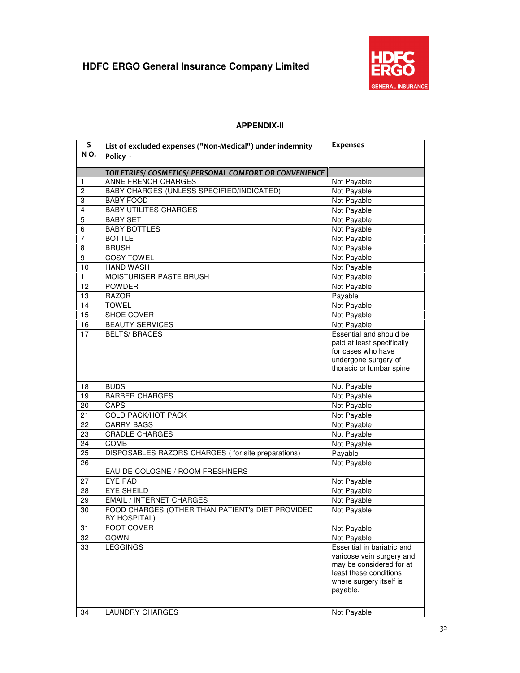

### **APPENDIX-II**

| S<br>NO. | List of excluded expenses ("Non-Medical") under indemnity<br>Policy - | <b>Expenses</b>                                                                                                                                      |
|----------|-----------------------------------------------------------------------|------------------------------------------------------------------------------------------------------------------------------------------------------|
|          |                                                                       |                                                                                                                                                      |
|          | TOILETRIES/ COSMETICS/ PERSONAL COMFORT OR CONVENIENCE                |                                                                                                                                                      |
| 1        | ANNE FRENCH CHARGES                                                   | Not Payable                                                                                                                                          |
| 2        | BABY CHARGES (UNLESS SPECIFIED/INDICATED)                             | Not Payable                                                                                                                                          |
| 3        | <b>BABY FOOD</b>                                                      | Not Payable                                                                                                                                          |
| 4        | <b>BABY UTILITES CHARGES</b>                                          | Not Payable                                                                                                                                          |
| 5        | <b>BABY SET</b>                                                       | Not Payable                                                                                                                                          |
| 6        | <b>BABY BOTTLES</b>                                                   | Not Payable                                                                                                                                          |
| 7        | <b>BOTTLE</b>                                                         | Not Payable                                                                                                                                          |
| 8        | <b>BRUSH</b>                                                          | Not Payable                                                                                                                                          |
| 9        | <b>COSY TOWEL</b>                                                     | Not Payable                                                                                                                                          |
| 10       | <b>HAND WASH</b>                                                      | Not Payable                                                                                                                                          |
| 11       | MOISTURISER PASTE BRUSH                                               | Not Payable                                                                                                                                          |
| 12       | <b>POWDER</b>                                                         | Not Payable                                                                                                                                          |
| 13       | <b>RAZOR</b>                                                          | Payable                                                                                                                                              |
| 14       | <b>TOWEL</b>                                                          | Not Payable                                                                                                                                          |
| 15       | <b>SHOE COVER</b>                                                     | Not Payable                                                                                                                                          |
| 16       | <b>BEAUTY SERVICES</b>                                                | Not Payable                                                                                                                                          |
| 17       | <b>BELTS/ BRACES</b>                                                  | Essential and should be<br>paid at least specifically<br>for cases who have<br>undergone surgery of                                                  |
|          |                                                                       | thoracic or lumbar spine                                                                                                                             |
| 18       | <b>BUDS</b>                                                           | Not Payable                                                                                                                                          |
| 19       | <b>BARBER CHARGES</b>                                                 | Not Payable                                                                                                                                          |
| 20       | CAPS                                                                  | Not Payable                                                                                                                                          |
| 21       | <b>COLD PACK/HOT PACK</b>                                             | Not Payable                                                                                                                                          |
| 22       | <b>CARRY BAGS</b>                                                     | Not Payable                                                                                                                                          |
| 23       | <b>CRADLE CHARGES</b>                                                 | Not Payable                                                                                                                                          |
| 24       | COMB                                                                  | Not Payable                                                                                                                                          |
| 25       | DISPOSABLES RAZORS CHARGES (for site preparations)                    | Payable                                                                                                                                              |
| 26       | EAU-DE-COLOGNE / ROOM FRESHNERS                                       | Not Payable                                                                                                                                          |
| 27       | <b>EYE PAD</b>                                                        | Not Payable                                                                                                                                          |
| 28       | <b>EYE SHEILD</b>                                                     | Not Payable                                                                                                                                          |
| 29       | <b>EMAIL / INTERNET CHARGES</b>                                       | Not Payable                                                                                                                                          |
| 30       | FOOD CHARGES (OTHER THAN PATIENT's DIET PROVIDED<br>BY HOSPITAL)      | Not Payable                                                                                                                                          |
| 31       | <b>FOOT COVER</b>                                                     | Not Payable                                                                                                                                          |
| 32       | <b>GOWN</b>                                                           | Not Payable                                                                                                                                          |
| 33       | <b>LEGGINGS</b>                                                       | Essential in bariatric and<br>varicose vein surgery and<br>may be considered for at<br>least these conditions<br>where surgery itself is<br>payable. |
| 34       | <b>LAUNDRY CHARGES</b>                                                | Not Payable                                                                                                                                          |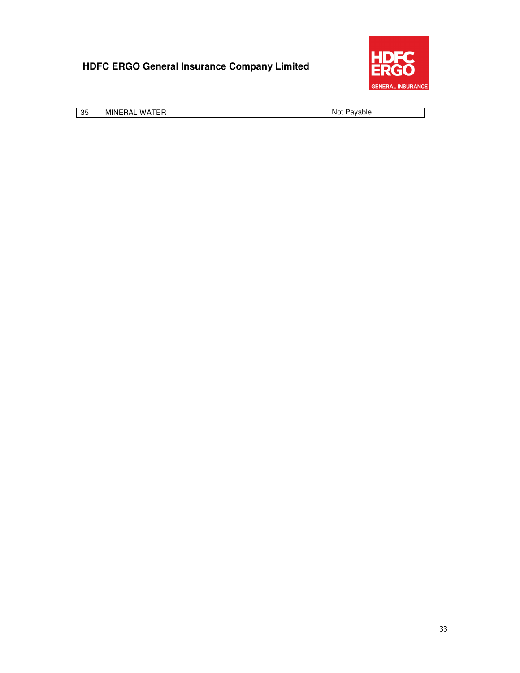

| 35 | WATFR<br>MINERAL | Pavable<br>Not |
|----|------------------|----------------|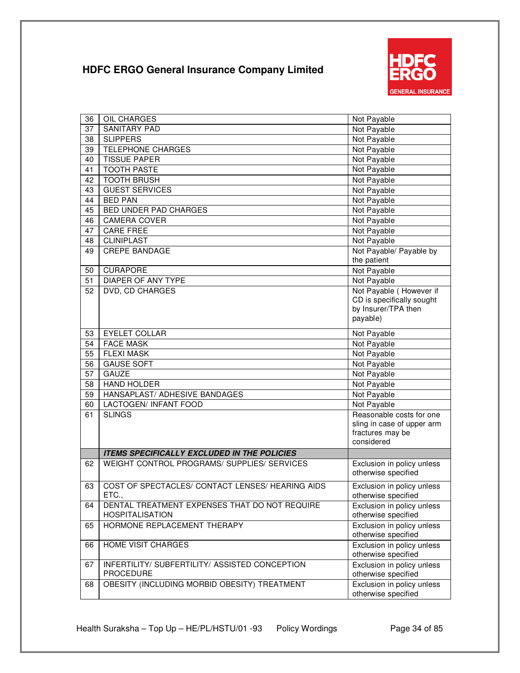

| 36 | OIL CHARGES                                        | Not Payable                |
|----|----------------------------------------------------|----------------------------|
| 37 | <b>SANITARY PAD</b>                                | Not Payable                |
| 38 | <b>SLIPPERS</b>                                    | Not Payable                |
| 39 | <b>TELEPHONE CHARGES</b>                           | Not Payable                |
| 40 | <b>TISSUE PAPER</b>                                | Not Payable                |
| 41 | <b>TOOTH PASTE</b>                                 | Not Payable                |
| 42 | <b>TOOTH BRUSH</b>                                 | Not Payable                |
| 43 | <b>GUEST SERVICES</b>                              | Not Payable                |
| 44 | <b>BED PAN</b>                                     | Not Payable                |
| 45 | BED UNDER PAD CHARGES                              | Not Payable                |
| 46 | <b>CAMERA COVER</b>                                | Not Payable                |
| 47 | <b>CARE FREE</b>                                   | Not Payable                |
| 48 | <b>CLINIPLAST</b>                                  | Not Payable                |
| 49 | <b>CREPE BANDAGE</b>                               | Not Payable/ Payable by    |
|    |                                                    | the patient                |
| 50 | <b>CURAPORE</b>                                    | Not Payable                |
| 51 | DIAPER OF ANY TYPE                                 | Not Payable                |
| 52 | DVD, CD CHARGES                                    | Not Payable (However if    |
|    |                                                    | CD is specifically sought  |
|    |                                                    | by Insurer/TPA then        |
|    |                                                    | payable)                   |
| 53 | <b>EYELET COLLAR</b>                               | Not Payable                |
| 54 | <b>FACE MASK</b>                                   | Not Payable                |
| 55 | <b>FLEXI MASK</b>                                  | Not Payable                |
| 56 | <b>GAUSE SOFT</b>                                  | Not Payable                |
| 57 | <b>GAUZE</b>                                       | Not Payable                |
| 58 | <b>HAND HOLDER</b>                                 | Not Payable                |
| 59 | HANSAPLAST/ ADHESIVE BANDAGES                      | Not Payable                |
| 60 | LACTOGEN/ INFANT FOOD                              | Not Payable                |
| 61 | <b>SLINGS</b>                                      | Reasonable costs for one   |
|    |                                                    | sling in case of upper arm |
|    |                                                    | fractures may be           |
|    |                                                    | considered                 |
|    | <b>ITEMS SPECIFICALLY EXCLUDED IN THE POLICIES</b> |                            |
| 62 | WEIGHT CONTROL PROGRAMS/ SUPPLIES/ SERVICES        | Exclusion in policy unless |
|    |                                                    | otherwise specified        |
| 63 | COST OF SPECTACLES/ CONTACT LENSES/ HEARING AIDS   | Exclusion in policy unless |
|    | ETC.,                                              | otherwise specified        |
| 64 | DENTAL TREATMENT EXPENSES THAT DO NOT REQUIRE      | Exclusion in policy unless |
|    | <b>HOSPITALISATION</b>                             | otherwise specified        |
| 65 | HORMONE REPLACEMENT THERAPY                        | Exclusion in policy unless |
|    |                                                    | otherwise specified        |
| 66 | <b>HOME VISIT CHARGES</b>                          | Exclusion in policy unless |
|    |                                                    | otherwise specified        |
| 67 | INFERTILITY/ SUBFERTILITY/ ASSISTED CONCEPTION     | Exclusion in policy unless |
|    | PROCEDURE                                          | otherwise specified        |
| 68 | OBESITY (INCLUDING MORBID OBESITY) TREATMENT       | Exclusion in policy unless |
|    |                                                    | otherwise specified        |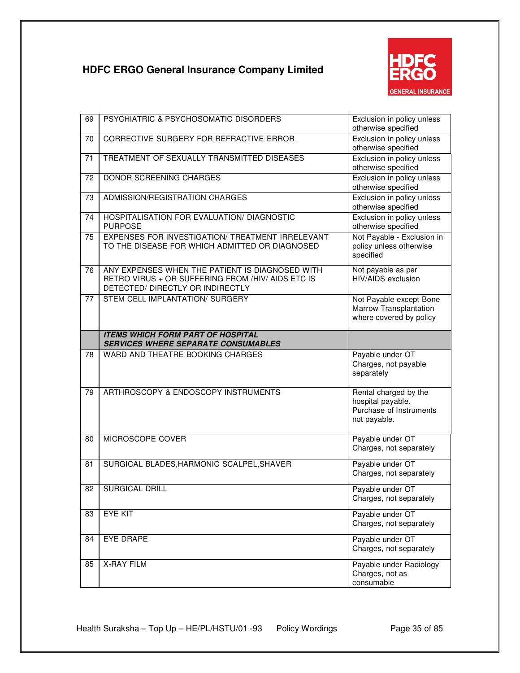

| 69 | PSYCHIATRIC & PSYCHOSOMATIC DISORDERS                                                                                                    | Exclusion in policy unless<br>otherwise specified                                     |
|----|------------------------------------------------------------------------------------------------------------------------------------------|---------------------------------------------------------------------------------------|
| 70 | CORRECTIVE SURGERY FOR REFRACTIVE ERROR                                                                                                  | Exclusion in policy unless<br>otherwise specified                                     |
| 71 | TREATMENT OF SEXUALLY TRANSMITTED DISEASES                                                                                               | Exclusion in policy unless<br>otherwise specified                                     |
| 72 | DONOR SCREENING CHARGES                                                                                                                  | Exclusion in policy unless<br>otherwise specified                                     |
| 73 | ADMISSION/REGISTRATION CHARGES                                                                                                           | Exclusion in policy unless<br>otherwise specified                                     |
| 74 | HOSPITALISATION FOR EVALUATION/ DIAGNOSTIC<br><b>PURPOSE</b>                                                                             | Exclusion in policy unless<br>otherwise specified                                     |
| 75 | EXPENSES FOR INVESTIGATION/ TREATMENT IRRELEVANT<br>TO THE DISEASE FOR WHICH ADMITTED OR DIAGNOSED                                       | Not Payable - Exclusion in<br>policy unless otherwise<br>specified                    |
| 76 | ANY EXPENSES WHEN THE PATIENT IS DIAGNOSED WITH<br>RETRO VIRUS + OR SUFFERING FROM /HIV/ AIDS ETC IS<br>DETECTED/ DIRECTLY OR INDIRECTLY | Not payable as per<br>HIV/AIDS exclusion                                              |
| 77 | STEM CELL IMPLANTATION/ SURGERY                                                                                                          | Not Payable except Bone<br>Marrow Transplantation<br>where covered by policy          |
|    | <b>ITEMS WHICH FORM PART OF HOSPITAL</b><br><b>SERVICES WHERE SEPARATE CONSUMABLES</b>                                                   |                                                                                       |
| 78 | WARD AND THEATRE BOOKING CHARGES                                                                                                         | Payable under OT                                                                      |
|    |                                                                                                                                          | Charges, not payable<br>separately                                                    |
| 79 | ARTHROSCOPY & ENDOSCOPY INSTRUMENTS                                                                                                      | Rental charged by the<br>hospital payable.<br>Purchase of Instruments<br>not payable. |
| 80 | MICROSCOPE COVER                                                                                                                         | Payable under OT<br>Charges, not separately                                           |
| 81 | SURGICAL BLADES, HARMONIC SCALPEL, SHAVER                                                                                                | Payable under OT<br>Charges, not separately                                           |
| 82 | <b>SURGICAL DRILL</b>                                                                                                                    | Payable under OT<br>Charges, not separately                                           |
| 83 | <b>EYE KIT</b>                                                                                                                           | Payable under OT<br>Charges, not separately                                           |
| 84 | EYE DRAPE                                                                                                                                | Payable under OT<br>Charges, not separately                                           |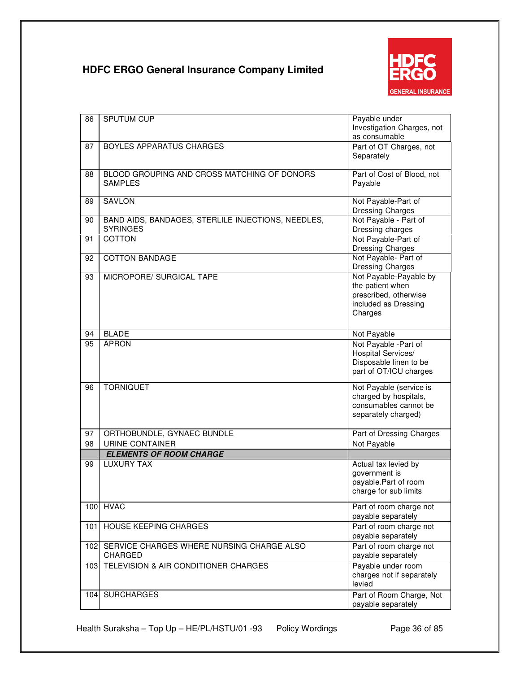

| 86  | SPUTUM CUP                                                            | Payable under<br>Investigation Charges, not      |
|-----|-----------------------------------------------------------------------|--------------------------------------------------|
|     |                                                                       | as consumable                                    |
| 87  | BOYLES APPARATUS CHARGES                                              | Part of OT Charges, not<br>Separately            |
| 88  | BLOOD GROUPING AND CROSS MATCHING OF DONORS                           | Part of Cost of Blood, not                       |
|     | <b>SAMPLES</b>                                                        | Payable                                          |
| 89  | <b>SAVLON</b>                                                         | Not Payable-Part of<br>Dressing Charges          |
| 90  | BAND AIDS, BANDAGES, STERLILE INJECTIONS, NEEDLES,<br><b>SYRINGES</b> | Not Payable - Part of<br>Dressing charges        |
| 91  | <b>COTTON</b>                                                         | Not Payable-Part of<br><b>Dressing Charges</b>   |
| 92  | <b>COTTON BANDAGE</b>                                                 | Not Payable- Part of                             |
|     |                                                                       | Dressing Charges                                 |
| 93  | MICROPORE/ SURGICAL TAPE                                              | Not Payable-Payable by<br>the patient when       |
|     |                                                                       | prescribed, otherwise                            |
|     |                                                                       | included as Dressing                             |
|     |                                                                       | Charges                                          |
| 94  | <b>BLADE</b>                                                          | Not Payable                                      |
| 95  | <b>APRON</b>                                                          | Not Payable -Part of                             |
|     |                                                                       | Hospital Services/<br>Disposable linen to be     |
|     |                                                                       | part of OT/ICU charges                           |
|     |                                                                       |                                                  |
| 96  | <b>TORNIQUET</b>                                                      | Not Payable (service is<br>charged by hospitals, |
|     |                                                                       | consumables cannot be                            |
|     |                                                                       | separately charged)                              |
| 97  | ORTHOBUNDLE, GYNAEC BUNDLE                                            | Part of Dressing Charges                         |
| 98  | <b>URINE CONTAINER</b>                                                | Not Payable                                      |
|     | <b>ELEMENTS OF ROOM CHARGE</b>                                        |                                                  |
| 99  | <b>LUXURY TAX</b>                                                     | Actual tax levied by                             |
|     |                                                                       | government is<br>payable.Part of room            |
|     |                                                                       | charge for sub limits                            |
| 100 | <b>HVAC</b>                                                           | Part of room charge not                          |
|     |                                                                       | payable separately                               |
| 101 | <b>HOUSE KEEPING CHARGES</b>                                          | Part of room charge not                          |
|     |                                                                       | payable separately                               |
| 102 | SERVICE CHARGES WHERE NURSING CHARGE ALSO<br><b>CHARGED</b>           | Part of room charge not<br>payable separately    |
| 103 | TELEVISION & AIR CONDITIONER CHARGES                                  | Payable under room                               |
|     |                                                                       | charges not if separately                        |
|     | <b>SURCHARGES</b>                                                     | levied                                           |
| 104 |                                                                       | Part of Room Charge, Not<br>payable separately   |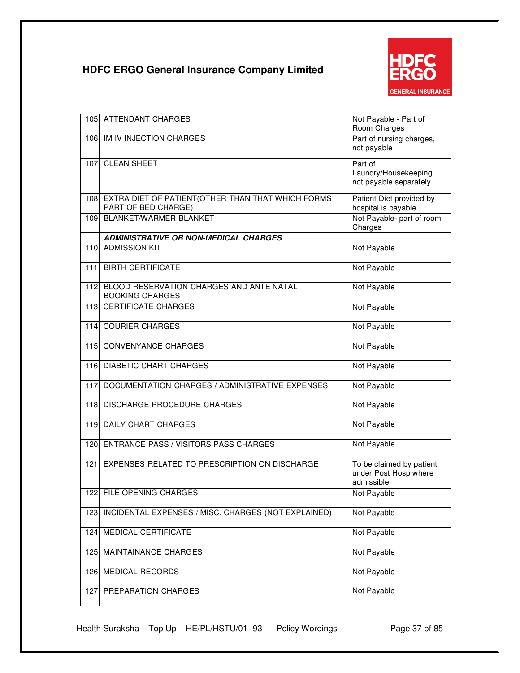

| 105 | <b>ATTENDANT CHARGES</b>                                                      | Not Payable - Part of<br>Room Charges                           |
|-----|-------------------------------------------------------------------------------|-----------------------------------------------------------------|
|     | 106 IM IV INJECTION CHARGES                                                   | Part of nursing charges,<br>not payable                         |
| 107 | <b>CLEAN SHEET</b>                                                            | Part of<br>Laundry/Housekeeping<br>not payable separately       |
|     | 108 EXTRA DIET OF PATIENT (OTHER THAN THAT WHICH FORMS<br>PART OF BED CHARGE) | Patient Diet provided by<br>hospital is payable                 |
| 109 | <b>BLANKET/WARMER BLANKET</b>                                                 | Not Payable- part of room<br>Charges                            |
|     | <b>ADMINISTRATIVE OR NON-MEDICAL CHARGES</b>                                  |                                                                 |
| 110 | <b>ADMISSION KIT</b>                                                          | Not Payable                                                     |
| 111 | <b>BIRTH CERTIFICATE</b>                                                      | Not Payable                                                     |
| 112 | BLOOD RESERVATION CHARGES AND ANTE NATAL<br><b>BOOKING CHARGES</b>            | Not Payable                                                     |
| 113 | <b>CERTIFICATE CHARGES</b>                                                    | Not Payable                                                     |
| 114 | <b>COURIER CHARGES</b>                                                        | Not Payable                                                     |
| 115 | <b>CONVENYANCE CHARGES</b>                                                    | Not Payable                                                     |
| 116 | <b>DIABETIC CHART CHARGES</b>                                                 | Not Payable                                                     |
| 117 | DOCUMENTATION CHARGES / ADMINISTRATIVE EXPENSES                               | Not Payable                                                     |
| 118 | DISCHARGE PROCEDURE CHARGES                                                   | Not Payable                                                     |
| 119 | <b>DAILY CHART CHARGES</b>                                                    | Not Payable                                                     |
| 120 | <b>ENTRANCE PASS / VISITORS PASS CHARGES</b>                                  | Not Payable                                                     |
| 121 | EXPENSES RELATED TO PRESCRIPTION ON DISCHARGE                                 | To be claimed by patient<br>under Post Hosp where<br>admissible |
|     | 122 FILE OPENING CHARGES                                                      | Not Payable                                                     |
| 123 | INCIDENTAL EXPENSES / MISC. CHARGES (NOT EXPLAINED)                           | Not Payable                                                     |
| 124 | MEDICAL CERTIFICATE                                                           | Not Payable                                                     |
| 125 | <b>MAINTAINANCE CHARGES</b>                                                   | Not Payable                                                     |
| 126 | MEDICAL RECORDS                                                               | Not Payable                                                     |
| 127 | PREPARATION CHARGES                                                           | Not Payable                                                     |

Health Suraksha – Top Up – HE/PL/HSTU/01 -93 Policy Wordings Page 37 of 85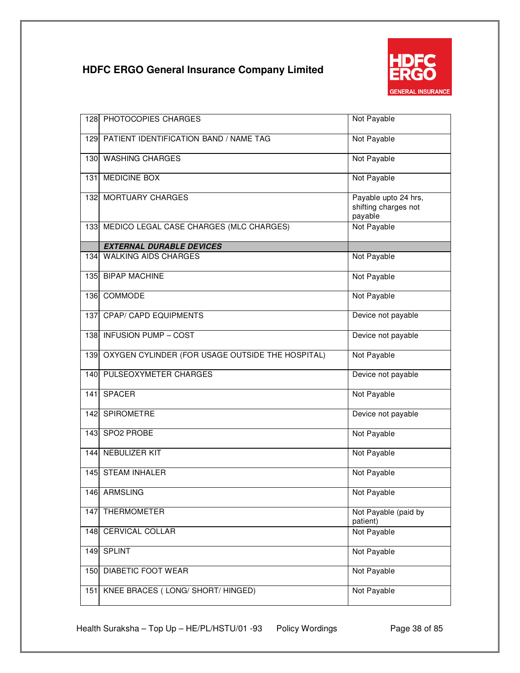

| 128              | PHOTOCOPIES CHARGES                              | Not Payable                                             |
|------------------|--------------------------------------------------|---------------------------------------------------------|
| 1291             | PATIENT IDENTIFICATION BAND / NAME TAG           | Not Payable                                             |
| 130              | <b>WASHING CHARGES</b>                           | Not Payable                                             |
| 131              | MEDICINE BOX                                     | Not Payable                                             |
|                  | 132 MORTUARY CHARGES                             | Payable upto 24 hrs,<br>shifting charges not<br>payable |
| 133 <sup>1</sup> | MEDICO LEGAL CASE CHARGES (MLC CHARGES)          | Not Payable                                             |
|                  | <b>EXTERNAL DURABLE DEVICES</b>                  |                                                         |
| 134l             | <b>WALKING AIDS CHARGES</b>                      | Not Payable                                             |
| 135              | <b>BIPAP MACHINE</b>                             | Not Payable                                             |
| 136              | COMMODE                                          | Not Payable                                             |
| 137              | <b>CPAP/ CAPD EQUIPMENTS</b>                     | Device not payable                                      |
| 138              | <b>INFUSION PUMP - COST</b>                      | Device not payable                                      |
| 139              | OXYGEN CYLINDER (FOR USAGE OUTSIDE THE HOSPITAL) | Not Payable                                             |
| 140              | PULSEOXYMETER CHARGES                            | Device not payable                                      |
| 141              | <b>SPACER</b>                                    | Not Payable                                             |
| 142              | SPIROMETRE                                       | Device not payable                                      |
| 143              | SPO2 PROBE                                       | Not Payable                                             |
|                  | 144 NEBULIZER KIT                                | Not Payable                                             |
| 145              | <b>STEAM INHALER</b>                             | Not Payable                                             |
|                  | 146 ARMSLING                                     | Not Payable                                             |
| 147              | <b>THERMOMETER</b>                               | Not Payable (paid by<br>patient)                        |
| 148              | CERVICAL COLLAR                                  | Not Payable                                             |
| 149              | <b>SPLINT</b>                                    | Not Payable                                             |
| 150              | DIABETIC FOOT WEAR                               | Not Payable                                             |
| 151              | KNEE BRACES (LONG/SHORT/HINGED)                  | Not Payable                                             |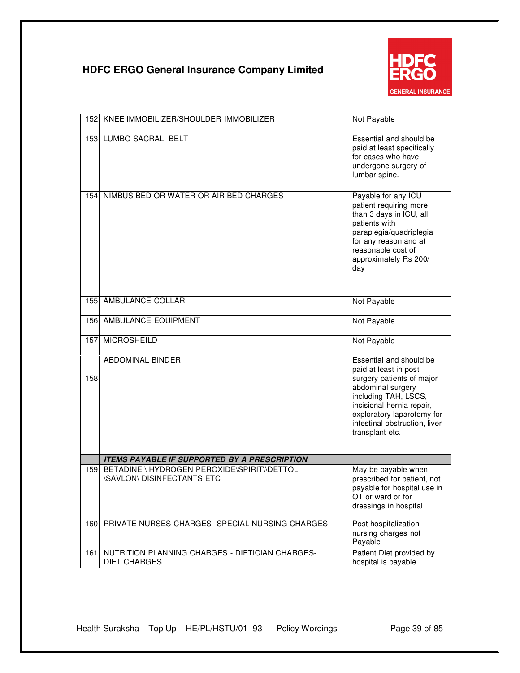

| 152 | KNEE IMMOBILIZER/SHOULDER IMMOBILIZER                                            | Not Payable                                                                                                                                                                                                                               |
|-----|----------------------------------------------------------------------------------|-------------------------------------------------------------------------------------------------------------------------------------------------------------------------------------------------------------------------------------------|
|     | 153 LUMBO SACRAL BELT                                                            | Essential and should be<br>paid at least specifically<br>for cases who have<br>undergone surgery of<br>lumbar spine.                                                                                                                      |
| 154 | NIMBUS BED OR WATER OR AIR BED CHARGES                                           | Payable for any ICU<br>patient requiring more<br>than 3 days in ICU, all<br>patients with<br>paraplegia/quadriplegia<br>for any reason and at<br>reasonable cost of<br>approximately Rs 200/<br>day                                       |
| 155 | AMBULANCE COLLAR                                                                 | Not Payable                                                                                                                                                                                                                               |
| 156 | AMBULANCE EQUIPMENT                                                              | Not Payable                                                                                                                                                                                                                               |
| 157 | <b>MICROSHEILD</b>                                                               | Not Payable                                                                                                                                                                                                                               |
| 158 | <b>ABDOMINAL BINDER</b>                                                          | Essential and should be<br>paid at least in post<br>surgery patients of major<br>abdominal surgery<br>including TAH, LSCS,<br>incisional hernia repair,<br>exploratory laparotomy for<br>intestinal obstruction, liver<br>transplant etc. |
|     | <b>ITEMS PAYABLE IF SUPPORTED BY A PRESCRIPTION</b>                              |                                                                                                                                                                                                                                           |
| 159 | BETADINE \ HYDROGEN PEROXIDE\SPIRIT\\DETTOL<br><b>\SAVLON\ DISINFECTANTS ETC</b> | May be payable when<br>prescribed for patient, not<br>payable for hospital use in<br>OT or ward or for<br>dressings in hospital                                                                                                           |
| 160 | PRIVATE NURSES CHARGES- SPECIAL NURSING CHARGES                                  | Post hospitalization<br>nursing charges not<br>Payable                                                                                                                                                                                    |
| 161 | NUTRITION PLANNING CHARGES - DIETICIAN CHARGES-<br><b>DIET CHARGES</b>           | Patient Diet provided by<br>hospital is payable                                                                                                                                                                                           |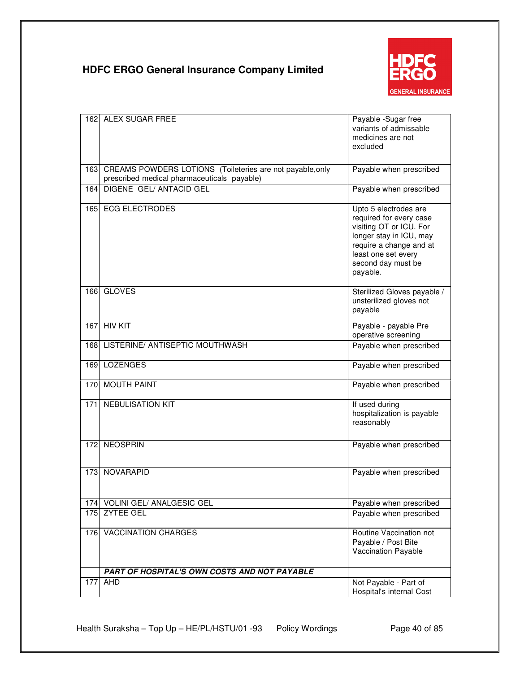

| 1621 | ALEX SUGAR FREE                                           | Payable -Sugar free<br>variants of admissable<br>medicines are not<br>excluded                                                                                                             |
|------|-----------------------------------------------------------|--------------------------------------------------------------------------------------------------------------------------------------------------------------------------------------------|
| 163  | CREAMS POWDERS LOTIONS (Toileteries are not payable, only | Payable when prescribed                                                                                                                                                                    |
|      | prescribed medical pharmaceuticals payable)               |                                                                                                                                                                                            |
| 164  | <b>DIGENE GEL/ ANTACID GEL</b>                            | Payable when prescribed                                                                                                                                                                    |
| 165  | <b>ECG ELECTRODES</b>                                     | Upto 5 electrodes are<br>required for every case<br>visiting OT or ICU. For<br>longer stay in ICU, may<br>require a change and at<br>least one set every<br>second day must be<br>payable. |
| 166  | <b>GLOVES</b>                                             | Sterilized Gloves payable /<br>unsterilized gloves not<br>payable                                                                                                                          |
| 167  | <b>HIV KIT</b>                                            | Payable - payable Pre<br>operative screening                                                                                                                                               |
| 168  | LISTERINE/ ANTISEPTIC MOUTHWASH                           | Payable when prescribed                                                                                                                                                                    |
| 169  | <b>LOZENGES</b>                                           | Payable when prescribed                                                                                                                                                                    |
| 170  | <b>MOUTH PAINT</b>                                        | Payable when prescribed                                                                                                                                                                    |
| 171  | <b>NEBULISATION KIT</b>                                   | If used during<br>hospitalization is payable<br>reasonably                                                                                                                                 |
| 172  | <b>NEOSPRIN</b>                                           | Payable when prescribed                                                                                                                                                                    |
| 173  | NOVARAPID                                                 | Payable when prescribed                                                                                                                                                                    |
|      | 174 VOLINI GEL/ ANALGESIC GEL                             | Payable when prescribed                                                                                                                                                                    |
| 175  | <b>ZYTEE GEL</b>                                          | Payable when prescribed                                                                                                                                                                    |
| 176  | <b>VACCINATION CHARGES</b>                                | Routine Vaccination not<br>Payable / Post Bite<br>Vaccination Payable                                                                                                                      |
|      | PART OF HOSPITAL'S OWN COSTS AND NOT PAYABLE              |                                                                                                                                                                                            |
| 177  | AHD                                                       | Not Payable - Part of                                                                                                                                                                      |
|      |                                                           | Hospital's internal Cost                                                                                                                                                                   |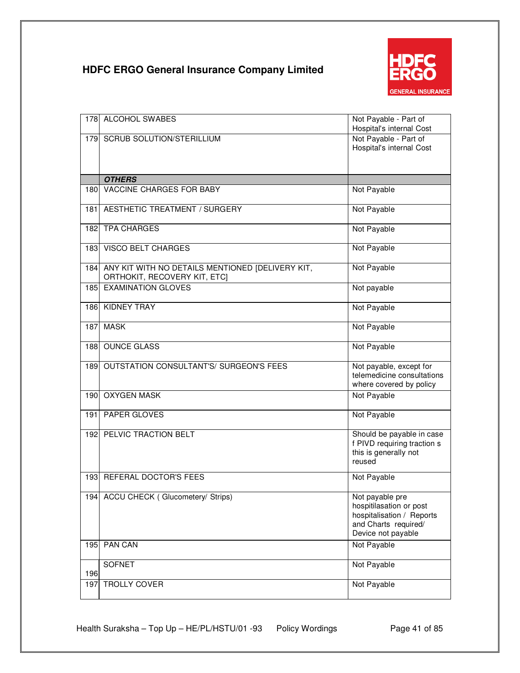

| 178  | ALCOHOL SWABES                                                                       | Not Payable - Part of<br>Hospital's internal Cost                                                                     |
|------|--------------------------------------------------------------------------------------|-----------------------------------------------------------------------------------------------------------------------|
|      | 179 SCRUB SOLUTION/STERILLIUM                                                        | Not Payable - Part of<br>Hospital's internal Cost                                                                     |
|      | <b>OTHERS</b>                                                                        |                                                                                                                       |
| 180  | VACCINE CHARGES FOR BABY                                                             | Not Payable                                                                                                           |
| 181  | AESTHETIC TREATMENT / SURGERY                                                        | Not Payable                                                                                                           |
|      | 182 TPA CHARGES                                                                      | Not Payable                                                                                                           |
|      | 183 VISCO BELT CHARGES                                                               | Not Payable                                                                                                           |
|      | 184 ANY KIT WITH NO DETAILS MENTIONED [DELIVERY KIT,<br>ORTHOKIT, RECOVERY KIT, ETC] | Not Payable                                                                                                           |
| 185  | <b>EXAMINATION GLOVES</b>                                                            | Not payable                                                                                                           |
| 186  | <b>KIDNEY TRAY</b>                                                                   | Not Payable                                                                                                           |
| 187  | <b>MASK</b>                                                                          | Not Payable                                                                                                           |
| 188  | <b>OUNCE GLASS</b>                                                                   | Not Payable                                                                                                           |
| 189  | <b>OUTSTATION CONSULTANT'S/ SURGEON'S FEES</b>                                       | Not payable, except for<br>telemedicine consultations<br>where covered by policy                                      |
| 190  | <b>OXYGEN MASK</b>                                                                   | Not Payable                                                                                                           |
| 191  | PAPER GLOVES                                                                         | Not Payable                                                                                                           |
|      | 192 PELVIC TRACTION BELT                                                             | Should be payable in case<br>f PIVD requiring traction s<br>this is generally not<br>reused                           |
| 193  | REFERAL DOCTOR'S FEES                                                                | Not Payable                                                                                                           |
| 1941 | ACCU CHECK (Glucometery/ Strips)                                                     | Not payable pre<br>hospitilasation or post<br>hospitalisation / Reports<br>and Charts required/<br>Device not payable |
| 195  | <b>PAN CAN</b>                                                                       | Not Payable                                                                                                           |
| 196  | <b>SOFNET</b>                                                                        | Not Payable                                                                                                           |
| 197  | TROLLY COVER                                                                         | Not Payable                                                                                                           |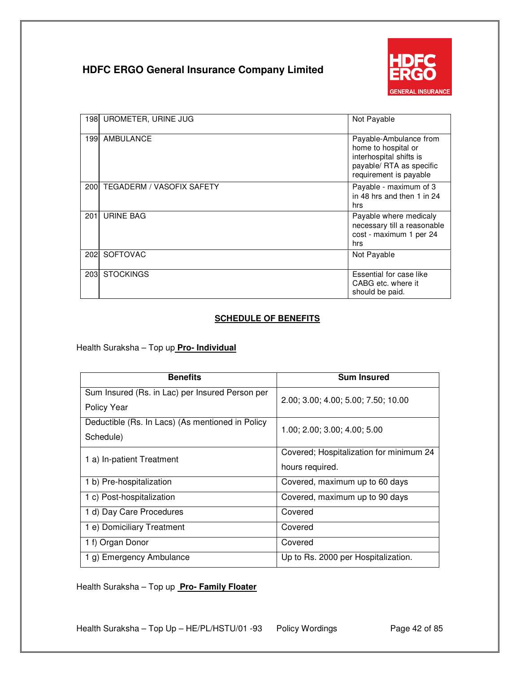

| 198              | UROMETER, URINE JUG              | Not Payable                                                                                                                    |
|------------------|----------------------------------|--------------------------------------------------------------------------------------------------------------------------------|
| 1991             | AMBULANCE                        | Payable-Ambulance from<br>home to hospital or<br>interhospital shifts is<br>payable/ RTA as specific<br>requirement is payable |
| 200              | <b>TEGADERM / VASOFIX SAFETY</b> | Payable - maximum of 3<br>in 48 hrs and then 1 in 24<br>hrs                                                                    |
| 201 <sub>1</sub> | <b>URINE BAG</b>                 | Payable where medicaly<br>necessary till a reasonable<br>cost - maximum 1 per 24<br>hrs                                        |
| <b>2021</b>      | <b>SOFTOVAC</b>                  | Not Payable                                                                                                                    |
| 203              | <b>STOCKINGS</b>                 | Essential for case like<br>CABG etc. where it<br>should be paid.                                                               |

### **SCHEDULE OF BENEFITS**

Health Suraksha – Top up **Pro- Individual**

| <b>Benefits</b>                                                | <b>Sum Insured</b>                                         |
|----------------------------------------------------------------|------------------------------------------------------------|
| Sum Insured (Rs. in Lac) per Insured Person per<br>Policy Year | 2.00; 3.00; 4.00; 5.00; 7.50; 10.00                        |
| Deductible (Rs. In Lacs) (As mentioned in Policy<br>Schedule)  | 1.00; 2.00; 3.00; 4.00; 5.00                               |
| 1 a) In-patient Treatment                                      | Covered; Hospitalization for minimum 24<br>hours required. |
| 1 b) Pre-hospitalization                                       | Covered, maximum up to 60 days                             |
| 1 c) Post-hospitalization                                      | Covered, maximum up to 90 days                             |
| 1 d) Day Care Procedures                                       | Covered                                                    |
| 1 e) Domiciliary Treatment                                     | Covered                                                    |
| 1 f) Organ Donor                                               | Covered                                                    |
| 1 g) Emergency Ambulance                                       | Up to Rs. 2000 per Hospitalization.                        |

Health Suraksha – Top up **Pro- Family Floater**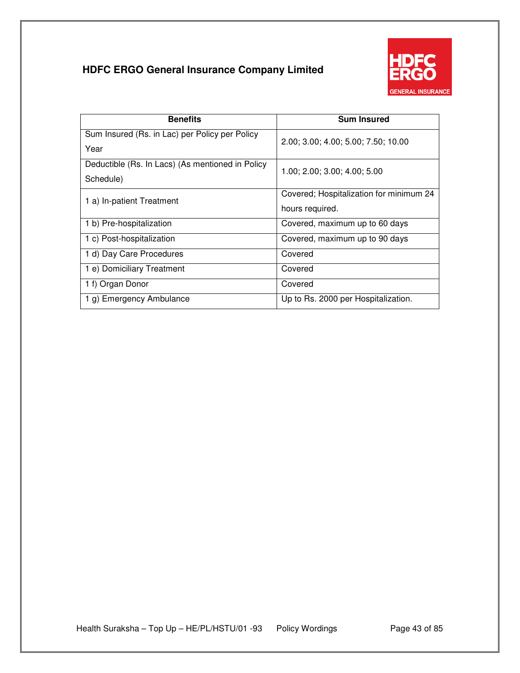

| <b>Benefits</b>                                               | <b>Sum Insured</b>                                         |
|---------------------------------------------------------------|------------------------------------------------------------|
| Sum Insured (Rs. in Lac) per Policy per Policy<br>Year        | 2.00; 3.00; 4.00; 5.00; 7.50; 10.00                        |
| Deductible (Rs. In Lacs) (As mentioned in Policy<br>Schedule) | 1.00; 2.00; 3.00; 4.00; 5.00                               |
| 1 a) In-patient Treatment                                     | Covered; Hospitalization for minimum 24<br>hours required. |
| 1 b) Pre-hospitalization                                      | Covered, maximum up to 60 days                             |
| 1 c) Post-hospitalization                                     | Covered, maximum up to 90 days                             |
| 1 d) Day Care Procedures                                      | Covered                                                    |
| 1 e) Domiciliary Treatment                                    | Covered                                                    |
| 1 f) Organ Donor                                              | Covered                                                    |
| 1 g) Emergency Ambulance                                      | Up to Rs. 2000 per Hospitalization.                        |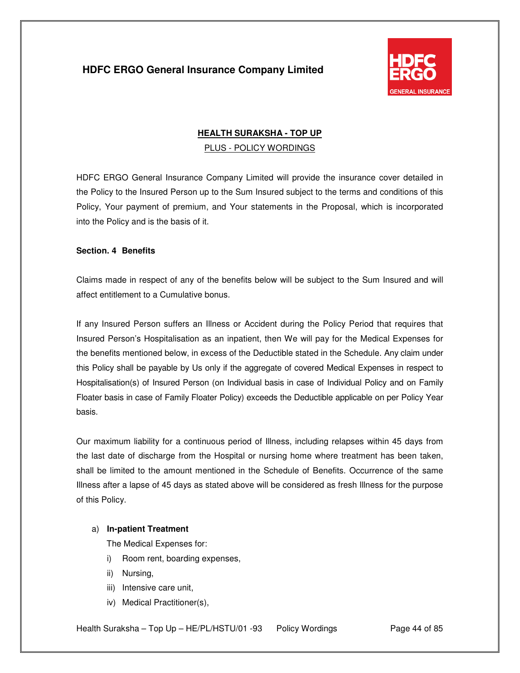

# **HEALTH SURAKSHA - TOP UP**  PLUS - POLICY WORDINGS

HDFC ERGO General Insurance Company Limited will provide the insurance cover detailed in the Policy to the Insured Person up to the Sum Insured subject to the terms and conditions of this Policy, Your payment of premium, and Your statements in the Proposal, which is incorporated into the Policy and is the basis of it.

### **Section. 4 Benefits**

Claims made in respect of any of the benefits below will be subject to the Sum Insured and will affect entitlement to a Cumulative bonus.

If any Insured Person suffers an Illness or Accident during the Policy Period that requires that Insured Person's Hospitalisation as an inpatient, then We will pay for the Medical Expenses for the benefits mentioned below, in excess of the Deductible stated in the Schedule. Any claim under this Policy shall be payable by Us only if the aggregate of covered Medical Expenses in respect to Hospitalisation(s) of Insured Person (on Individual basis in case of Individual Policy and on Family Floater basis in case of Family Floater Policy) exceeds the Deductible applicable on per Policy Year basis.

Our maximum liability for a continuous period of Illness, including relapses within 45 days from the last date of discharge from the Hospital or nursing home where treatment has been taken, shall be limited to the amount mentioned in the Schedule of Benefits. Occurrence of the same Illness after a lapse of 45 days as stated above will be considered as fresh Illness for the purpose of this Policy.

### a) **In-patient Treatment**

The Medical Expenses for:

- i) Room rent, boarding expenses,
- ii) Nursing,
- iii) Intensive care unit,
- iv) Medical Practitioner(s),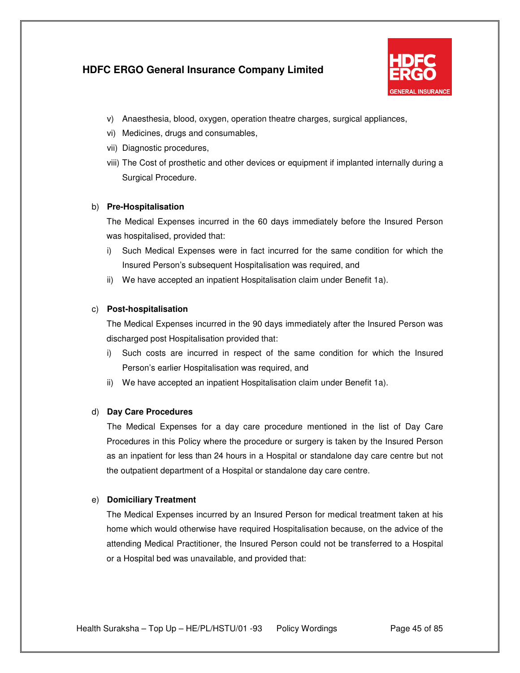

- v) Anaesthesia, blood, oxygen, operation theatre charges, surgical appliances,
- vi) Medicines, drugs and consumables,
- vii) Diagnostic procedures,
- viii) The Cost of prosthetic and other devices or equipment if implanted internally during a Surgical Procedure.

### b) **Pre-Hospitalisation**

The Medical Expenses incurred in the 60 days immediately before the Insured Person was hospitalised, provided that:

- i) Such Medical Expenses were in fact incurred for the same condition for which the Insured Person's subsequent Hospitalisation was required, and
- ii) We have accepted an inpatient Hospitalisation claim under Benefit 1a).

### c) **Post-hospitalisation**

The Medical Expenses incurred in the 90 days immediately after the Insured Person was discharged post Hospitalisation provided that:

- i) Such costs are incurred in respect of the same condition for which the Insured Person's earlier Hospitalisation was required, and
- ii) We have accepted an inpatient Hospitalisation claim under Benefit 1a).

### d) **Day Care Procedures**

The Medical Expenses for a day care procedure mentioned in the list of Day Care Procedures in this Policy where the procedure or surgery is taken by the Insured Person as an inpatient for less than 24 hours in a Hospital or standalone day care centre but not the outpatient department of a Hospital or standalone day care centre.

### e) **Domiciliary Treatment**

The Medical Expenses incurred by an Insured Person for medical treatment taken at his home which would otherwise have required Hospitalisation because, on the advice of the attending Medical Practitioner, the Insured Person could not be transferred to a Hospital or a Hospital bed was unavailable, and provided that: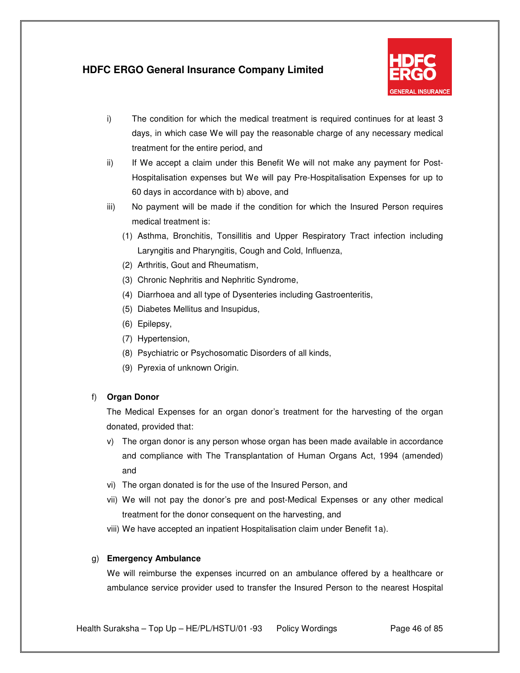

- i) The condition for which the medical treatment is required continues for at least 3 days, in which case We will pay the reasonable charge of any necessary medical treatment for the entire period, and
- ii) If We accept a claim under this Benefit We will not make any payment for Post-Hospitalisation expenses but We will pay Pre-Hospitalisation Expenses for up to 60 days in accordance with b) above, and
- iii) No payment will be made if the condition for which the Insured Person requires medical treatment is:
	- (1) Asthma, Bronchitis, Tonsillitis and Upper Respiratory Tract infection including Laryngitis and Pharyngitis, Cough and Cold, Influenza,
	- (2) Arthritis, Gout and Rheumatism,
	- (3) Chronic Nephritis and Nephritic Syndrome,
	- (4) Diarrhoea and all type of Dysenteries including Gastroenteritis,
	- (5) Diabetes Mellitus and Insupidus,
	- (6) Epilepsy,
	- (7) Hypertension,
	- (8) Psychiatric or Psychosomatic Disorders of all kinds,
	- (9) Pyrexia of unknown Origin.

### f) **Organ Donor**

The Medical Expenses for an organ donor's treatment for the harvesting of the organ donated, provided that:

- v) The organ donor is any person whose organ has been made available in accordance and compliance with The Transplantation of Human Organs Act, 1994 (amended) and
- vi) The organ donated is for the use of the Insured Person, and
- vii) We will not pay the donor's pre and post-Medical Expenses or any other medical treatment for the donor consequent on the harvesting, and
- viii) We have accepted an inpatient Hospitalisation claim under Benefit 1a).

### g) **Emergency Ambulance**

We will reimburse the expenses incurred on an ambulance offered by a healthcare or ambulance service provider used to transfer the Insured Person to the nearest Hospital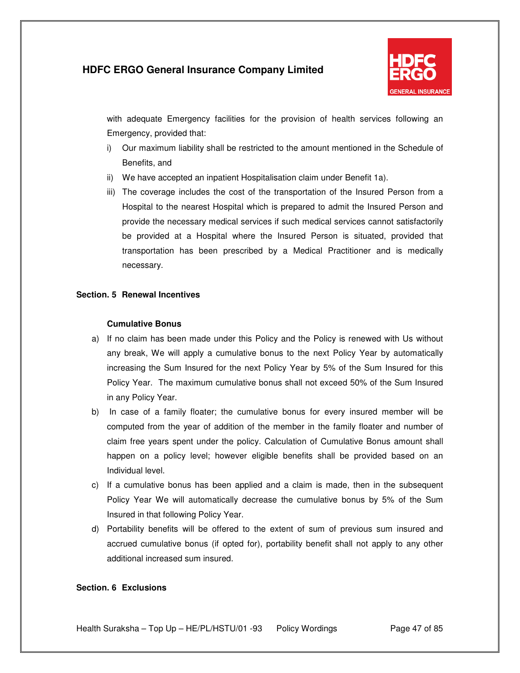

with adequate Emergency facilities for the provision of health services following an Emergency, provided that:

- i) Our maximum liability shall be restricted to the amount mentioned in the Schedule of Benefits, and
- ii) We have accepted an inpatient Hospitalisation claim under Benefit 1a).
- iii) The coverage includes the cost of the transportation of the Insured Person from a Hospital to the nearest Hospital which is prepared to admit the Insured Person and provide the necessary medical services if such medical services cannot satisfactorily be provided at a Hospital where the Insured Person is situated, provided that transportation has been prescribed by a Medical Practitioner and is medically necessary.

### **Section. 5 Renewal Incentives**

#### **Cumulative Bonus**

- a) If no claim has been made under this Policy and the Policy is renewed with Us without any break, We will apply a cumulative bonus to the next Policy Year by automatically increasing the Sum Insured for the next Policy Year by 5% of the Sum Insured for this Policy Year. The maximum cumulative bonus shall not exceed 50% of the Sum Insured in any Policy Year.
- b) In case of a family floater; the cumulative bonus for every insured member will be computed from the year of addition of the member in the family floater and number of claim free years spent under the policy. Calculation of Cumulative Bonus amount shall happen on a policy level; however eligible benefits shall be provided based on an Individual level.
- c) If a cumulative bonus has been applied and a claim is made, then in the subsequent Policy Year We will automatically decrease the cumulative bonus by 5% of the Sum Insured in that following Policy Year.
- d) Portability benefits will be offered to the extent of sum of previous sum insured and accrued cumulative bonus (if opted for), portability benefit shall not apply to any other additional increased sum insured.

#### **Section. 6 Exclusions**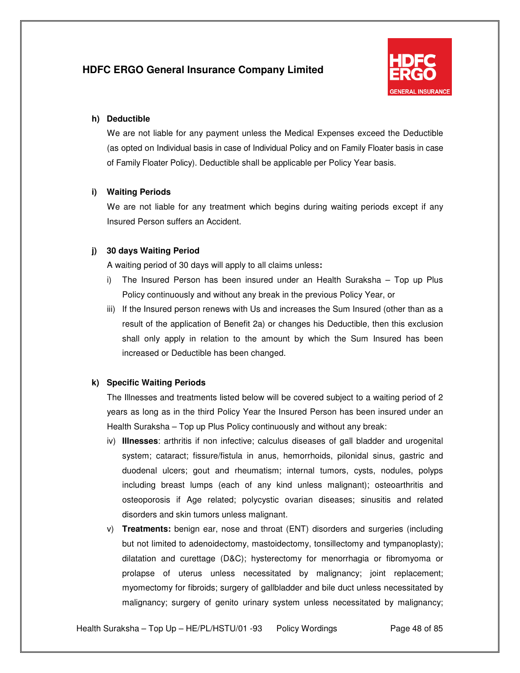

#### **h) Deductible**

We are not liable for any payment unless the Medical Expenses exceed the Deductible (as opted on Individual basis in case of Individual Policy and on Family Floater basis in case of Family Floater Policy). Deductible shall be applicable per Policy Year basis.

#### **i) Waiting Periods**

We are not liable for any treatment which begins during waiting periods except if any Insured Person suffers an Accident.

### **j) 30 days Waiting Period**

A waiting period of 30 days will apply to all claims unless**:**

- i) The Insured Person has been insured under an Health Suraksha Top up Plus Policy continuously and without any break in the previous Policy Year, or
- iii) If the Insured person renews with Us and increases the Sum Insured (other than as a result of the application of Benefit 2a) or changes his Deductible, then this exclusion shall only apply in relation to the amount by which the Sum Insured has been increased or Deductible has been changed.

### **k) Specific Waiting Periods**

The Illnesses and treatments listed below will be covered subject to a waiting period of 2 years as long as in the third Policy Year the Insured Person has been insured under an Health Suraksha – Top up Plus Policy continuously and without any break:

- iv) **Illnesses**: arthritis if non infective; calculus diseases of gall bladder and urogenital system; cataract; fissure/fistula in anus, hemorrhoids, pilonidal sinus, gastric and duodenal ulcers; gout and rheumatism; internal tumors, cysts, nodules, polyps including breast lumps (each of any kind unless malignant); osteoarthritis and osteoporosis if Age related; polycystic ovarian diseases; sinusitis and related disorders and skin tumors unless malignant.
- v) **Treatments:** benign ear, nose and throat (ENT) disorders and surgeries (including but not limited to adenoidectomy, mastoidectomy, tonsillectomy and tympanoplasty); dilatation and curettage (D&C); hysterectomy for menorrhagia or fibromyoma or prolapse of uterus unless necessitated by malignancy; joint replacement; myomectomy for fibroids; surgery of gallbladder and bile duct unless necessitated by malignancy; surgery of genito urinary system unless necessitated by malignancy;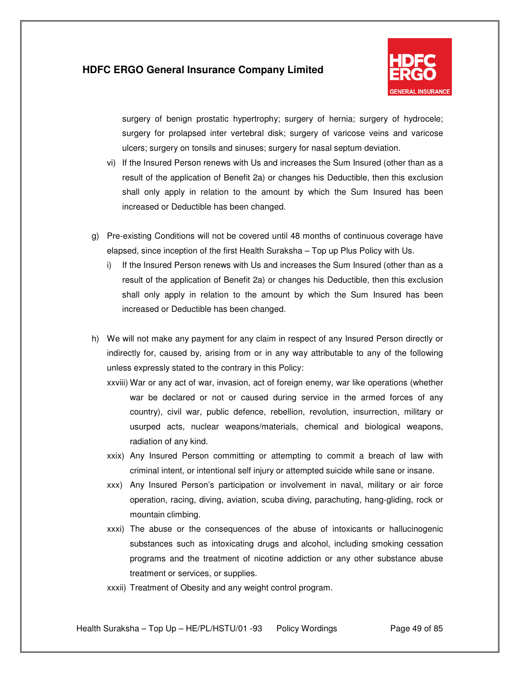

surgery of benign prostatic hypertrophy; surgery of hernia; surgery of hydrocele; surgery for prolapsed inter vertebral disk; surgery of varicose veins and varicose ulcers; surgery on tonsils and sinuses; surgery for nasal septum deviation.

- vi) If the Insured Person renews with Us and increases the Sum Insured (other than as a result of the application of Benefit 2a) or changes his Deductible, then this exclusion shall only apply in relation to the amount by which the Sum Insured has been increased or Deductible has been changed.
- g) Pre-existing Conditions will not be covered until 48 months of continuous coverage have elapsed, since inception of the first Health Suraksha – Top up Plus Policy with Us.
	- i) If the Insured Person renews with Us and increases the Sum Insured (other than as a result of the application of Benefit 2a) or changes his Deductible, then this exclusion shall only apply in relation to the amount by which the Sum Insured has been increased or Deductible has been changed.
- h) We will not make any payment for any claim in respect of any Insured Person directly or indirectly for, caused by, arising from or in any way attributable to any of the following unless expressly stated to the contrary in this Policy:
	- xxviii) War or any act of war, invasion, act of foreign enemy, war like operations (whether war be declared or not or caused during service in the armed forces of any country), civil war, public defence, rebellion, revolution, insurrection, military or usurped acts, nuclear weapons/materials, chemical and biological weapons, radiation of any kind.
	- xxix) Any Insured Person committing or attempting to commit a breach of law with criminal intent, or intentional self injury or attempted suicide while sane or insane.
	- xxx) Any Insured Person's participation or involvement in naval, military or air force operation, racing, diving, aviation, scuba diving, parachuting, hang-gliding, rock or mountain climbing.
	- xxxi) The abuse or the consequences of the abuse of intoxicants or hallucinogenic substances such as intoxicating drugs and alcohol, including smoking cessation programs and the treatment of nicotine addiction or any other substance abuse treatment or services, or supplies.
	- xxxii) Treatment of Obesity and any weight control program.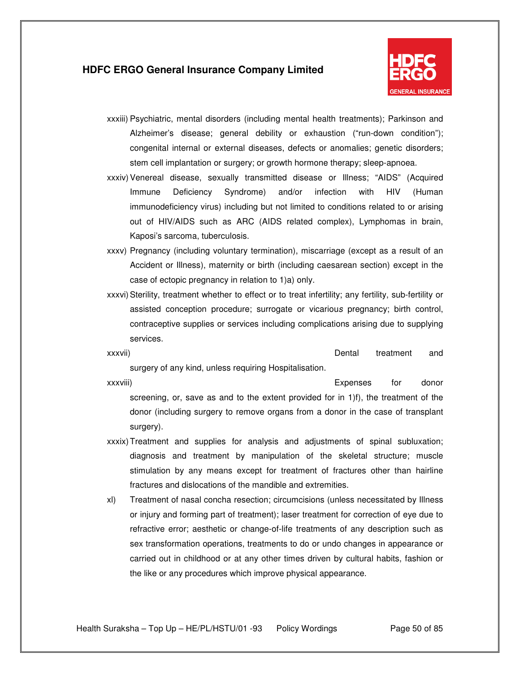

- xxxiii) Psychiatric, mental disorders (including mental health treatments); Parkinson and Alzheimer's disease; general debility or exhaustion ("run-down condition"); congenital internal or external diseases, defects or anomalies; genetic disorders; stem cell implantation or surgery; or growth hormone therapy; sleep-apnoea.
- xxxiv) Venereal disease, sexually transmitted disease or Illness; "AIDS" (Acquired Immune Deficiency Syndrome) and/or infection with HIV (Human immunodeficiency virus) including but not limited to conditions related to or arising out of HIV/AIDS such as ARC (AIDS related complex), Lymphomas in brain, Kaposi's sarcoma, tuberculosis.
- xxxv) Pregnancy (including voluntary termination), miscarriage (except as a result of an Accident or Illness), maternity or birth (including caesarean section) except in the case of ectopic pregnancy in relation to 1)a) only.
- xxxvi) Sterility, treatment whether to effect or to treat infertility; any fertility, sub-fertility or assisted conception procedure; surrogate or vicarious pregnancy; birth control, contraceptive supplies or services including complications arising due to supplying services.
- xxxvii) Dental treatment and surgery of any kind, unless requiring Hospitalisation.

xxxviii) Expenses for donor screening, or, save as and to the extent provided for in 1)f), the treatment of the donor (including surgery to remove organs from a donor in the case of transplant surgery).

- xxxix) Treatment and supplies for analysis and adjustments of spinal subluxation; diagnosis and treatment by manipulation of the skeletal structure; muscle stimulation by any means except for treatment of fractures other than hairline fractures and dislocations of the mandible and extremities.
- xl) Treatment of nasal concha resection; circumcisions (unless necessitated by Illness or injury and forming part of treatment); laser treatment for correction of eye due to refractive error; aesthetic or change-of-life treatments of any description such as sex transformation operations, treatments to do or undo changes in appearance or carried out in childhood or at any other times driven by cultural habits, fashion or the like or any procedures which improve physical appearance.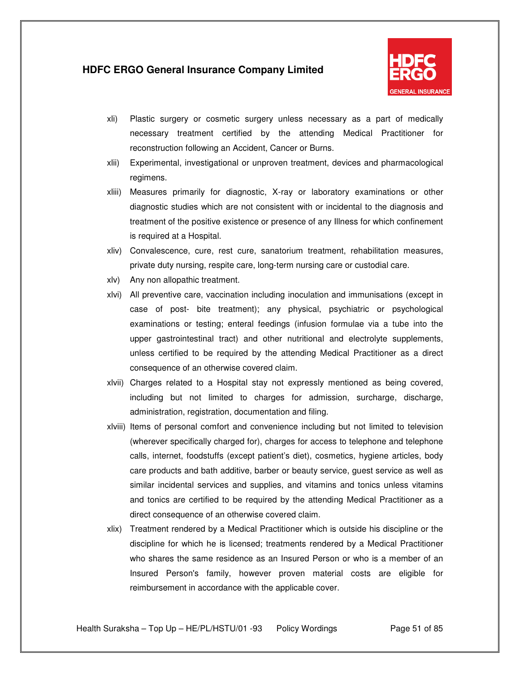

- xli) Plastic surgery or cosmetic surgery unless necessary as a part of medically necessary treatment certified by the attending Medical Practitioner for reconstruction following an Accident, Cancer or Burns.
- xlii) Experimental, investigational or unproven treatment, devices and pharmacological regimens.
- xliii) Measures primarily for diagnostic, X-ray or laboratory examinations or other diagnostic studies which are not consistent with or incidental to the diagnosis and treatment of the positive existence or presence of any Illness for which confinement is required at a Hospital.
- xliv) Convalescence, cure, rest cure, sanatorium treatment, rehabilitation measures, private duty nursing, respite care, long-term nursing care or custodial care.
- xlv) Any non allopathic treatment.
- xlvi) All preventive care, vaccination including inoculation and immunisations (except in case of post- bite treatment); any physical, psychiatric or psychological examinations or testing; enteral feedings (infusion formulae via a tube into the upper gastrointestinal tract) and other nutritional and electrolyte supplements, unless certified to be required by the attending Medical Practitioner as a direct consequence of an otherwise covered claim.
- xlvii) Charges related to a Hospital stay not expressly mentioned as being covered, including but not limited to charges for admission, surcharge, discharge, administration, registration, documentation and filing.
- xlviii) Items of personal comfort and convenience including but not limited to television (wherever specifically charged for), charges for access to telephone and telephone calls, internet, foodstuffs (except patient's diet), cosmetics, hygiene articles, body care products and bath additive, barber or beauty service, guest service as well as similar incidental services and supplies, and vitamins and tonics unless vitamins and tonics are certified to be required by the attending Medical Practitioner as a direct consequence of an otherwise covered claim.
- xlix) Treatment rendered by a Medical Practitioner which is outside his discipline or the discipline for which he is licensed; treatments rendered by a Medical Practitioner who shares the same residence as an Insured Person or who is a member of an Insured Person's family, however proven material costs are eligible for reimbursement in accordance with the applicable cover.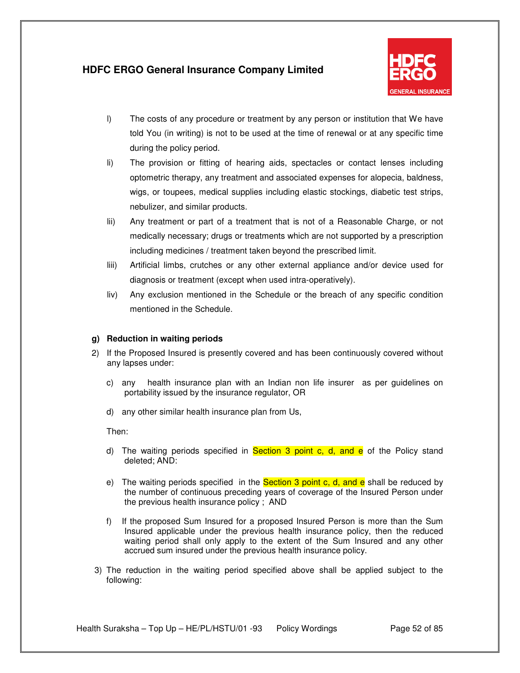

- l) The costs of any procedure or treatment by any person or institution that We have told You (in writing) is not to be used at the time of renewal or at any specific time during the policy period.
- li) The provision or fitting of hearing aids, spectacles or contact lenses including optometric therapy, any treatment and associated expenses for alopecia, baldness, wigs, or toupees, medical supplies including elastic stockings, diabetic test strips, nebulizer, and similar products.
- lii) Any treatment or part of a treatment that is not of a Reasonable Charge, or not medically necessary; drugs or treatments which are not supported by a prescription including medicines / treatment taken beyond the prescribed limit.
- liii) Artificial limbs, crutches or any other external appliance and/or device used for diagnosis or treatment (except when used intra-operatively).
- liv) Any exclusion mentioned in the Schedule or the breach of any specific condition mentioned in the Schedule.

#### **g) Reduction in waiting periods**

- 2) If the Proposed Insured is presently covered and has been continuously covered without any lapses under:
	- c) any health insurance plan with an Indian non life insurer as per guidelines on portability issued by the insurance regulator, OR
	- d) any other similar health insurance plan from Us,

Then:

- d) The waiting periods specified in **Section 3 point c, d, and e** of the Policy stand deleted; AND:
- e) The waiting periods specified in the **Section 3 point c, d, and e** shall be reduced by the number of continuous preceding years of coverage of the Insured Person under the previous health insurance policy ; AND
- f) If the proposed Sum Insured for a proposed Insured Person is more than the Sum Insured applicable under the previous health insurance policy, then the reduced waiting period shall only apply to the extent of the Sum Insured and any other accrued sum insured under the previous health insurance policy.
- 3) The reduction in the waiting period specified above shall be applied subject to the following: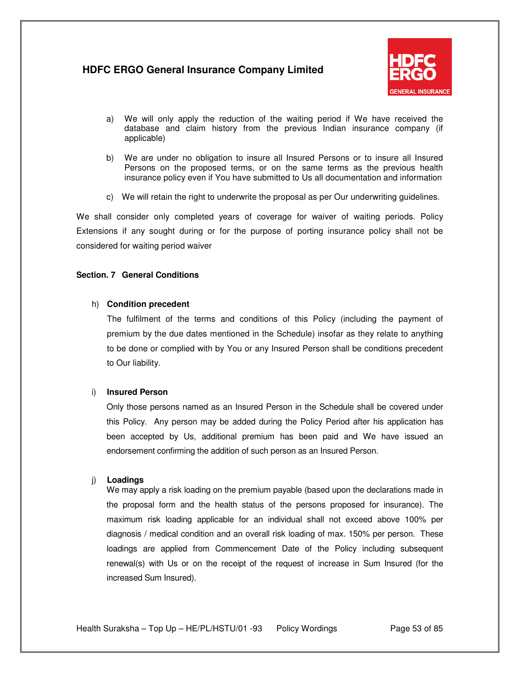

- a) We will only apply the reduction of the waiting period if We have received the database and claim history from the previous Indian insurance company (if applicable)
- b) We are under no obligation to insure all Insured Persons or to insure all Insured Persons on the proposed terms, or on the same terms as the previous health insurance policy even if You have submitted to Us all documentation and information
- c) We will retain the right to underwrite the proposal as per Our underwriting guidelines.

We shall consider only completed years of coverage for waiver of waiting periods. Policy Extensions if any sought during or for the purpose of porting insurance policy shall not be considered for waiting period waiver

#### **Section. 7 General Conditions**

#### h) **Condition precedent**

The fulfilment of the terms and conditions of this Policy (including the payment of premium by the due dates mentioned in the Schedule) insofar as they relate to anything to be done or complied with by You or any Insured Person shall be conditions precedent to Our liability.

#### i) **Insured Person**

Only those persons named as an Insured Person in the Schedule shall be covered under this Policy. Any person may be added during the Policy Period after his application has been accepted by Us, additional premium has been paid and We have issued an endorsement confirming the addition of such person as an Insured Person.

#### j) **Loadings**

We may apply a risk loading on the premium payable (based upon the declarations made in the proposal form and the health status of the persons proposed for insurance). The maximum risk loading applicable for an individual shall not exceed above 100% per diagnosis / medical condition and an overall risk loading of max. 150% per person. These loadings are applied from Commencement Date of the Policy including subsequent renewal(s) with Us or on the receipt of the request of increase in Sum Insured (for the increased Sum Insured).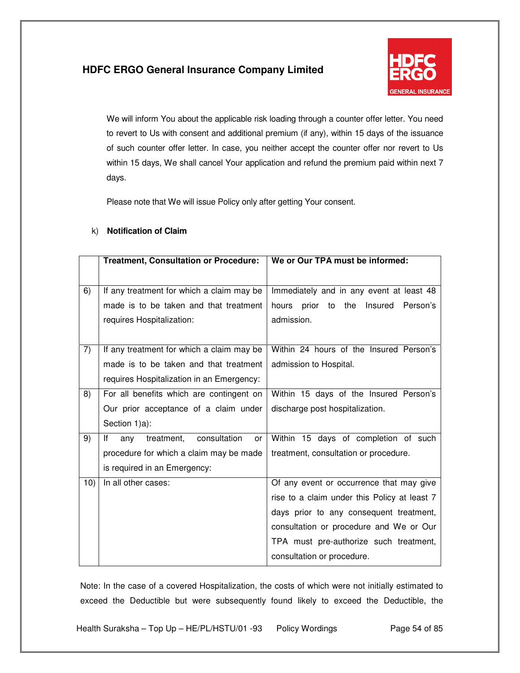

We will inform You about the applicable risk loading through a counter offer letter. You need to revert to Us with consent and additional premium (if any), within 15 days of the issuance of such counter offer letter. In case, you neither accept the counter offer nor revert to Us within 15 days, We shall cancel Your application and refund the premium paid within next 7 days.

Please note that We will issue Policy only after getting Your consent.

### k) **Notification of Claim**

|     | <b>Treatment, Consultation or Procedure:</b>  | We or Our TPA must be informed:              |
|-----|-----------------------------------------------|----------------------------------------------|
|     |                                               |                                              |
| 6)  | If any treatment for which a claim may be     | Immediately and in any event at least 48     |
|     | made is to be taken and that treatment        | Insured<br>hours prior to the<br>Person's    |
|     | requires Hospitalization:                     | admission.                                   |
|     |                                               |                                              |
| 7)  | If any treatment for which a claim may be     | Within 24 hours of the Insured Person's      |
|     | made is to be taken and that treatment        | admission to Hospital.                       |
|     | requires Hospitalization in an Emergency:     |                                              |
| 8)  | For all benefits which are contingent on      | Within 15 days of the Insured Person's       |
|     | Our prior acceptance of a claim under         | discharge post hospitalization.              |
|     | Section 1)a):                                 |                                              |
| 9)  | consultation<br>lf<br>treatment,<br>any<br>or | Within 15 days of completion of such         |
|     | procedure for which a claim may be made       | treatment, consultation or procedure.        |
|     | is required in an Emergency:                  |                                              |
| 10) | In all other cases:                           | Of any event or occurrence that may give     |
|     |                                               | rise to a claim under this Policy at least 7 |
|     |                                               | days prior to any consequent treatment,      |
|     |                                               | consultation or procedure and We or Our      |
|     |                                               | TPA must pre-authorize such treatment,       |
|     |                                               | consultation or procedure.                   |

Note: In the case of a covered Hospitalization, the costs of which were not initially estimated to exceed the Deductible but were subsequently found likely to exceed the Deductible, the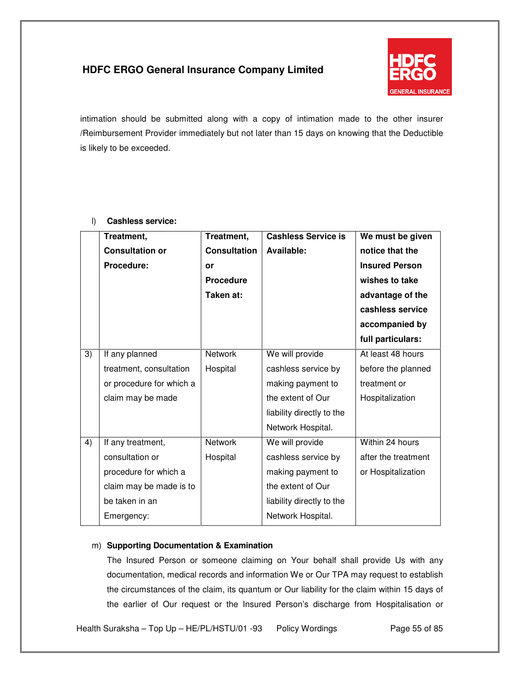

intimation should be submitted along with a copy of intimation made to the other insurer /Reimbursement Provider immediately but not later than 15 days on knowing that the Deductible is likely to be exceeded.

|    | Treatment,               | Treatment,          | <b>Cashless Service is</b> | We must be given      |
|----|--------------------------|---------------------|----------------------------|-----------------------|
|    | <b>Consultation or</b>   | <b>Consultation</b> | Available:                 | notice that the       |
|    | Procedure:               | or                  |                            | <b>Insured Person</b> |
|    |                          | <b>Procedure</b>    |                            | wishes to take        |
|    |                          | Taken at:           |                            | advantage of the      |
|    |                          |                     |                            | cashless service      |
|    |                          |                     |                            | accompanied by        |
|    |                          |                     |                            | full particulars:     |
| 3) | If any planned           | <b>Network</b>      | We will provide            | At least 48 hours     |
|    | treatment, consultation  | Hospital            | cashless service by        | before the planned    |
|    | or procedure for which a |                     | making payment to          | treatment or          |
|    | claim may be made        |                     | the extent of Our          | Hospitalization       |
|    |                          |                     | liability directly to the  |                       |
|    |                          |                     | Network Hospital.          |                       |
| 4) | If any treatment,        | <b>Network</b>      | We will provide            | Within 24 hours       |
|    | consultation or          | Hospital            | cashless service by        | after the treatment   |
|    | procedure for which a    |                     | making payment to          | or Hospitalization    |
|    | claim may be made is to  |                     | the extent of Our          |                       |
|    | be taken in an           |                     | liability directly to the  |                       |
|    | Emergency:               |                     | Network Hospital.          |                       |
|    |                          |                     |                            |                       |

### l) **Cashless service:**

### m) **Supporting Documentation & Examination**

The Insured Person or someone claiming on Your behalf shall provide Us with any documentation, medical records and information We or Our TPA may request to establish the circumstances of the claim, its quantum or Our liability for the claim within 15 days of the earlier of Our request or the Insured Person's discharge from Hospitalisation or

Health Suraksha – Top Up – HE/PL/HSTU/01 -93 Policy Wordings Page 55 of 85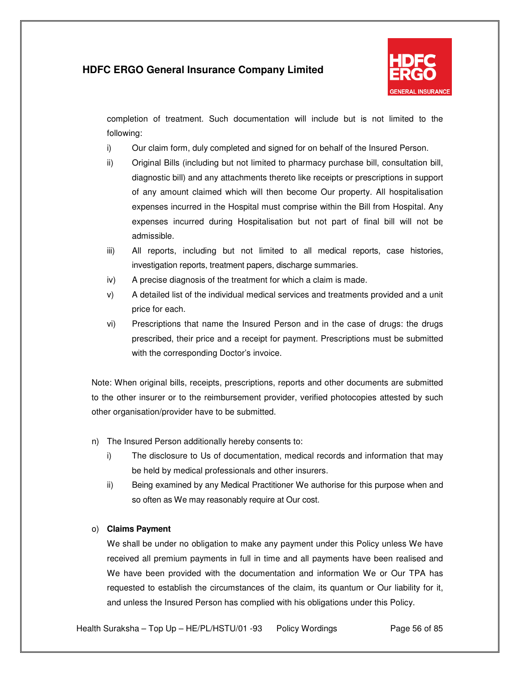

completion of treatment. Such documentation will include but is not limited to the following:

- i) Our claim form, duly completed and signed for on behalf of the Insured Person.
- ii) Original Bills (including but not limited to pharmacy purchase bill, consultation bill, diagnostic bill) and any attachments thereto like receipts or prescriptions in support of any amount claimed which will then become Our property. All hospitalisation expenses incurred in the Hospital must comprise within the Bill from Hospital. Any expenses incurred during Hospitalisation but not part of final bill will not be admissible.
- iii) All reports, including but not limited to all medical reports, case histories, investigation reports, treatment papers, discharge summaries.
- iv) A precise diagnosis of the treatment for which a claim is made.
- v) A detailed list of the individual medical services and treatments provided and a unit price for each.
- vi) Prescriptions that name the Insured Person and in the case of drugs: the drugs prescribed, their price and a receipt for payment. Prescriptions must be submitted with the corresponding Doctor's invoice.

Note: When original bills, receipts, prescriptions, reports and other documents are submitted to the other insurer or to the reimbursement provider, verified photocopies attested by such other organisation/provider have to be submitted.

- n) The Insured Person additionally hereby consents to:
	- i) The disclosure to Us of documentation, medical records and information that may be held by medical professionals and other insurers.
	- ii) Being examined by any Medical Practitioner We authorise for this purpose when and so often as We may reasonably require at Our cost.

### o) **Claims Payment**

We shall be under no obligation to make any payment under this Policy unless We have received all premium payments in full in time and all payments have been realised and We have been provided with the documentation and information We or Our TPA has requested to establish the circumstances of the claim, its quantum or Our liability for it, and unless the Insured Person has complied with his obligations under this Policy.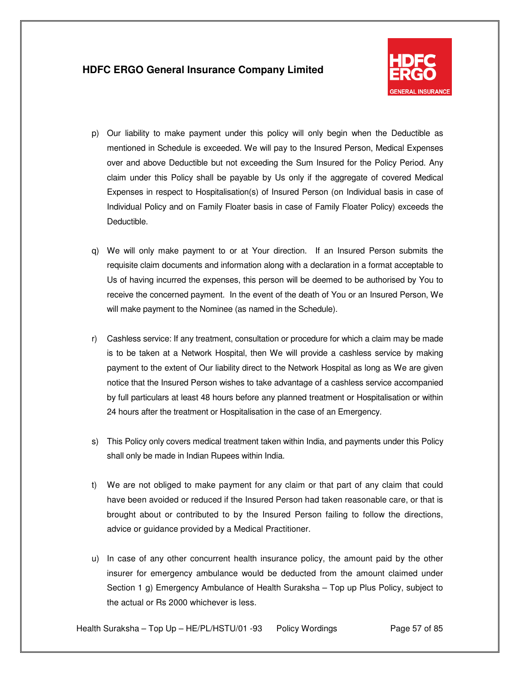

- p) Our liability to make payment under this policy will only begin when the Deductible as mentioned in Schedule is exceeded. We will pay to the Insured Person, Medical Expenses over and above Deductible but not exceeding the Sum Insured for the Policy Period. Any claim under this Policy shall be payable by Us only if the aggregate of covered Medical Expenses in respect to Hospitalisation(s) of Insured Person (on Individual basis in case of Individual Policy and on Family Floater basis in case of Family Floater Policy) exceeds the Deductible.
- q) We will only make payment to or at Your direction. If an Insured Person submits the requisite claim documents and information along with a declaration in a format acceptable to Us of having incurred the expenses, this person will be deemed to be authorised by You to receive the concerned payment. In the event of the death of You or an Insured Person, We will make payment to the Nominee (as named in the Schedule).
- r) Cashless service: If any treatment, consultation or procedure for which a claim may be made is to be taken at a Network Hospital, then We will provide a cashless service by making payment to the extent of Our liability direct to the Network Hospital as long as We are given notice that the Insured Person wishes to take advantage of a cashless service accompanied by full particulars at least 48 hours before any planned treatment or Hospitalisation or within 24 hours after the treatment or Hospitalisation in the case of an Emergency.
- s) This Policy only covers medical treatment taken within India, and payments under this Policy shall only be made in Indian Rupees within India.
- t) We are not obliged to make payment for any claim or that part of any claim that could have been avoided or reduced if the Insured Person had taken reasonable care, or that is brought about or contributed to by the Insured Person failing to follow the directions, advice or guidance provided by a Medical Practitioner.
- u) In case of any other concurrent health insurance policy, the amount paid by the other insurer for emergency ambulance would be deducted from the amount claimed under Section 1 g) Emergency Ambulance of Health Suraksha – Top up Plus Policy, subject to the actual or Rs 2000 whichever is less.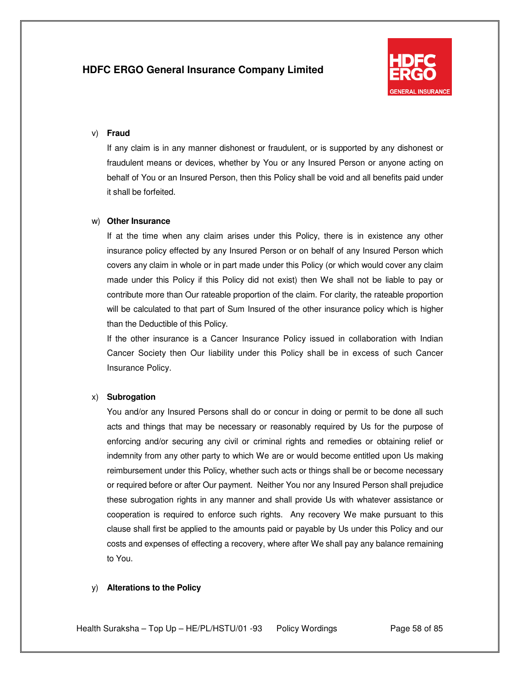

#### v) **Fraud**

If any claim is in any manner dishonest or fraudulent, or is supported by any dishonest or fraudulent means or devices, whether by You or any Insured Person or anyone acting on behalf of You or an Insured Person, then this Policy shall be void and all benefits paid under it shall be forfeited.

#### w) **Other Insurance**

If at the time when any claim arises under this Policy, there is in existence any other insurance policy effected by any Insured Person or on behalf of any Insured Person which covers any claim in whole or in part made under this Policy (or which would cover any claim made under this Policy if this Policy did not exist) then We shall not be liable to pay or contribute more than Our rateable proportion of the claim. For clarity, the rateable proportion will be calculated to that part of Sum Insured of the other insurance policy which is higher than the Deductible of this Policy.

If the other insurance is a Cancer Insurance Policy issued in collaboration with Indian Cancer Society then Our liability under this Policy shall be in excess of such Cancer Insurance Policy.

#### x) **Subrogation**

You and/or any Insured Persons shall do or concur in doing or permit to be done all such acts and things that may be necessary or reasonably required by Us for the purpose of enforcing and/or securing any civil or criminal rights and remedies or obtaining relief or indemnity from any other party to which We are or would become entitled upon Us making reimbursement under this Policy, whether such acts or things shall be or become necessary or required before or after Our payment. Neither You nor any Insured Person shall prejudice these subrogation rights in any manner and shall provide Us with whatever assistance or cooperation is required to enforce such rights. Any recovery We make pursuant to this clause shall first be applied to the amounts paid or payable by Us under this Policy and our costs and expenses of effecting a recovery, where after We shall pay any balance remaining to You.

#### y) **Alterations to the Policy**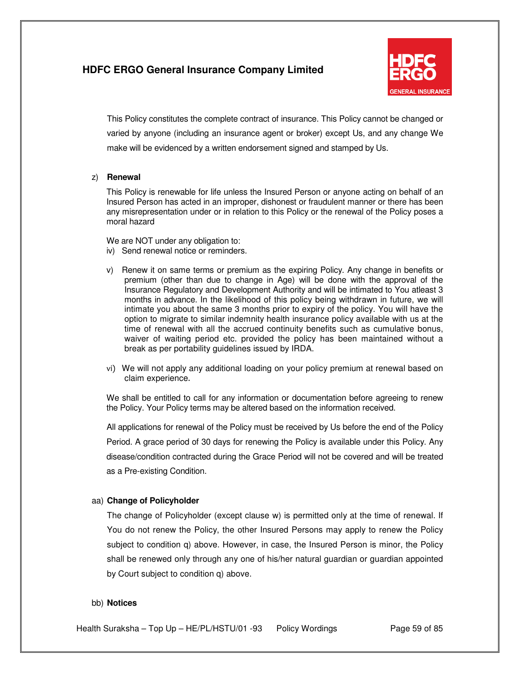

This Policy constitutes the complete contract of insurance. This Policy cannot be changed or varied by anyone (including an insurance agent or broker) except Us, and any change We make will be evidenced by a written endorsement signed and stamped by Us.

#### z) **Renewal**

This Policy is renewable for life unless the Insured Person or anyone acting on behalf of an Insured Person has acted in an improper, dishonest or fraudulent manner or there has been any misrepresentation under or in relation to this Policy or the renewal of the Policy poses a moral hazard

We are NOT under any obligation to:

- iv) Send renewal notice or reminders.
- v) Renew it on same terms or premium as the expiring Policy. Any change in benefits or premium (other than due to change in Age) will be done with the approval of the Insurance Regulatory and Development Authority and will be intimated to You atleast 3 months in advance. In the likelihood of this policy being withdrawn in future, we will intimate you about the same 3 months prior to expiry of the policy. You will have the option to migrate to similar indemnity health insurance policy available with us at the time of renewal with all the accrued continuity benefits such as cumulative bonus, waiver of waiting period etc. provided the policy has been maintained without a break as per portability guidelines issued by IRDA.
- vi) We will not apply any additional loading on your policy premium at renewal based on claim experience.

We shall be entitled to call for any information or documentation before agreeing to renew the Policy. Your Policy terms may be altered based on the information received.

All applications for renewal of the Policy must be received by Us before the end of the Policy Period. A grace period of 30 days for renewing the Policy is available under this Policy. Any disease/condition contracted during the Grace Period will not be covered and will be treated as a Pre-existing Condition.

### aa) **Change of Policyholder**

The change of Policyholder (except clause w) is permitted only at the time of renewal. If You do not renew the Policy, the other Insured Persons may apply to renew the Policy subject to condition q) above. However, in case, the Insured Person is minor, the Policy shall be renewed only through any one of his/her natural guardian or guardian appointed by Court subject to condition q) above.

#### bb) **Notices**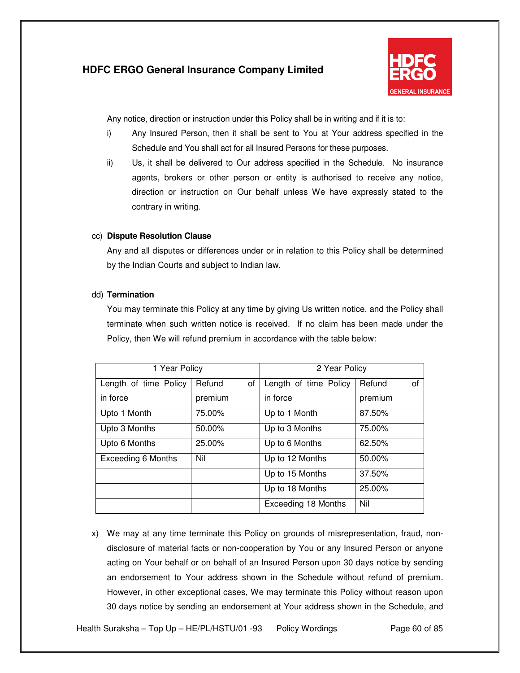

Any notice, direction or instruction under this Policy shall be in writing and if it is to:

- i) Any Insured Person, then it shall be sent to You at Your address specified in the Schedule and You shall act for all Insured Persons for these purposes.
- ii) Us, it shall be delivered to Our address specified in the Schedule. No insurance agents, brokers or other person or entity is authorised to receive any notice, direction or instruction on Our behalf unless We have expressly stated to the contrary in writing.

### cc) **Dispute Resolution Clause**

Any and all disputes or differences under or in relation to this Policy shall be determined by the Indian Courts and subject to Indian law.

### dd) **Termination**

You may terminate this Policy at any time by giving Us written notice, and the Policy shall terminate when such written notice is received. If no claim has been made under the Policy, then We will refund premium in accordance with the table below:

| 1 Year Policy         |              | 2 Year Policy         |              |
|-----------------------|--------------|-----------------------|--------------|
| Length of time Policy | Refund<br>of | Length of time Policy | Refund<br>of |
| in force              | premium      | in force              | premium      |
| Upto 1 Month          | 75.00%       | Up to 1 Month         | 87.50%       |
| Upto 3 Months         | 50.00%       | Up to 3 Months        | 75.00%       |
| Upto 6 Months         | 25.00%       | Up to 6 Months        | 62.50%       |
| Exceeding 6 Months    | Nil          | Up to 12 Months       | 50.00%       |
|                       |              | Up to 15 Months       | 37.50%       |
|                       |              | Up to 18 Months       | 25.00%       |
|                       |              | Exceeding 18 Months   | Nil          |

x) We may at any time terminate this Policy on grounds of misrepresentation, fraud, nondisclosure of material facts or non-cooperation by You or any Insured Person or anyone acting on Your behalf or on behalf of an Insured Person upon 30 days notice by sending an endorsement to Your address shown in the Schedule without refund of premium. However, in other exceptional cases, We may terminate this Policy without reason upon 30 days notice by sending an endorsement at Your address shown in the Schedule, and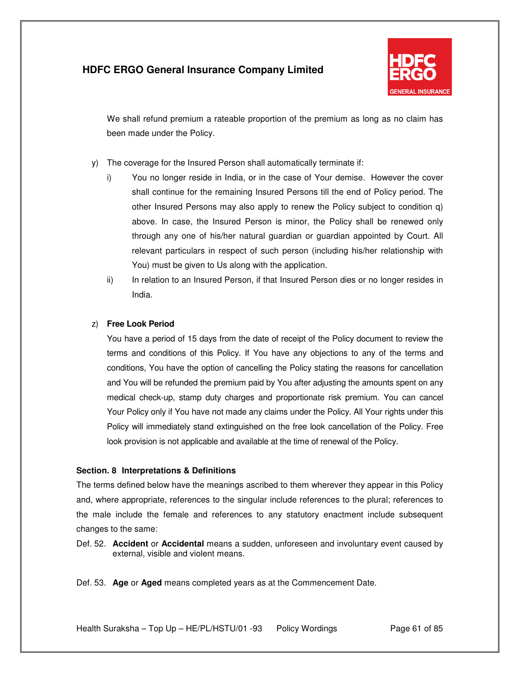

We shall refund premium a rateable proportion of the premium as long as no claim has been made under the Policy.

- y) The coverage for the Insured Person shall automatically terminate if:
	- i) You no longer reside in India, or in the case of Your demise. However the cover shall continue for the remaining Insured Persons till the end of Policy period. The other Insured Persons may also apply to renew the Policy subject to condition q) above. In case, the Insured Person is minor, the Policy shall be renewed only through any one of his/her natural guardian or guardian appointed by Court. All relevant particulars in respect of such person (including his/her relationship with You) must be given to Us along with the application.
	- ii) In relation to an Insured Person, if that Insured Person dies or no longer resides in India.

### z) **Free Look Period**

You have a period of 15 days from the date of receipt of the Policy document to review the terms and conditions of this Policy. If You have any objections to any of the terms and conditions, You have the option of cancelling the Policy stating the reasons for cancellation and You will be refunded the premium paid by You after adjusting the amounts spent on any medical check-up, stamp duty charges and proportionate risk premium. You can cancel Your Policy only if You have not made any claims under the Policy. All Your rights under this Policy will immediately stand extinguished on the free look cancellation of the Policy. Free look provision is not applicable and available at the time of renewal of the Policy.

### **Section. 8 Interpretations & Definitions**

The terms defined below have the meanings ascribed to them wherever they appear in this Policy and, where appropriate, references to the singular include references to the plural; references to the male include the female and references to any statutory enactment include subsequent changes to the same:

Def. 52. **Accident** or **Accidental** means a sudden, unforeseen and involuntary event caused by external, visible and violent means.

Def. 53. **Age** or **Aged** means completed years as at the Commencement Date.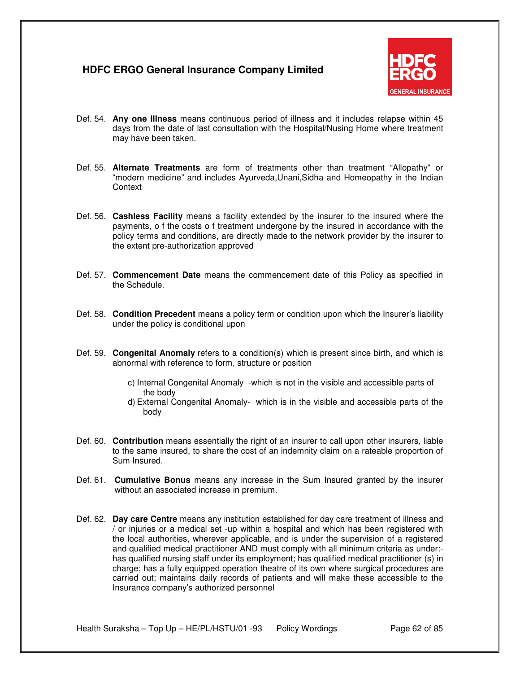

- Def. 54. **Any one Illness** means continuous period of illness and it includes relapse within 45 days from the date of last consultation with the Hospital/Nusing Home where treatment may have been taken.
- Def. 55. **Alternate Treatments** are form of treatments other than treatment "Allopathy" or "modern medicine" and includes Ayurveda,Unani,Sidha and Homeopathy in the Indian **Context**
- Def. 56. **Cashless Facility** means a facility extended by the insurer to the insured where the payments, o f the costs o f treatment undergone by the insured in accordance with the policy terms and conditions, are directly made to the network provider by the insurer to the extent pre-authorization approved
- Def. 57. **Commencement Date** means the commencement date of this Policy as specified in the Schedule.
- Def. 58. **Condition Precedent** means a policy term or condition upon which the Insurer's liability under the policy is conditional upon
- Def. 59. **Congenital Anomaly** refers to a condition(s) which is present since birth, and which is abnormal with reference to form, structure or position
	- c) Internal Congenital Anomaly -which is not in the visible and accessible parts of the body
	- d) External Congenital Anomaly- which is in the visible and accessible parts of the body
- Def. 60. **Contribution** means essentially the right of an insurer to call upon other insurers, liable to the same insured, to share the cost of an indemnity claim on a rateable proportion of Sum Insured.
- Def. 61. **Cumulative Bonus** means any increase in the Sum Insured granted by the insurer without an associated increase in premium.
- Def. 62. **Day care Centre** means any institution established for day care treatment of illness and / or injuries or a medical set -up within a hospital and which has been registered with the local authorities, wherever applicable, and is under the supervision of a registered and qualified medical practitioner AND must comply with all minimum criteria as under: has qualified nursing staff under its employment; has qualified medical practitioner (s) in charge; has a fully equipped operation theatre of its own where surgical procedures are carried out; maintains daily records of patients and will make these accessible to the Insurance company's authorized personnel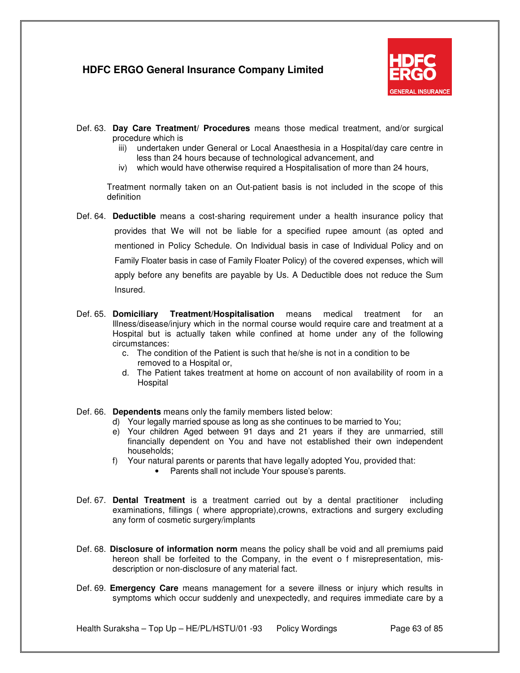

- Def. 63. **Day Care Treatment/ Procedures** means those medical treatment, and/or surgical procedure which is
	- iii) undertaken under General or Local Anaesthesia in a Hospital/day care centre in less than 24 hours because of technological advancement, and
	- iv) which would have otherwise required a Hospitalisation of more than 24 hours,

Treatment normally taken on an Out-patient basis is not included in the scope of this definition

- Def. 64. **Deductible** means a cost-sharing requirement under a health insurance policy that provides that We will not be liable for a specified rupee amount (as opted and mentioned in Policy Schedule. On Individual basis in case of Individual Policy and on Family Floater basis in case of Family Floater Policy) of the covered expenses, which will apply before any benefits are payable by Us. A Deductible does not reduce the Sum Insured.
- Def. 65. **Domiciliary Treatment/Hospitalisation** means medical treatment for an Illness/disease/injury which in the normal course would require care and treatment at a Hospital but is actually taken while confined at home under any of the following circumstances:
	- c. The condition of the Patient is such that he/she is not in a condition to be removed to a Hospital or,
	- d. The Patient takes treatment at home on account of non availability of room in a **Hospital**

Def. 66. **Dependents** means only the family members listed below:

- d) Your legally married spouse as long as she continues to be married to You;
- e) Your children Aged between 91 days and 21 years if they are unmarried, still financially dependent on You and have not established their own independent households;
- f) Your natural parents or parents that have legally adopted You, provided that:
	- Parents shall not include Your spouse's parents.
- Def. 67. **Dental Treatment** is a treatment carried out by a dental practitioner including examinations, fillings ( where appropriate),crowns, extractions and surgery excluding any form of cosmetic surgery/implants
- Def. 68. **Disclosure of information norm** means the policy shall be void and all premiums paid hereon shall be forfeited to the Company, in the event o f misrepresentation, misdescription or non-disclosure of any material fact.
- Def. 69. **Emergency Care** means management for a severe illness or injury which results in symptoms which occur suddenly and unexpectedly, and requires immediate care by a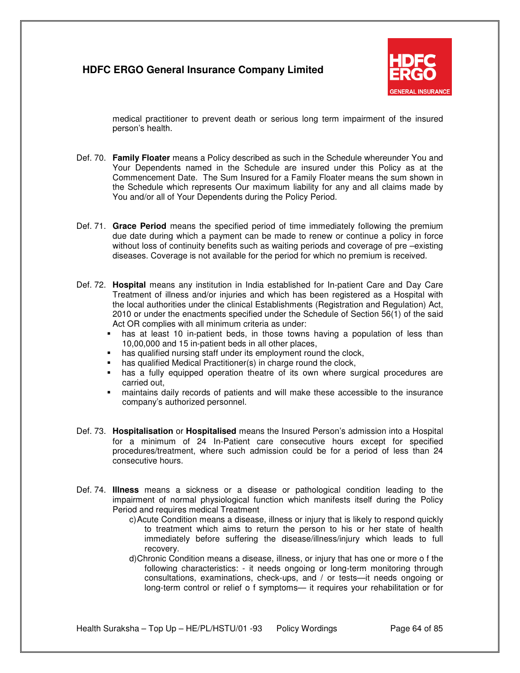

medical practitioner to prevent death or serious long term impairment of the insured person's health.

- Def. 70. **Family Floater** means a Policy described as such in the Schedule whereunder You and Your Dependents named in the Schedule are insured under this Policy as at the Commencement Date. The Sum Insured for a Family Floater means the sum shown in the Schedule which represents Our maximum liability for any and all claims made by You and/or all of Your Dependents during the Policy Period.
- Def. 71. **Grace Period** means the specified period of time immediately following the premium due date during which a payment can be made to renew or continue a policy in force without loss of continuity benefits such as waiting periods and coverage of pre –existing diseases. Coverage is not available for the period for which no premium is received.
- Def. 72. **Hospital** means any institution in India established for In-patient Care and Day Care Treatment of illness and/or injuries and which has been registered as a Hospital with the local authorities under the clinical Establishments (Registration and Regulation) Act, 2010 or under the enactments specified under the Schedule of Section 56(1) of the said Act OR complies with all minimum criteria as under:
	- has at least 10 in-patient beds, in those towns having a population of less than 10,00,000 and 15 in-patient beds in all other places,
	- **has qualified nursing staff under its employment round the clock,**<br>**has qualified Medical Practitioner(s) in charge round the clock**
	- has qualified Medical Practitioner(s) in charge round the clock,
	- has a fully equipped operation theatre of its own where surgical procedures are carried out,
	- maintains daily records of patients and will make these accessible to the insurance company's authorized personnel.
- Def. 73. **Hospitalisation** or **Hospitalised** means the Insured Person's admission into a Hospital for a minimum of 24 In-Patient care consecutive hours except for specified procedures/treatment, where such admission could be for a period of less than 24 consecutive hours.
- Def. 74. **Illness** means a sickness or a disease or pathological condition leading to the impairment of normal physiological function which manifests itself during the Policy Period and requires medical Treatment
	- c) Acute Condition means a disease, illness or injury that is likely to respond quickly to treatment which aims to return the person to his or her state of health immediately before suffering the disease/illness/injury which leads to full recovery.
	- d) Chronic Condition means a disease, illness, or injury that has one or more o f the following characteristics: - it needs ongoing or long-term monitoring through consultations, examinations, check-ups, and / or tests—it needs ongoing or long-term control or relief o f symptoms— it requires your rehabilitation or for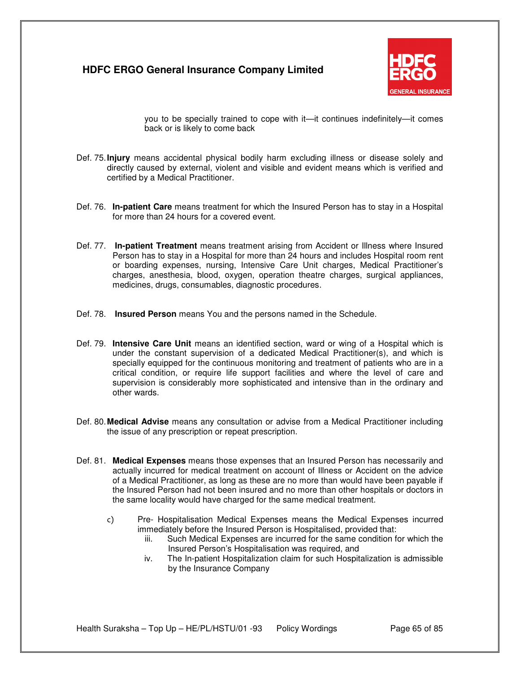

you to be specially trained to cope with it—it continues indefinitely—it comes back or is likely to come back

- Def. 75. **Injury** means accidental physical bodily harm excluding illness or disease solely and directly caused by external, violent and visible and evident means which is verified and certified by a Medical Practitioner.
- Def. 76. **In-patient Care** means treatment for which the Insured Person has to stay in a Hospital for more than 24 hours for a covered event.
- Def. 77. **In-patient Treatment** means treatment arising from Accident or Illness where Insured Person has to stay in a Hospital for more than 24 hours and includes Hospital room rent or boarding expenses, nursing, Intensive Care Unit charges, Medical Practitioner's charges, anesthesia, blood, oxygen, operation theatre charges, surgical appliances, medicines, drugs, consumables, diagnostic procedures.
- Def. 78. **Insured Person** means You and the persons named in the Schedule.
- Def. 79. **Intensive Care Unit** means an identified section, ward or wing of a Hospital which is under the constant supervision of a dedicated Medical Practitioner(s), and which is specially equipped for the continuous monitoring and treatment of patients who are in a critical condition, or require life support facilities and where the level of care and supervision is considerably more sophisticated and intensive than in the ordinary and other wards.
- Def. 80. **Medical Advise** means any consultation or advise from a Medical Practitioner including the issue of any prescription or repeat prescription.
- Def. 81. **Medical Expenses** means those expenses that an Insured Person has necessarily and actually incurred for medical treatment on account of Illness or Accident on the advice of a Medical Practitioner, as long as these are no more than would have been payable if the Insured Person had not been insured and no more than other hospitals or doctors in the same locality would have charged for the same medical treatment.
	- c) Pre- Hospitalisation Medical Expenses means the Medical Expenses incurred immediately before the Insured Person is Hospitalised, provided that:<br>iii. Such Medical Expenses are incurred for the same condition fo
		- Such Medical Expenses are incurred for the same condition for which the Insured Person's Hospitalisation was required, and
		- iv. The In-patient Hospitalization claim for such Hospitalization is admissible by the Insurance Company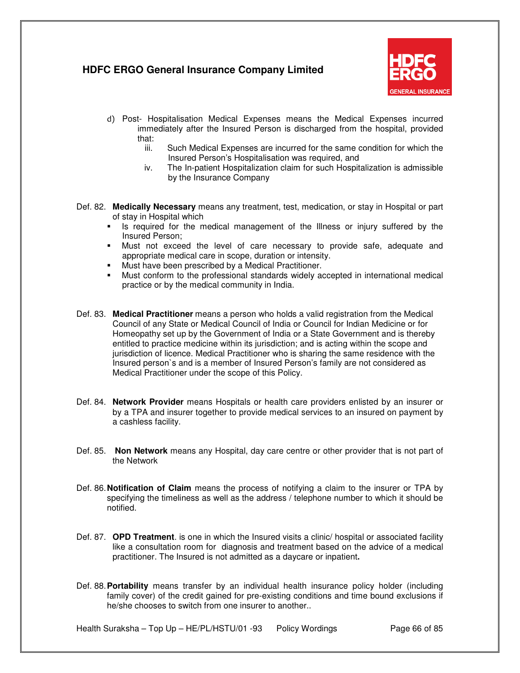

- d) Post- Hospitalisation Medical Expenses means the Medical Expenses incurred immediately after the Insured Person is discharged from the hospital, provided that:
	- iii. Such Medical Expenses are incurred for the same condition for which the Insured Person's Hospitalisation was required, and
	- iv. The In-patient Hospitalization claim for such Hospitalization is admissible by the Insurance Company
- Def. 82. **Medically Necessary** means any treatment, test, medication, or stay in Hospital or part of stay in Hospital which
	- Is required for the medical management of the Illness or injury suffered by the Insured Person;
	- Must not exceed the level of care necessary to provide safe, adequate and appropriate medical care in scope, duration or intensity.
	- Must have been prescribed by a Medical Practitioner.
	- Must conform to the professional standards widely accepted in international medical practice or by the medical community in India.
- Def. 83. **Medical Practitioner** means a person who holds a valid registration from the Medical Council of any State or Medical Council of India or Council for Indian Medicine or for Homeopathy set up by the Government of India or a State Government and is thereby entitled to practice medicine within its jurisdiction; and is acting within the scope and jurisdiction of licence. Medical Practitioner who is sharing the same residence with the Insured person`s and is a member of Insured Person's family are not considered as Medical Practitioner under the scope of this Policy.
- Def. 84. **Network Provider** means Hospitals or health care providers enlisted by an insurer or by a TPA and insurer together to provide medical services to an insured on payment by a cashless facility.
- Def. 85. **Non Network** means any Hospital, day care centre or other provider that is not part of the Network
- Def. 86. **Notification of Claim** means the process of notifying a claim to the insurer or TPA by specifying the timeliness as well as the address / telephone number to which it should be notified.
- Def. 87. **OPD Treatment**. is one in which the Insured visits a clinic/ hospital or associated facility like a consultation room for diagnosis and treatment based on the advice of a medical practitioner. The Insured is not admitted as a daycare or inpatient**.**
- Def. 88. **Portability** means transfer by an individual health insurance policy holder (including family cover) of the credit gained for pre-existing conditions and time bound exclusions if he/she chooses to switch from one insurer to another..

Health Suraksha – Top Up – HE/PL/HSTU/01 -93 Policy Wordings Page 66 of 85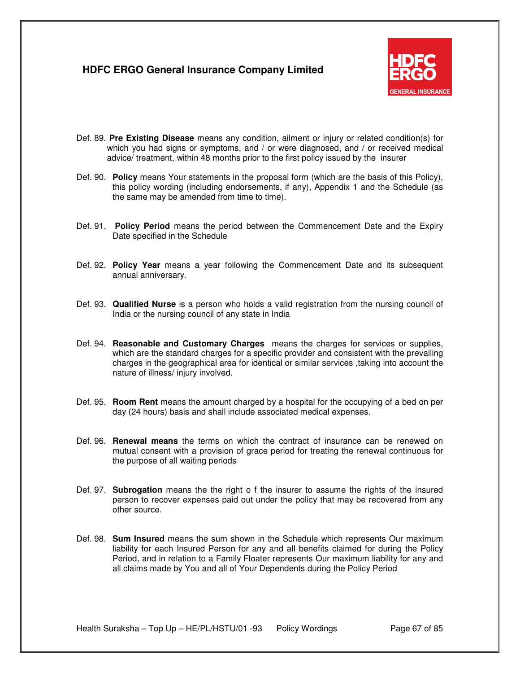

- Def. 89. **Pre Existing Disease** means any condition, ailment or injury or related condition(s) for which you had signs or symptoms, and / or were diagnosed, and / or received medical advice/ treatment, within 48 months prior to the first policy issued by the insurer
- Def. 90. **Policy** means Your statements in the proposal form (which are the basis of this Policy), this policy wording (including endorsements, if any), Appendix 1 and the Schedule (as the same may be amended from time to time).
- Def. 91. **Policy Period** means the period between the Commencement Date and the Expiry Date specified in the Schedule
- Def. 92. **Policy Year** means a year following the Commencement Date and its subsequent annual anniversary.
- Def. 93. **Qualified Nurse** is a person who holds a valid registration from the nursing council of India or the nursing council of any state in India
- Def. 94. **Reasonable and Customary Charges** means the charges for services or supplies, which are the standard charges for a specific provider and consistent with the prevailing charges in the geographical area for identical or similar services ,taking into account the nature of illness/ injury involved.
- Def. 95. **Room Rent** means the amount charged by a hospital for the occupying of a bed on per day (24 hours) basis and shall include associated medical expenses.
- Def. 96. **Renewal means** the terms on which the contract of insurance can be renewed on mutual consent with a provision of grace period for treating the renewal continuous for the purpose of all waiting periods
- Def. 97. **Subrogation** means the the right o f the insurer to assume the rights of the insured person to recover expenses paid out under the policy that may be recovered from any other source.
- Def. 98. **Sum Insured** means the sum shown in the Schedule which represents Our maximum liability for each Insured Person for any and all benefits claimed for during the Policy Period, and in relation to a Family Floater represents Our maximum liability for any and all claims made by You and all of Your Dependents during the Policy Period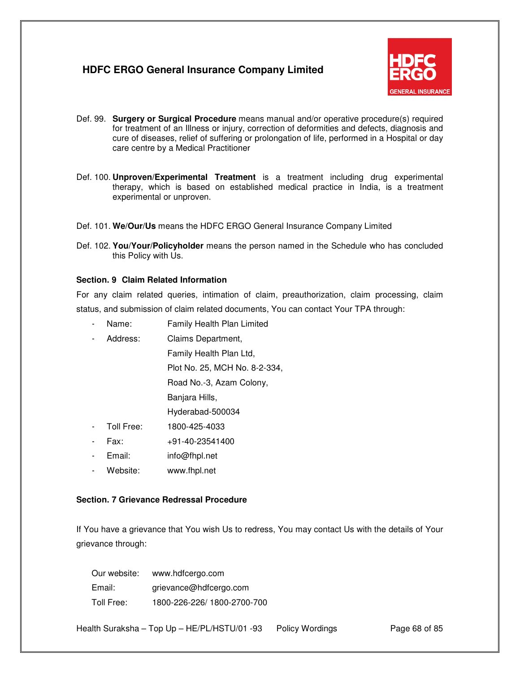

- Def. 99. **Surgery or Surgical Procedure** means manual and/or operative procedure(s) required for treatment of an Illness or injury, correction of deformities and defects, diagnosis and cure of diseases, relief of suffering or prolongation of life, performed in a Hospital or day care centre by a Medical Practitioner
- Def. 100. **Unproven/Experimental Treatment** is a treatment including drug experimental therapy, which is based on established medical practice in India, is a treatment experimental or unproven.
- Def. 101. **We/Our/Us** means the HDFC ERGO General Insurance Company Limited
- Def. 102. **You/Your/Policyholder** means the person named in the Schedule who has concluded this Policy with Us.

#### **Section. 9 Claim Related Information**

For any claim related queries, intimation of claim, preauthorization, claim processing, claim status, and submission of claim related documents, You can contact Your TPA through:

- Name: Family Health Plan Limited
- Address: Claims Department, Family Health Plan Ltd, Plot No. 25, MCH No. 8-2-334, Road No.-3, Azam Colony, Banjara Hills,

Hyderabad-500034

- Toll Free: 1800-425-4033
- Fax: +91-40-23541400
- Email: info@fhpl.net
- Website: www.fhpl.net

### **Section. 7 Grievance Redressal Procedure**

If You have a grievance that You wish Us to redress, You may contact Us with the details of Your grievance through:

| Our website: | www.hdfcergo.com           |
|--------------|----------------------------|
| Email:       | grievance@hdfcergo.com     |
| Toll Free:   | 1800-226-226/1800-2700-700 |

Health Suraksha – Top Up – HE/PL/HSTU/01 -93 Policy Wordings Page 68 of 85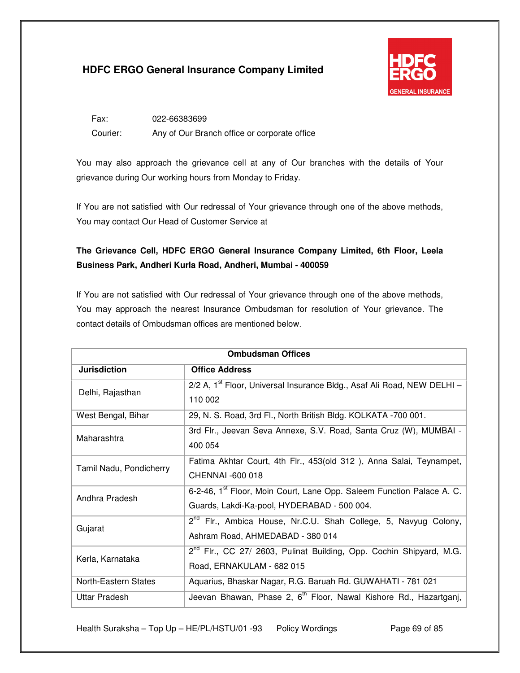

Fax: 022-66383699 Courier: Any of Our Branch office or corporate office

You may also approach the grievance cell at any of Our branches with the details of Your grievance during Our working hours from Monday to Friday.

If You are not satisfied with Our redressal of Your grievance through one of the above methods, You may contact Our Head of Customer Service at

## **The Grievance Cell, HDFC ERGO General Insurance Company Limited, 6th Floor, Leela Business Park, Andheri Kurla Road, Andheri, Mumbai - 400059**

If You are not satisfied with Our redressal of Your grievance through one of the above methods, You may approach the nearest Insurance Ombudsman for resolution of Your grievance. The contact details of Ombudsman offices are mentioned below.

| <b>Ombudsman Offices</b> |                                                                                    |  |
|--------------------------|------------------------------------------------------------------------------------|--|
| <b>Jurisdiction</b>      | <b>Office Address</b>                                                              |  |
| Delhi, Rajasthan         | 2/2 A, 1 <sup>st</sup> Floor, Universal Insurance Bldg., Asaf Ali Road, NEW DELHI- |  |
|                          | 110 002                                                                            |  |
| West Bengal, Bihar       | 29, N. S. Road, 3rd Fl., North British Bldg. KOLKATA -700 001.                     |  |
| Maharashtra              | 3rd Flr., Jeevan Seva Annexe, S.V. Road, Santa Cruz (W), MUMBAI -                  |  |
|                          | 400 054                                                                            |  |
| Tamil Nadu, Pondicherry  | Fatima Akhtar Court, 4th Flr., 453(old 312), Anna Salai, Teynampet,                |  |
|                          | CHENNAI -600 018                                                                   |  |
| Andhra Pradesh           | 6-2-46, 1 <sup>st</sup> Floor, Moin Court, Lane Opp. Saleem Function Palace A. C.  |  |
|                          | Guards, Lakdi-Ka-pool, HYDERABAD - 500 004.                                        |  |
| Gujarat                  | 2 <sup>nd</sup> Flr., Ambica House, Nr.C.U. Shah College, 5, Navyug Colony,        |  |
|                          | Ashram Road, AHMEDABAD - 380 014                                                   |  |
| Kerla, Karnataka         | 2 <sup>nd</sup> Flr., CC 27/ 2603, Pulinat Building, Opp. Cochin Shipyard, M.G.    |  |
|                          | Road, ERNAKULAM - 682 015                                                          |  |
| North-Eastern States     | Aquarius, Bhaskar Nagar, R.G. Baruah Rd. GUWAHATI - 781 021                        |  |
| <b>Uttar Pradesh</b>     | Jeevan Bhawan, Phase 2, 6 <sup>th</sup> Floor, Nawal Kishore Rd., Hazartganj,      |  |

Health Suraksha – Top Up – HE/PL/HSTU/01 -93 Policy Wordings Page 69 of 85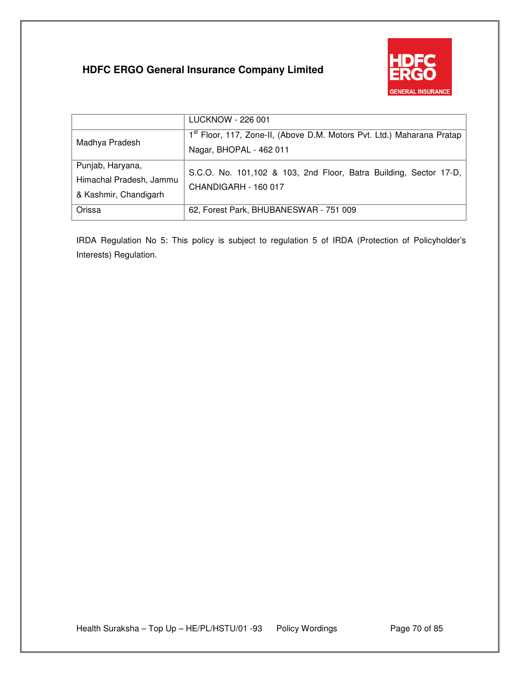

|                                                                      | LUCKNOW - 226 001                                                                                             |
|----------------------------------------------------------------------|---------------------------------------------------------------------------------------------------------------|
| Madhya Pradesh                                                       | 1 <sup>st</sup> Floor, 117, Zone-II, (Above D.M. Motors Pvt. Ltd.) Maharana Pratap<br>Nagar, BHOPAL - 462 011 |
| Punjab, Haryana,<br>Himachal Pradesh, Jammu<br>& Kashmir, Chandigarh | S.C.O. No. 101,102 & 103, 2nd Floor, Batra Building, Sector 17-D,<br>CHANDIGARH - 160 017                     |
| Orissa                                                               | 62, Forest Park, BHUBANESWAR - 751 009                                                                        |

IRDA Regulation No 5: This policy is subject to regulation 5 of IRDA (Protection of Policyholder's Interests) Regulation.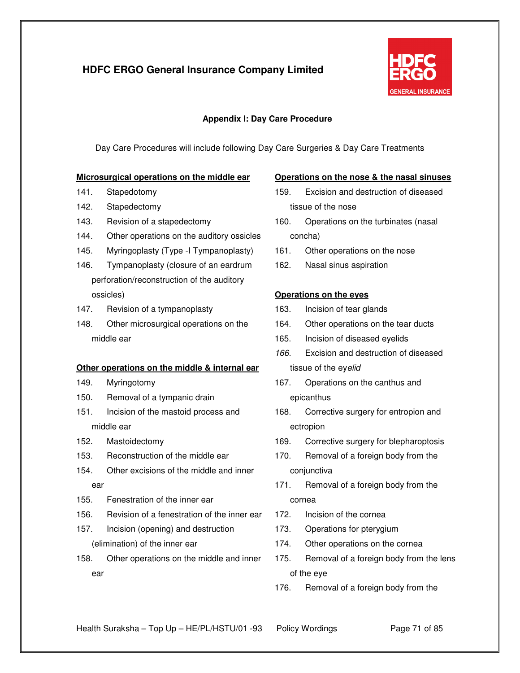

### **Appendix I: Day Care Procedure**

Day Care Procedures will include following Day Care Surgeries & Day Care Treatments

#### **Microsurgical operations on the middle ear**

- 141. Stapedotomy
- 142. Stapedectomy
- 143. Revision of a stapedectomy
- 144. Other operations on the auditory ossicles
- 145. Myringoplasty (Type -I Tympanoplasty)
- 146. Tympanoplasty (closure of an eardrum perforation/reconstruction of the auditory ossicles)
- 147. Revision of a tympanoplasty
- 148. Other microsurgical operations on the middle ear

#### **Other operations on the middle & internal ear**

- 149. Myringotomy
- 150. Removal of a tympanic drain
- 151. Incision of the mastoid process and middle ear
- 152. Mastoidectomy
- 153. Reconstruction of the middle ear
- 154. Other excisions of the middle and inner ear
- 155. Fenestration of the inner ear
- 156. Revision of a fenestration of the inner ear
- 157. Incision (opening) and destruction (elimination) of the inner ear
- 158. Other operations on the middle and inner ear

#### **Operations on the nose & the nasal sinuses**

- 159. Excision and destruction of diseased tissue of the nose
- 160. Operations on the turbinates (nasal concha)
- 161. Other operations on the nose
- 162. Nasal sinus aspiration

#### **Operations on the eyes**

- 163. Incision of tear glands
- 164. Other operations on the tear ducts
- 165. Incision of diseased eyelids
- 166. Excision and destruction of diseased tissue of the eyelid
- 167. Operations on the canthus and epicanthus
- 168. Corrective surgery for entropion and ectropion
- 169. Corrective surgery for blepharoptosis
- 170. Removal of a foreign body from the conjunctiva
- 171. Removal of a foreign body from the cornea
- 172. Incision of the cornea
- 173. Operations for pterygium
- 174. Other operations on the cornea
- 175. Removal of a foreign body from the lens of the eye
- 176. Removal of a foreign body from the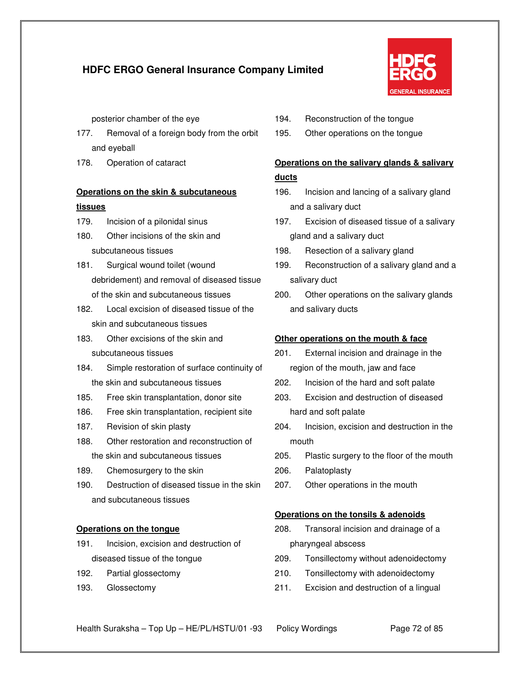

posterior chamber of the eye

- 177. Removal of a foreign body from the orbit and eyeball
- 178. Operation of cataract

# **Operations on the skin & subcutaneous tissues**

- 179. Incision of a pilonidal sinus
- 180. Other incisions of the skin and subcutaneous tissues
- 181. Surgical wound toilet (wound debridement) and removal of diseased tissue of the skin and subcutaneous tissues
- 182. Local excision of diseased tissue of the skin and subcutaneous tissues
- 183. Other excisions of the skin and subcutaneous tissues
- 184. Simple restoration of surface continuity of the skin and subcutaneous tissues
- 185. Free skin transplantation, donor site
- 186. Free skin transplantation, recipient site
- 187. Revision of skin plasty
- 188. Other restoration and reconstruction of the skin and subcutaneous tissues
- 189. Chemosurgery to the skin
- 190. Destruction of diseased tissue in the skin and subcutaneous tissues

### **Operations on the tongue**

- 191. Incision, excision and destruction of diseased tissue of the tongue
- 192. Partial glossectomy
- 193. Glossectomy
- 194. Reconstruction of the tongue
- 195. Other operations on the tongue

# **Operations on the salivary glands & salivary ducts**

- 196. Incision and lancing of a salivary gland and a salivary duct
- 197. Excision of diseased tissue of a salivary gland and a salivary duct
- 198. Resection of a salivary gland
- 199. Reconstruction of a salivary gland and a salivary duct
- 200. Other operations on the salivary glands and salivary ducts

### **Other operations on the mouth & face**

- 201. External incision and drainage in the region of the mouth, jaw and face
- 202. Incision of the hard and soft palate
- 203. Excision and destruction of diseased hard and soft palate
- 204. Incision, excision and destruction in the mouth
- 205. Plastic surgery to the floor of the mouth
- 206. Palatoplasty
- 207. Other operations in the mouth

### **Operations on the tonsils & adenoids**

- 208. Transoral incision and drainage of a pharyngeal abscess
- 209. Tonsillectomy without adenoidectomy
- 210. Tonsillectomy with adenoidectomy
- 211. Excision and destruction of a lingual
- Health Suraksha Top Up HE/PL/HSTU/01 -93 Policy Wordings Page 72 of 85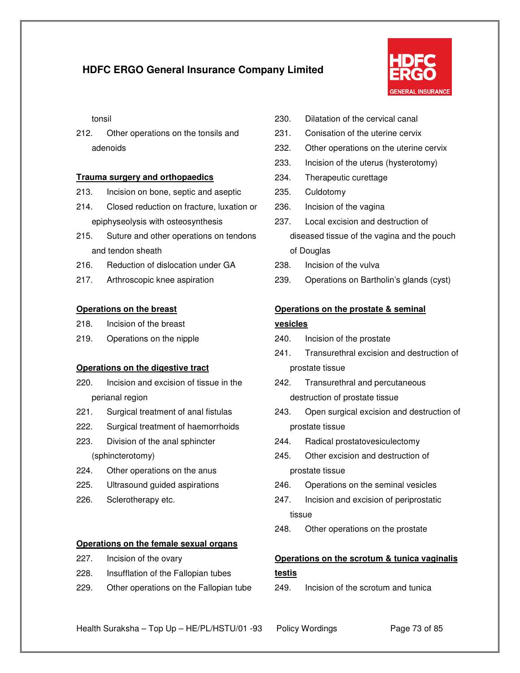

tonsil

212. Other operations on the tonsils and adenoids

#### **Trauma surgery and orthopaedics**

- 213. Incision on bone, septic and aseptic
- 214. Closed reduction on fracture, luxation or epiphyseolysis with osteosynthesis
- 215. Suture and other operations on tendons and tendon sheath
- 216. Reduction of dislocation under GA
- 217. Arthroscopic knee aspiration

#### **Operations on the breast**

- 218. Incision of the breast
- 219. Operations on the nipple

#### **Operations on the digestive tract**

- 220. Incision and excision of tissue in the perianal region
- 221. Surgical treatment of anal fistulas
- 222. Surgical treatment of haemorrhoids
- 223. Division of the anal sphincter (sphincterotomy)
- 224. Other operations on the anus
- 225. Ultrasound guided aspirations
- 226. Sclerotherapy etc.

#### **Operations on the female sexual organs**

- 227. Incision of the ovary
- 228. Insufflation of the Fallopian tubes
- 229. Other operations on the Fallopian tube
- 230. Dilatation of the cervical canal
- 231. Conisation of the uterine cervix
- 232. Other operations on the uterine cervix
- 233. Incision of the uterus (hysterotomy)
- 234. Therapeutic curettage
- 235. Culdotomy
- 236. Incision of the vagina
- 237. Local excision and destruction of diseased tissue of the vagina and the pouch of Douglas
- 238. Incision of the vulva
- 239. Operations on Bartholin's glands (cyst)

#### **Operations on the prostate & seminal**

#### **vesicles**

- 240. Incision of the prostate
- 241. Transurethral excision and destruction of prostate tissue
- 242. Transurethral and percutaneous destruction of prostate tissue
- 243. Open surgical excision and destruction of prostate tissue
- 244. Radical prostatovesiculectomy
- 245. Other excision and destruction of prostate tissue
- 246. Operations on the seminal vesicles
- 247. Incision and excision of periprostatic tissue
- 248. Other operations on the prostate

### **Operations on the scrotum & tunica vaginalis testis**

249. Incision of the scrotum and tunica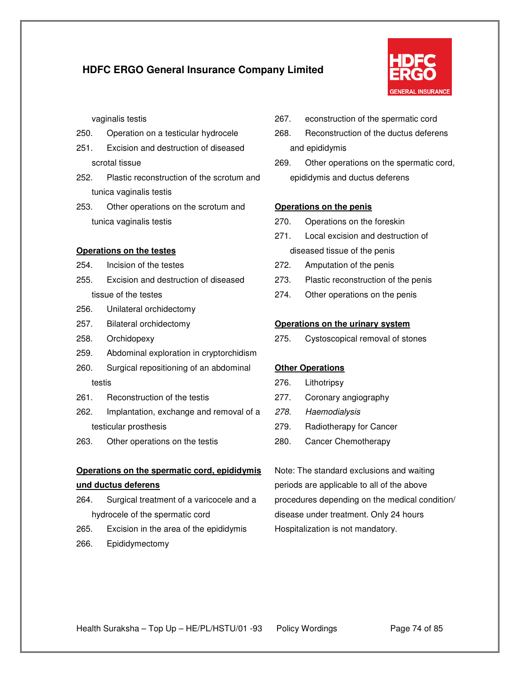

vaginalis testis

- 250. Operation on a testicular hydrocele
- 251. Excision and destruction of diseased scrotal tissue
- 252. Plastic reconstruction of the scrotum and tunica vaginalis testis
- 253. Other operations on the scrotum and tunica vaginalis testis

#### **Operations on the testes**

- 254. Incision of the testes
- 255. Excision and destruction of diseased tissue of the testes
- 256. Unilateral orchidectomy
- 257. Bilateral orchidectomy
- 258. Orchidopexy
- 259. Abdominal exploration in cryptorchidism
- 260. Surgical repositioning of an abdominal testis
- 261. Reconstruction of the testis
- 262. Implantation, exchange and removal of a testicular prosthesis
- 263. Other operations on the testis

### **Operations on the spermatic cord, epididymis und ductus deferens**

- 264. Surgical treatment of a varicocele and a hydrocele of the spermatic cord
- 265. Excision in the area of the epididymis
- 266. Epididymectomy
- 267. econstruction of the spermatic cord
- 268. Reconstruction of the ductus deferens and epididymis
- 269. Other operations on the spermatic cord, epididymis and ductus deferens

#### **Operations on the penis**

- 270. Operations on the foreskin
- 271. Local excision and destruction of diseased tissue of the penis
- 272. Amputation of the penis
- 273. Plastic reconstruction of the penis
- 274. Other operations on the penis

#### **Operations on the urinary system**

275. Cystoscopical removal of stones

#### **Other Operations**

- 276. Lithotripsy
- 277. Coronary angiography
- 278. Haemodialysis
- 279. Radiotherapy for Cancer
- 280. Cancer Chemotherapy

Note: The standard exclusions and waiting periods are applicable to all of the above procedures depending on the medical condition/ disease under treatment. Only 24 hours Hospitalization is not mandatory.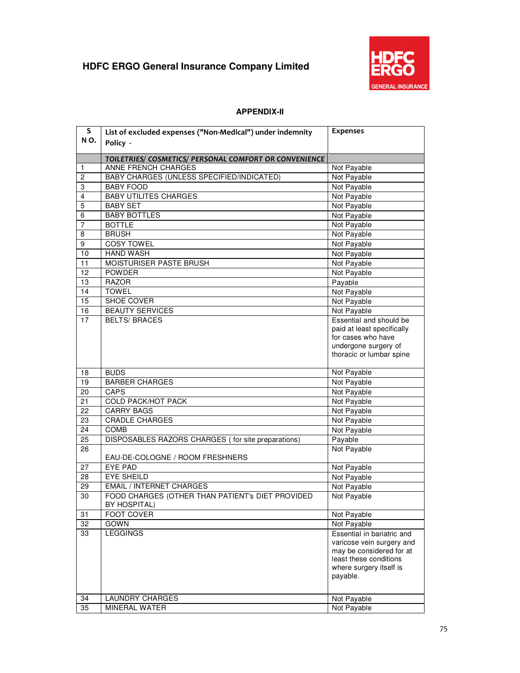

### **APPENDIX-II**

| S              | List of excluded expenses ("Non-Medical") under indemnity | <b>Expenses</b>                                  |
|----------------|-----------------------------------------------------------|--------------------------------------------------|
| NO.            | Policy -                                                  |                                                  |
|                |                                                           |                                                  |
|                | TOILETRIES/ COSMETICS/ PERSONAL COMFORT OR CONVENIENCE    |                                                  |
| -1             | ANNE FRENCH CHARGES                                       | Not Payable                                      |
| $\overline{c}$ | <b>BABY CHARGES (UNLESS SPECIFIED/INDICATED)</b>          | Not Payable                                      |
| 3              | <b>BABY FOOD</b>                                          | Not Payable                                      |
| 4              | <b>BABY UTILITES CHARGES</b>                              | Not Payable                                      |
| 5              | <b>BABY SET</b>                                           | Not Payable                                      |
| 6              | <b>BABY BOTTLES</b>                                       | Not Payable                                      |
| 7              | <b>BOTTLE</b>                                             | Not Payable                                      |
| 8              | <b>BRUSH</b>                                              | Not Payable                                      |
| 9              | <b>COSY TOWEL</b>                                         | Not Payable                                      |
| 10             | <b>HAND WASH</b>                                          | Not Payable                                      |
| 11             | MOISTURISER PASTE BRUSH                                   | Not Payable                                      |
| 12             | <b>POWDER</b>                                             | Not Payable                                      |
| 13             | <b>RAZOR</b>                                              | Payable                                          |
| 14             | <b>TOWEL</b>                                              | Not Payable                                      |
| 15             | SHOE COVER                                                | Not Payable                                      |
| 16             | <b>BEAUTY SERVICES</b>                                    | Not Payable                                      |
| 17             | <b>BELTS/ BRACES</b>                                      | Essential and should be                          |
|                |                                                           | paid at least specifically<br>for cases who have |
|                |                                                           | undergone surgery of                             |
|                |                                                           | thoracic or lumbar spine                         |
|                |                                                           |                                                  |
| 18             | <b>BUDS</b>                                               | Not Payable                                      |
| 19             | <b>BARBER CHARGES</b>                                     | Not Payable                                      |
| 20             | CAPS                                                      | Not Payable                                      |
| 21             | <b>COLD PACK/HOT PACK</b>                                 | Not Payable                                      |
| 22             | <b>CARRY BAGS</b>                                         | Not Payable                                      |
| 23             | <b>CRADLE CHARGES</b>                                     | Not Payable                                      |
| 24             | <b>COMB</b>                                               | Not Payable                                      |
| 25             | DISPOSABLES RAZORS CHARGES (for site preparations)        | Payable                                          |
| 26             |                                                           | Not Payable                                      |
|                | EAU-DE-COLOGNE / ROOM FRESHNERS                           |                                                  |
| 27             | EYE PAD                                                   | Not Payable                                      |
| 28             | <b>EYE SHEILD</b>                                         | Not Payable                                      |
| 29             | <b>EMAIL / INTERNET CHARGES</b>                           | Not Payable                                      |
| 30             | FOOD CHARGES (OTHER THAN PATIENT's DIET PROVIDED          | Not Payable                                      |
|                | BY HOSPITAL)                                              |                                                  |
| 31             | <b>FOOT COVER</b>                                         | Not Payable                                      |
| 32             | <b>GOWN</b>                                               | Not Payable                                      |
| 33             | <b>LEGGINGS</b>                                           | Essential in bariatric and                       |
|                |                                                           | varicose vein surgery and                        |
|                |                                                           | may be considered for at                         |
|                |                                                           | least these conditions                           |
|                |                                                           | where surgery itself is                          |
|                |                                                           | payable.                                         |
|                |                                                           |                                                  |
| 34             | <b>LAUNDRY CHARGES</b>                                    | Not Payable                                      |
| 35             | <b>MINERAL WATER</b>                                      | Not Payable                                      |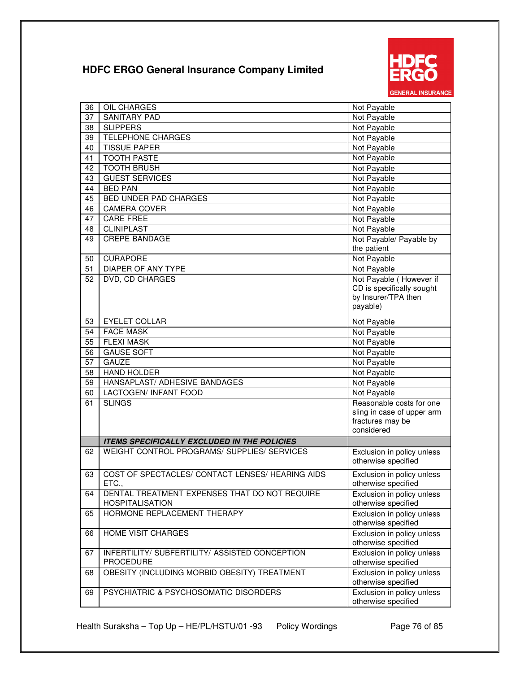

| 36 | <b>OIL CHARGES</b>                                                      | Not Payable                                       |
|----|-------------------------------------------------------------------------|---------------------------------------------------|
| 37 | <b>SANITARY PAD</b>                                                     | Not Payable                                       |
| 38 | <b>SLIPPERS</b>                                                         | Not Payable                                       |
| 39 | <b>TELEPHONE CHARGES</b>                                                | Not Payable                                       |
| 40 | <b>TISSUE PAPER</b>                                                     | Not Payable                                       |
| 41 | <b>TOOTH PASTE</b>                                                      | Not Payable                                       |
| 42 | <b>TOOTH BRUSH</b>                                                      | Not Payable                                       |
| 43 | <b>GUEST SERVICES</b>                                                   | Not Payable                                       |
| 44 | <b>BED PAN</b>                                                          | Not Payable                                       |
| 45 | <b>BED UNDER PAD CHARGES</b>                                            | Not Payable                                       |
| 46 | <b>CAMERA COVER</b>                                                     | Not Payable                                       |
| 47 | CARE FREE                                                               | Not Payable                                       |
| 48 | <b>CLINIPLAST</b>                                                       | Not Payable                                       |
| 49 | <b>CREPE BANDAGE</b>                                                    | Not Payable/ Payable by                           |
|    |                                                                         | the patient                                       |
| 50 | <b>CURAPORE</b>                                                         | Not Payable                                       |
| 51 | DIAPER OF ANY TYPE                                                      | Not Payable                                       |
| 52 | DVD, CD CHARGES                                                         | Not Payable (However if                           |
|    |                                                                         | CD is specifically sought<br>by Insurer/TPA then  |
|    |                                                                         | payable)                                          |
|    |                                                                         |                                                   |
| 53 | <b>EYELET COLLAR</b>                                                    | Not Payable                                       |
| 54 | <b>FACE MASK</b>                                                        | Not Payable                                       |
| 55 | <b>FLEXI MASK</b>                                                       | Not Payable                                       |
| 56 | <b>GAUSE SOFT</b>                                                       | Not Payable                                       |
| 57 | <b>GAUZE</b>                                                            | Not Payable                                       |
| 58 | <b>HAND HOLDER</b>                                                      | Not Payable                                       |
| 59 | HANSAPLAST/ ADHESIVE BANDAGES                                           | Not Payable                                       |
| 60 | LACTOGEN/ INFANT FOOD                                                   | Not Payable                                       |
| 61 | <b>SLINGS</b>                                                           | Reasonable costs for one                          |
|    |                                                                         | sling in case of upper arm                        |
|    |                                                                         | fractures may be                                  |
|    |                                                                         | considered                                        |
|    | <b>ITEMS SPECIFICALLY EXCLUDED IN THE POLICIES</b>                      |                                                   |
| 62 | WEIGHT CONTROL PROGRAMS/ SUPPLIES/ SERVICES                             | Exclusion in policy unless<br>otherwise specified |
| 63 | COST OF SPECTACLES/ CONTACT LENSES/ HEARING AIDS                        | Exclusion in policy unless                        |
|    | ETC.,                                                                   | otherwise specified                               |
| 64 | DENTAL TREATMENT EXPENSES THAT DO NOT REQUIRE<br><b>HOSPITALISATION</b> | Exclusion in policy unless<br>otherwise specified |
| 65 | HORMONE REPLACEMENT THERAPY                                             | Exclusion in policy unless<br>otherwise specified |
| 66 | <b>HOME VISIT CHARGES</b>                                               | Exclusion in policy unless<br>otherwise specified |
| 67 | INFERTILITY/ SUBFERTILITY/ ASSISTED CONCEPTION<br><b>PROCEDURE</b>      | Exclusion in policy unless<br>otherwise specified |
| 68 | OBESITY (INCLUDING MORBID OBESITY) TREATMENT                            | Exclusion in policy unless<br>otherwise specified |
| 69 | PSYCHIATRIC & PSYCHOSOMATIC DISORDERS                                   | Exclusion in policy unless<br>otherwise specified |

Health Suraksha – Top Up – HE/PL/HSTU/01 -93 Policy Wordings Page 76 of 85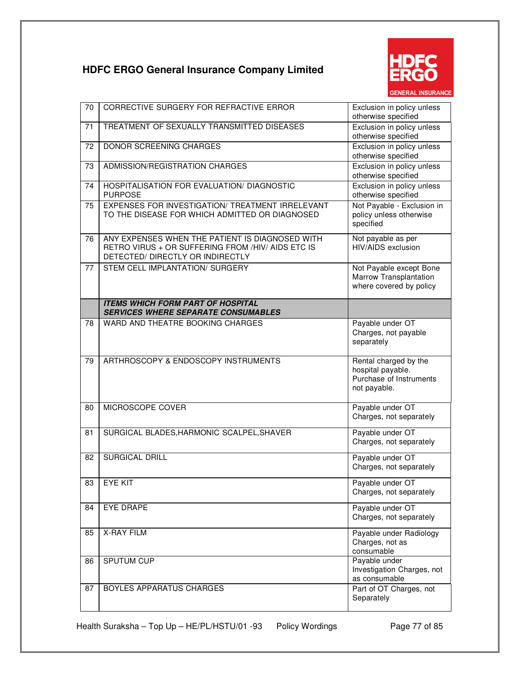

| 70 | CORRECTIVE SURGERY FOR REFRACTIVE ERROR                                                                                                  | Exclusion in policy unless<br>otherwise specified                                     |
|----|------------------------------------------------------------------------------------------------------------------------------------------|---------------------------------------------------------------------------------------|
| 71 | TREATMENT OF SEXUALLY TRANSMITTED DISEASES                                                                                               | Exclusion in policy unless<br>otherwise specified                                     |
| 72 | <b>DONOR SCREENING CHARGES</b>                                                                                                           | Exclusion in policy unless<br>otherwise specified                                     |
| 73 | ADMISSION/REGISTRATION CHARGES                                                                                                           | Exclusion in policy unless<br>otherwise specified                                     |
| 74 | HOSPITALISATION FOR EVALUATION/ DIAGNOSTIC<br><b>PURPOSE</b>                                                                             | Exclusion in policy unless<br>otherwise specified                                     |
| 75 | EXPENSES FOR INVESTIGATION/ TREATMENT IRRELEVANT<br>TO THE DISEASE FOR WHICH ADMITTED OR DIAGNOSED                                       | Not Payable - Exclusion in<br>policy unless otherwise<br>specified                    |
| 76 | ANY EXPENSES WHEN THE PATIENT IS DIAGNOSED WITH<br>RETRO VIRUS + OR SUFFERING FROM /HIV/ AIDS ETC IS<br>DETECTED/ DIRECTLY OR INDIRECTLY | Not payable as per<br>HIV/AIDS exclusion                                              |
| 77 | STEM CELL IMPLANTATION/ SURGERY                                                                                                          | Not Payable except Bone<br>Marrow Transplantation<br>where covered by policy          |
|    | <b>ITEMS WHICH FORM PART OF HOSPITAL</b><br><b>SERVICES WHERE SEPARATE CONSUMABLES</b>                                                   |                                                                                       |
| 78 | WARD AND THEATRE BOOKING CHARGES                                                                                                         | Payable under OT<br>Charges, not payable<br>separately                                |
| 79 | ARTHROSCOPY & ENDOSCOPY INSTRUMENTS                                                                                                      | Rental charged by the<br>hospital payable.<br>Purchase of Instruments<br>not payable. |
| 80 | MICROSCOPE COVER                                                                                                                         | Payable under OT<br>Charges, not separately                                           |
| 81 | SURGICAL BLADES, HARMONIC SCALPEL, SHAVER                                                                                                | Payable under OT<br>Charges, not separately                                           |
| 82 | <b>SURGICAL DRILL</b>                                                                                                                    | Payable under OT<br>Charges, not separately                                           |
|    | 83   EYE KIT                                                                                                                             | Payable under OT<br>Charges, not separately                                           |
| 84 | <b>EYE DRAPE</b>                                                                                                                         | Payable under OT<br>Charges, not separately                                           |
| 85 | <b>X-RAY FILM</b>                                                                                                                        | Payable under Radiology<br>Charges, not as<br>consumable                              |
| 86 | <b>SPUTUM CUP</b>                                                                                                                        | Payable under<br>Investigation Charges, not<br>as consumable                          |
| 87 | BOYLES APPARATUS CHARGES                                                                                                                 | Part of OT Charges, not<br>Separately                                                 |

Health Suraksha - Top Up - HE/PL/HSTU/01 -93 Policy Wordings Page 77 of 85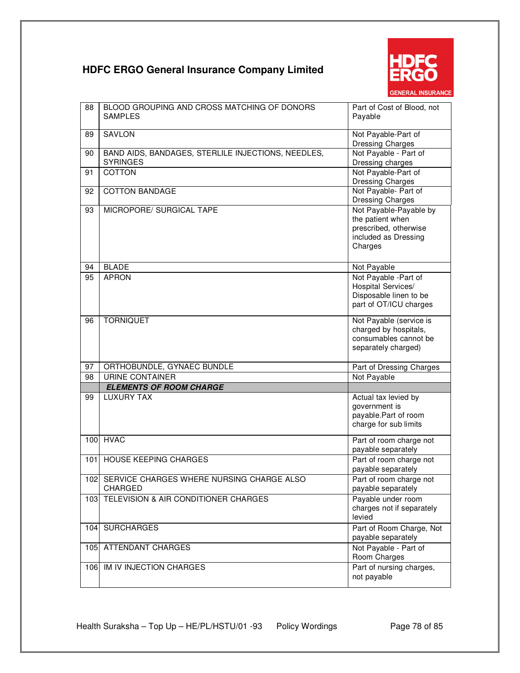

| 88  | BLOOD GROUPING AND CROSS MATCHING OF DONORS<br><b>SAMPLES</b>         | Part of Cost of Blood, not<br>Payable                                                                  |
|-----|-----------------------------------------------------------------------|--------------------------------------------------------------------------------------------------------|
| 89  | <b>SAVLON</b>                                                         | Not Payable-Part of<br><b>Dressing Charges</b>                                                         |
| 90  | BAND AIDS, BANDAGES, STERLILE INJECTIONS, NEEDLES,<br><b>SYRINGES</b> | Not Payable - Part of<br>Dressing charges                                                              |
| 91  | <b>COTTON</b>                                                         | Not Payable-Part of<br>Dressing Charges                                                                |
| 92  | <b>COTTON BANDAGE</b>                                                 | Not Payable- Part of<br><b>Dressing Charges</b>                                                        |
| 93  | MICROPORE/ SURGICAL TAPE                                              | Not Payable-Payable by<br>the patient when<br>prescribed, otherwise<br>included as Dressing<br>Charges |
| 94  | <b>BLADE</b>                                                          | Not Payable                                                                                            |
| 95  | <b>APRON</b>                                                          | Not Payable - Part of<br>Hospital Services/<br>Disposable linen to be<br>part of OT/ICU charges        |
| 96  | <b>TORNIQUET</b>                                                      | Not Payable (service is<br>charged by hospitals,<br>consumables cannot be<br>separately charged)       |
| 97  | ORTHOBUNDLE, GYNAEC BUNDLE                                            | Part of Dressing Charges                                                                               |
| 98  | URINE CONTAINER                                                       | Not Payable                                                                                            |
|     | <b>ELEMENTS OF ROOM CHARGE</b>                                        |                                                                                                        |
| 99  | <b>LUXURY TAX</b>                                                     | Actual tax levied by<br>government is<br>payable.Part of room<br>charge for sub limits                 |
| 100 | <b>HVAC</b>                                                           | Part of room charge not<br>payable separately                                                          |
| 101 | <b>HOUSE KEEPING CHARGES</b>                                          | Part of room charge not<br>payable separately                                                          |
|     | 102 SERVICE CHARGES WHERE NURSING CHARGE ALSO<br><b>CHARGED</b>       | Part of room charge not<br>payable separately                                                          |
| 103 | TELEVISION & AIR CONDITIONER CHARGES                                  | Payable under room<br>charges not if separately<br>levied                                              |
| 104 | <b>SURCHARGES</b>                                                     | Part of Room Charge, Not<br>payable separately                                                         |
| 105 | ATTENDANT CHARGES                                                     | Not Payable - Part of<br>Room Charges                                                                  |
| 106 | <b>IM IV INJECTION CHARGES</b>                                        | Part of nursing charges,<br>not payable                                                                |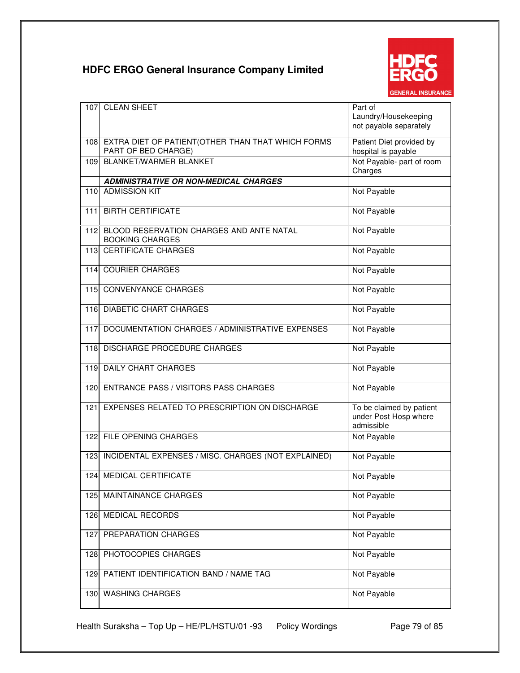

| 107   | <b>CLEAN SHEET</b>                                                            | Part of<br>Laundry/Housekeeping<br>not payable separately       |
|-------|-------------------------------------------------------------------------------|-----------------------------------------------------------------|
|       | 108 EXTRA DIET OF PATIENT (OTHER THAN THAT WHICH FORMS<br>PART OF BED CHARGE) | Patient Diet provided by<br>hospital is payable                 |
| 109   | <b>BLANKET/WARMER BLANKET</b>                                                 | Not Payable- part of room<br>Charges                            |
|       | <b>ADMINISTRATIVE OR NON-MEDICAL CHARGES</b>                                  |                                                                 |
| 110   | <b>ADMISSION KIT</b>                                                          | Not Payable                                                     |
| 111   | <b>BIRTH CERTIFICATE</b>                                                      | Not Payable                                                     |
| 112   | BLOOD RESERVATION CHARGES AND ANTE NATAL<br><b>BOOKING CHARGES</b>            | Not Payable                                                     |
| $113$ | <b>CERTIFICATE CHARGES</b>                                                    | Not Payable                                                     |
| 114   | <b>COURIER CHARGES</b>                                                        | Not Payable                                                     |
|       | 115 CONVENYANCE CHARGES                                                       | Not Payable                                                     |
|       | 116 DIABETIC CHART CHARGES                                                    | Not Payable                                                     |
| 117   | DOCUMENTATION CHARGES / ADMINISTRATIVE EXPENSES                               | Not Payable                                                     |
| 118   | DISCHARGE PROCEDURE CHARGES                                                   | Not Payable                                                     |
| 119   | <b>DAILY CHART CHARGES</b>                                                    | Not Payable                                                     |
| 120   | <b>ENTRANCE PASS / VISITORS PASS CHARGES</b>                                  | Not Payable                                                     |
| 121   | EXPENSES RELATED TO PRESCRIPTION ON DISCHARGE                                 | To be claimed by patient<br>under Post Hosp where<br>admissible |
|       | 122 FILE OPENING CHARGES                                                      | Not Payable                                                     |
| 123   | INCIDENTAL EXPENSES / MISC. CHARGES (NOT EXPLAINED)                           | Not Payable                                                     |
| 1241  | MEDICAL CERTIFICATE                                                           | Not Payable                                                     |
| 125   | MAINTAINANCE CHARGES                                                          | Not Payable                                                     |
| 126   | <b>MEDICAL RECORDS</b>                                                        | Not Payable                                                     |
| 127   | PREPARATION CHARGES                                                           | Not Payable                                                     |
| 128   | PHOTOCOPIES CHARGES                                                           | Not Payable                                                     |
| 129   | PATIENT IDENTIFICATION BAND / NAME TAG                                        | Not Payable                                                     |
| 130   | <b>WASHING CHARGES</b>                                                        | Not Payable                                                     |

Health Suraksha – Top Up – HE/PL/HSTU/01 -93 Policy Wordings Page 79 of 85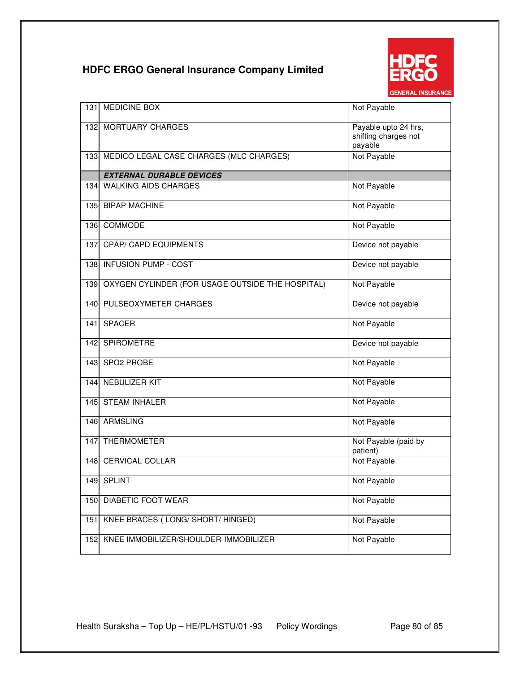

| 1311 | <b>MEDICINE BOX</b>                              | Not Payable                                             |
|------|--------------------------------------------------|---------------------------------------------------------|
|      | 132 MORTUARY CHARGES                             | Payable upto 24 hrs,<br>shifting charges not<br>payable |
|      | 133 MEDICO LEGAL CASE CHARGES (MLC CHARGES)      | Not Payable                                             |
|      | <b>EXTERNAL DURABLE DEVICES</b>                  |                                                         |
|      | 134 WALKING AIDS CHARGES                         | Not Payable                                             |
|      | 135 BIPAP MACHINE                                | Not Payable                                             |
|      | 136 COMMODE                                      | Not Payable                                             |
| 1371 | <b>CPAP/ CAPD EQUIPMENTS</b>                     | Device not payable                                      |
|      | 138 INFUSION PUMP - COST                         | Device not payable                                      |
| 139  | OXYGEN CYLINDER (FOR USAGE OUTSIDE THE HOSPITAL) | Not Payable                                             |
| 140  | PULSEOXYMETER CHARGES                            | Device not payable                                      |
| 141  | <b>SPACER</b>                                    | Not Payable                                             |
| 142  | <b>SPIROMETRE</b>                                | Device not payable                                      |
| 143  | SPO2 PROBE                                       | Not Payable                                             |
| 144  | <b>NEBULIZER KIT</b>                             | Not Payable                                             |
| 145  | <b>STEAM INHALER</b>                             | Not Payable                                             |
|      | 146 ARMSLING                                     | Not Payable                                             |
| 147  | <b>THERMOMETER</b>                               | Not Payable (paid by<br>patient)                        |
|      | 148 CERVICAL COLLAR                              | Not Payable                                             |
|      | 149 SPLINT                                       | Not Payable                                             |
| 150  | DIABETIC FOOT WEAR                               | Not Payable                                             |
| 151  | KNEE BRACES (LONG/SHORT/HINGED)                  | Not Payable                                             |
| 152  | KNEE IMMOBILIZER/SHOULDER IMMOBILIZER            | Not Payable                                             |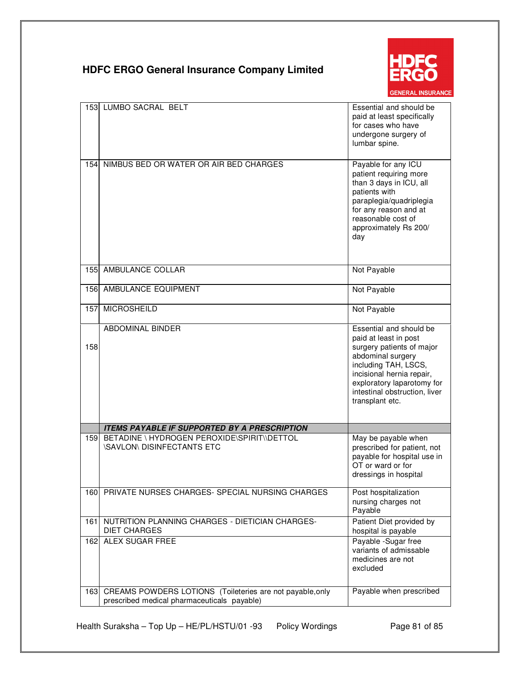

| 153 | <b>LUMBO SACRAL BELT</b>                                                                                 | Essential and should be<br>paid at least specifically<br>for cases who have<br>undergone surgery of<br>lumbar spine.                                                                                                                      |
|-----|----------------------------------------------------------------------------------------------------------|-------------------------------------------------------------------------------------------------------------------------------------------------------------------------------------------------------------------------------------------|
| 154 | NIMBUS BED OR WATER OR AIR BED CHARGES                                                                   | Payable for any ICU<br>patient requiring more<br>than 3 days in ICU, all<br>patients with<br>paraplegia/quadriplegia<br>for any reason and at<br>reasonable cost of<br>approximately Rs 200/<br>day                                       |
| 155 | AMBULANCE COLLAR                                                                                         | Not Payable                                                                                                                                                                                                                               |
| 156 | AMBULANCE EQUIPMENT                                                                                      | Not Payable                                                                                                                                                                                                                               |
| 157 | <b>MICROSHEILD</b>                                                                                       | Not Payable                                                                                                                                                                                                                               |
| 158 | ABDOMINAL BINDER                                                                                         | Essential and should be<br>paid at least in post<br>surgery patients of major<br>abdominal surgery<br>including TAH, LSCS,<br>incisional hernia repair,<br>exploratory laparotomy for<br>intestinal obstruction, liver<br>transplant etc. |
|     | <b>ITEMS PAYABLE IF SUPPORTED BY A PRESCRIPTION</b>                                                      |                                                                                                                                                                                                                                           |
| 159 | BETADINE \ HYDROGEN PEROXIDE\SPIRIT\\DETTOL<br><b>\SAVLON\ DISINFECTANTS ETC</b>                         | May be payable when<br>prescribed for patient, not<br>payable for hospital use in<br>OT or ward or for<br>dressings in hospital                                                                                                           |
| 160 | PRIVATE NURSES CHARGES- SPECIAL NURSING CHARGES                                                          | Post hospitalization<br>nursing charges not<br>Payable                                                                                                                                                                                    |
| 161 | NUTRITION PLANNING CHARGES - DIETICIAN CHARGES-<br><b>DIET CHARGES</b>                                   | Patient Diet provided by<br>hospital is payable                                                                                                                                                                                           |
| 162 | <b>ALEX SUGAR FREE</b>                                                                                   | Payable -Sugar free<br>variants of admissable<br>medicines are not<br>excluded                                                                                                                                                            |
| 163 | CREAMS POWDERS LOTIONS (Toileteries are not payable, only<br>prescribed medical pharmaceuticals payable) | Payable when prescribed                                                                                                                                                                                                                   |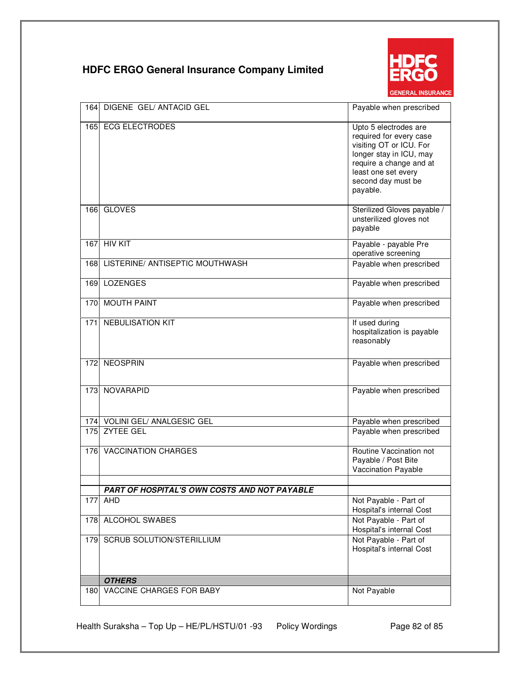

| 164 | DIGENE GEL/ ANTACID GEL                      | Payable when prescribed                                                                                                                                                                    |
|-----|----------------------------------------------|--------------------------------------------------------------------------------------------------------------------------------------------------------------------------------------------|
| 165 | <b>ECG ELECTRODES</b>                        | Upto 5 electrodes are<br>required for every case<br>visiting OT or ICU. For<br>longer stay in ICU, may<br>require a change and at<br>least one set every<br>second day must be<br>payable. |
| 166 | <b>GLOVES</b>                                | Sterilized Gloves payable /<br>unsterilized gloves not<br>payable                                                                                                                          |
| 167 | <b>HIV KIT</b>                               | Payable - payable Pre<br>operative screening                                                                                                                                               |
| 168 | LISTERINE/ ANTISEPTIC MOUTHWASH              | Payable when prescribed                                                                                                                                                                    |
| 169 | <b>LOZENGES</b>                              | Payable when prescribed                                                                                                                                                                    |
| 170 | <b>MOUTH PAINT</b>                           | Payable when prescribed                                                                                                                                                                    |
| 171 | <b>NEBULISATION KIT</b>                      | If used during<br>hospitalization is payable<br>reasonably                                                                                                                                 |
| 172 | <b>NEOSPRIN</b>                              | Payable when prescribed                                                                                                                                                                    |
| 173 | NOVARAPID                                    | Payable when prescribed                                                                                                                                                                    |
|     | 174 VOLINI GEL/ ANALGESIC GEL                | Payable when prescribed                                                                                                                                                                    |
| 175 | <b>ZYTEE GEL</b>                             | Payable when prescribed                                                                                                                                                                    |
|     | 176 VACCINATION CHARGES                      | Routine Vaccination not<br>Payable / Post Bite<br>Vaccination Payable                                                                                                                      |
|     | PART OF HOSPITAL'S OWN COSTS AND NOT PAYABLE |                                                                                                                                                                                            |
| 177 | AHD                                          | Not Payable - Part of<br>Hospital's internal Cost                                                                                                                                          |
| 178 | <b>ALCOHOL SWABES</b>                        | Not Payable - Part of<br>Hospital's internal Cost                                                                                                                                          |
| 179 | <b>SCRUB SOLUTION/STERILLIUM</b>             | Not Payable - Part of<br>Hospital's internal Cost                                                                                                                                          |
|     | <b>OTHERS</b>                                |                                                                                                                                                                                            |
| 180 | VACCINE CHARGES FOR BABY                     | Not Payable                                                                                                                                                                                |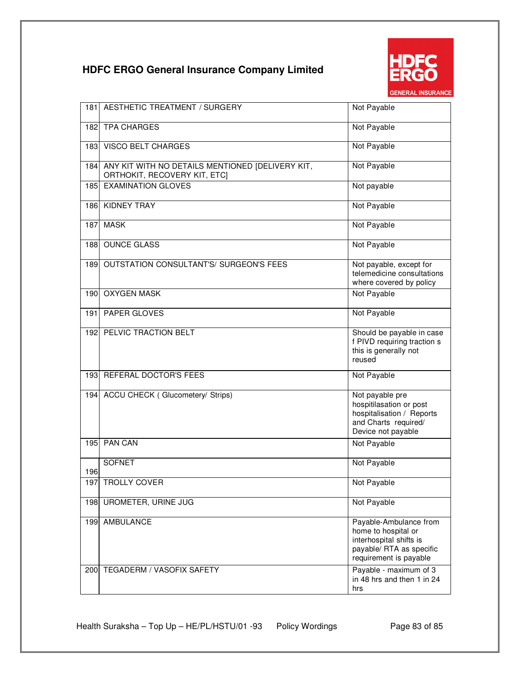

| 181 | <b>AESTHETIC TREATMENT / SURGERY</b>                                             | Not Payable                                                                                                                    |
|-----|----------------------------------------------------------------------------------|--------------------------------------------------------------------------------------------------------------------------------|
|     | 182 TPA CHARGES                                                                  | Not Payable                                                                                                                    |
| 183 | <b>VISCO BELT CHARGES</b>                                                        | Not Payable                                                                                                                    |
| 184 | ANY KIT WITH NO DETAILS MENTIONED [DELIVERY KIT,<br>ORTHOKIT, RECOVERY KIT, ETC] | Not Payable                                                                                                                    |
| 185 | <b>EXAMINATION GLOVES</b>                                                        | Not payable                                                                                                                    |
| 186 | <b>KIDNEY TRAY</b>                                                               | Not Payable                                                                                                                    |
| 187 | <b>MASK</b>                                                                      | Not Payable                                                                                                                    |
| 188 | <b>OUNCE GLASS</b>                                                               | Not Payable                                                                                                                    |
| 189 | OUTSTATION CONSULTANT'S/ SURGEON'S FEES                                          | Not payable, except for<br>telemedicine consultations<br>where covered by policy                                               |
| 190 | <b>OXYGEN MASK</b>                                                               | Not Payable                                                                                                                    |
| 191 | PAPER GLOVES                                                                     | Not Payable                                                                                                                    |
| 192 | PELVIC TRACTION BELT                                                             | Should be payable in case<br>f PIVD requiring traction s<br>this is generally not<br>reused                                    |
| 193 | REFERAL DOCTOR'S FEES                                                            | Not Payable                                                                                                                    |
| 194 | <b>ACCU CHECK (Glucometery/ Strips)</b>                                          | Not payable pre<br>hospitilasation or post<br>hospitalisation / Reports<br>and Charts required/<br>Device not payable          |
| 195 | <b>PAN CAN</b>                                                                   | Not Payable                                                                                                                    |
| 196 | <b>SOFNET</b>                                                                    | Not Payable                                                                                                                    |
| 197 | <b>TROLLY COVER</b>                                                              | Not Payable                                                                                                                    |
| 198 | <b>UROMETER, URINE JUG</b>                                                       | Not Payable                                                                                                                    |
| 199 | AMBULANCE                                                                        | Payable-Ambulance from<br>home to hospital or<br>interhospital shifts is<br>payable/ RTA as specific<br>requirement is payable |
| 200 | TEGADERM / VASOFIX SAFETY                                                        | Payable - maximum of 3<br>in 48 hrs and then 1 in 24<br>hrs                                                                    |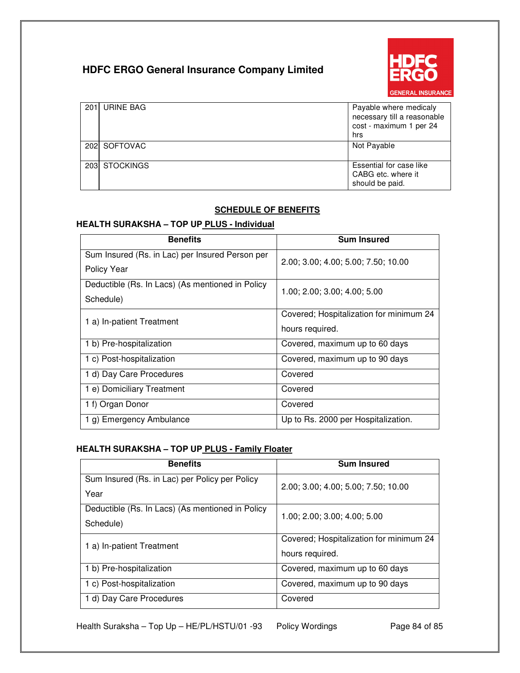

| 201 URINE BAG | Payable where medicaly<br>necessary till a reasonable<br>cost - maximum 1 per 24<br>hrs |
|---------------|-----------------------------------------------------------------------------------------|
| 202 SOFTOVAC  | Not Payable                                                                             |
| 203 STOCKINGS | Essential for case like<br>CABG etc. where it<br>should be paid.                        |

### **SCHEDULE OF BENEFITS**

### **HEALTH SURAKSHA – TOP UP PLUS - Individual**

| <b>Benefits</b>                                  | <b>Sum Insured</b>                      |  |
|--------------------------------------------------|-----------------------------------------|--|
| Sum Insured (Rs. in Lac) per Insured Person per  | 2.00; 3.00; 4.00; 5.00; 7.50; 10.00     |  |
| Policy Year                                      |                                         |  |
| Deductible (Rs. In Lacs) (As mentioned in Policy | 1.00; 2.00; 3.00; 4.00; 5.00            |  |
| Schedule)                                        |                                         |  |
| 1 a) In-patient Treatment                        | Covered; Hospitalization for minimum 24 |  |
|                                                  | hours required.                         |  |
| 1 b) Pre-hospitalization                         | Covered, maximum up to 60 days          |  |
| 1 c) Post-hospitalization                        | Covered, maximum up to 90 days          |  |
| 1 d) Day Care Procedures                         | Covered                                 |  |
| 1 e) Domiciliary Treatment                       | Covered                                 |  |
| 1 f) Organ Donor                                 | Covered                                 |  |
| 1 g) Emergency Ambulance                         | Up to Rs. 2000 per Hospitalization.     |  |

### **HEALTH SURAKSHA – TOP UP PLUS - Family Floater**

| <b>Benefits</b>                                  | <b>Sum Insured</b>                      |
|--------------------------------------------------|-----------------------------------------|
| Sum Insured (Rs. in Lac) per Policy per Policy   | 2.00; 3.00; 4.00; 5.00; 7.50; 10.00     |
| Year                                             |                                         |
| Deductible (Rs. In Lacs) (As mentioned in Policy | 1.00; 2.00; 3.00; 4.00; 5.00            |
| Schedule)                                        |                                         |
| 1 a) In-patient Treatment                        | Covered; Hospitalization for minimum 24 |
|                                                  | hours required.                         |
| 1 b) Pre-hospitalization                         | Covered, maximum up to 60 days          |
| 1 c) Post-hospitalization                        | Covered, maximum up to 90 days          |
| 1 d) Day Care Procedures                         | Covered                                 |

Health Suraksha – Top Up – HE/PL/HSTU/01 -93 Policy Wordings Page 84 of 85